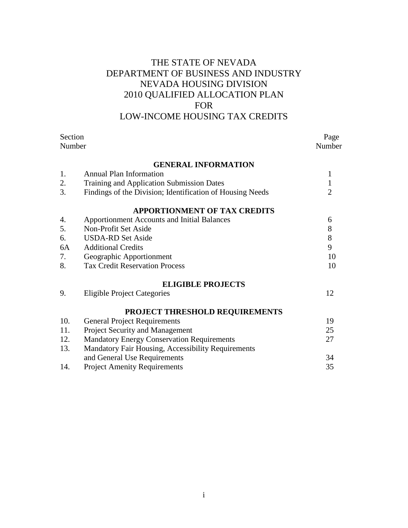# THE STATE OF NEVADA DEPARTMENT OF BUSINESS AND INDUSTRY NEVADA HOUSING DIVISION 2010 QUALIFIED ALLOCATION PLAN FOR LOW-INCOME HOUSING TAX CREDITS

| Section |                                                           | Page           |
|---------|-----------------------------------------------------------|----------------|
| Number  |                                                           | Number         |
|         | <b>GENERAL INFORMATION</b>                                |                |
| 1.      | <b>Annual Plan Information</b>                            | $\mathbf{1}$   |
| 2.      | <b>Training and Application Submission Dates</b>          | $\mathbf{1}$   |
| 3.      | Findings of the Division; Identification of Housing Needs | $\overline{2}$ |
|         | <b>APPORTIONMENT OF TAX CREDITS</b>                       |                |
| 4.      | Apportionment Accounts and Initial Balances               | 6              |
| 5.      | Non-Profit Set Aside                                      | $8\,$          |
| 6.      | <b>USDA-RD Set Aside</b>                                  | 8              |
| 6A      | <b>Additional Credits</b>                                 | 9              |
| 7.      | Geographic Apportionment                                  | 10             |
| 8.      | <b>Tax Credit Reservation Process</b>                     | 10             |
|         | <b>ELIGIBLE PROJECTS</b>                                  |                |
| 9.      | <b>Eligible Project Categories</b>                        | 12             |
|         | PROJECT THRESHOLD REQUIREMENTS                            |                |
| 10.     | <b>General Project Requirements</b>                       | 19             |
| 11.     | Project Security and Management                           | 25             |
| 12.     | <b>Mandatory Energy Conservation Requirements</b>         | 27             |
| 13.     | Mandatory Fair Housing, Accessibility Requirements        |                |
|         | and General Use Requirements                              | 34             |
| 14.     | <b>Project Amenity Requirements</b>                       | 35             |
|         |                                                           |                |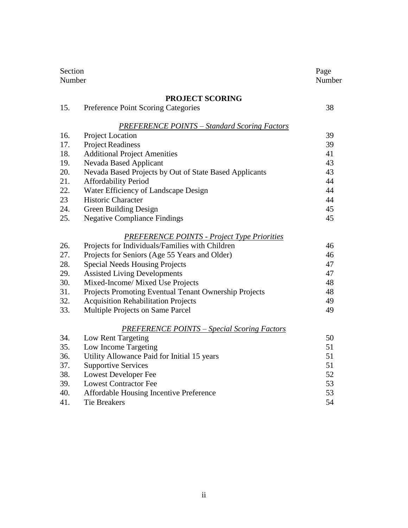| Section<br>Number |                                                        | Page<br>Number |
|-------------------|--------------------------------------------------------|----------------|
|                   | <b>PROJECT SCORING</b>                                 |                |
| 15.               | Preference Point Scoring Categories                    | 38             |
|                   | <b>PREFERENCE POINTS - Standard Scoring Factors</b>    |                |
| 16.               | Project Location                                       | 39             |
| 17.               | <b>Project Readiness</b>                               | 39             |
| 18.               | <b>Additional Project Amenities</b>                    | 41             |
| 19.               | Nevada Based Applicant                                 | 43             |
| 20.               | Nevada Based Projects by Out of State Based Applicants | 43             |
| 21.               | Affordability Period                                   | 44             |
| 22.               | Water Efficiency of Landscape Design                   | 44             |
| 23                | Historic Character                                     | 44             |
| 24.               | Green Building Design                                  | 45             |
| 25.               | <b>Negative Compliance Findings</b>                    | 45             |
|                   | <b>PREFERENCE POINTS - Project Type Priorities</b>     |                |
| 26.               | Projects for Individuals/Families with Children        | 46             |
| 27.               | Projects for Seniors (Age 55 Years and Older)          | 46             |
| 28.               | <b>Special Needs Housing Projects</b>                  | 47             |
| 29.               | <b>Assisted Living Developments</b>                    | 47             |
| 30.               | Mixed-Income/ Mixed Use Projects                       | 48             |
| 31.               | Projects Promoting Eventual Tenant Ownership Projects  | 48             |
| 32.               | <b>Acquisition Rehabilitation Projects</b>             | 49             |
| 33.               | Multiple Projects on Same Parcel                       | 49             |
|                   | <b>PREFERENCE POINTS – Special Scoring Factors</b>     |                |
| 34.               | Low Rent Targeting                                     | 50             |
| 35.               | Low Income Targeting                                   | 51             |
| 36.               | Utility Allowance Paid for Initial 15 years            | 51             |
| 37.               | <b>Supportive Services</b>                             | 51             |
| 38.               | <b>Lowest Developer Fee</b>                            | 52             |
| 39.               | <b>Lowest Contractor Fee</b>                           | 53             |
| 40.               | Affordable Housing Incentive Preference                | 53             |
| 41.               | <b>Tie Breakers</b>                                    | 54             |
|                   |                                                        |                |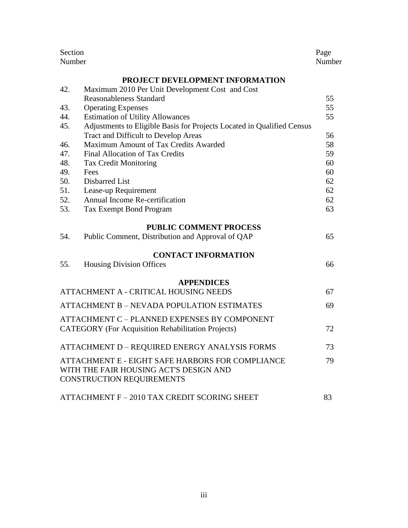| Section<br>Number                                 |                                                                        | Page<br>Number |
|---------------------------------------------------|------------------------------------------------------------------------|----------------|
|                                                   | PROJECT DEVELOPMENT INFORMATION                                        |                |
| 42.                                               | Maximum 2010 Per Unit Development Cost and Cost                        |                |
|                                                   | <b>Reasonableness Standard</b>                                         | 55             |
| 43.                                               | <b>Operating Expenses</b>                                              | 55             |
| 44.                                               | <b>Estimation of Utility Allowances</b>                                | 55             |
| 45.                                               | Adjustments to Eligible Basis for Projects Located in Qualified Census |                |
|                                                   | Tract and Difficult to Develop Areas                                   | 56             |
| 46.                                               | Maximum Amount of Tax Credits Awarded                                  | 58             |
| 47.                                               | Final Allocation of Tax Credits                                        | 59             |
| 48.                                               | <b>Tax Credit Monitoring</b>                                           | 60             |
| 49.                                               | Fees                                                                   | 60             |
| 50.                                               | Disbarred List                                                         | 62             |
| 51.                                               | Lease-up Requirement                                                   | 62             |
| 52.                                               | Annual Income Re-certification                                         | 62             |
| 53.                                               | <b>Tax Exempt Bond Program</b>                                         | 63             |
|                                                   | <b>PUBLIC COMMENT PROCESS</b>                                          |                |
| 54.                                               | Public Comment, Distribution and Approval of QAP                       | 65             |
|                                                   | <b>CONTACT INFORMATION</b>                                             |                |
| 55.                                               | <b>Housing Division Offices</b>                                        | 66             |
|                                                   | <b>APPENDICES</b>                                                      |                |
| ATTACHMENT A - CRITICAL HOUSING NEEDS             |                                                                        |                |
| <b>ATTACHMENT B – NEVADA POPULATION ESTIMATES</b> |                                                                        | 69             |
|                                                   | ATTACHMENT C - PLANNED EXPENSES BY COMPONENT                           |                |
|                                                   | <b>CATEGORY</b> (For Acquisition Rehabilitation Projects)              | 72             |
|                                                   |                                                                        |                |
|                                                   | ATTACHMENT D - REQUIRED ENERGY ANALYSIS FORMS                          | 73             |
|                                                   | ATTACHMENT E - EIGHT SAFE HARBORS FOR COMPLIANCE                       | 79             |
|                                                   | WITH THE FAIR HOUSING ACT'S DESIGN AND                                 |                |
|                                                   | CONSTRUCTION REQUIREMENTS                                              |                |
|                                                   | ATTACHMENT F - 2010 TAX CREDIT SCORING SHEET                           | 83             |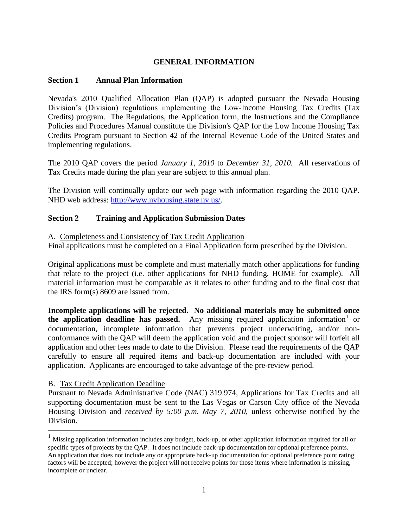# **GENERAL INFORMATION**

#### **Section 1 Annual Plan Information**

Nevada's 2010 Qualified Allocation Plan (QAP) is adopted pursuant the Nevada Housing Division's (Division) regulations implementing the Low-Income Housing Tax Credits (Tax Credits) program. The Regulations, the Application form, the Instructions and the Compliance Policies and Procedures Manual constitute the Division's QAP for the Low Income Housing Tax Credits Program pursuant to Section 42 of the Internal Revenue Code of the United States and implementing regulations.

The 2010 QAP covers the period *January 1, 2010* to *December 31, 2010.* All reservations of Tax Credits made during the plan year are subject to this annual plan.

The Division will continually update our web page with information regarding the 2010 QAP. NHD web address: [http://www.nvhousing.state.nv.us/.](http://www.nvhousing.state.nv.us/)

#### **Section 2 Training and Application Submission Dates**

A. Completeness and Consistency of Tax Credit Application

Final applications must be completed on a Final Application form prescribed by the Division.

Original applications must be complete and must materially match other applications for funding that relate to the project (i.e. other applications for NHD funding, HOME for example). All material information must be comparable as it relates to other funding and to the final cost that the IRS form(s) 8609 are issued from.

**Incomplete applications will be rejected. No additional materials may be submitted once**  the application deadline has passed. Any missing required application information<sup>1</sup> or documentation, incomplete information that prevents project underwriting, and/or nonconformance with the QAP will deem the application void and the project sponsor will forfeit all application and other fees made to date to the Division. Please read the requirements of the QAP carefully to ensure all required items and back-up documentation are included with your application. Applicants are encouraged to take advantage of the pre-review period.

#### B. Tax Credit Application Deadline

 $\overline{a}$ 

Pursuant to Nevada Administrative Code (NAC) 319.974, Applications for Tax Credits and all supporting documentation must be sent to the Las Vegas or Carson City office of the Nevada Housing Division and *received by 5:00 p.m. May 7, 2010,* unless otherwise notified by the Division.

<sup>1</sup> Missing application information includes any budget, back-up, or other application information required for all or specific types of projects by the QAP. It does not include back-up documentation for optional preference points. An application that does not include any or appropriate back-up documentation for optional preference point rating factors will be accepted; however the project will not receive points for those items where information is missing, incomplete or unclear.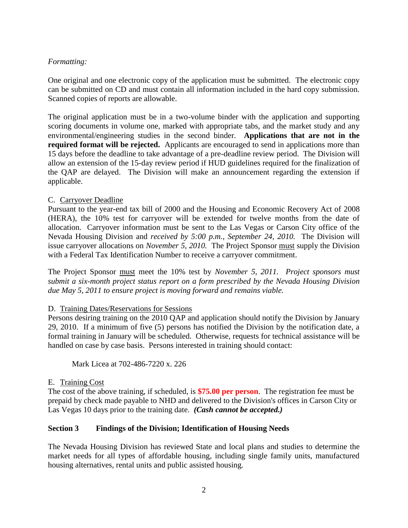# *Formatting:*

One original and one electronic copy of the application must be submitted. The electronic copy can be submitted on CD and must contain all information included in the hard copy submission. Scanned copies of reports are allowable.

The original application must be in a two-volume binder with the application and supporting scoring documents in volume one, marked with appropriate tabs, and the market study and any environmental/engineering studies in the second binder. **Applications that are not in the required format will be rejected.** Applicants are encouraged to send in applications more than 15 days before the deadline to take advantage of a pre-deadline review period. The Division will allow an extension of the 15-day review period if HUD guidelines required for the finalization of the QAP are delayed. The Division will make an announcement regarding the extension if applicable.

#### C. Carryover Deadline

Pursuant to the year-end tax bill of 2000 and the Housing and Economic Recovery Act of 2008 (HERA), the 10% test for carryover will be extended for twelve months from the date of allocation. Carryover information must be sent to the Las Vegas or Carson City office of the Nevada Housing Division and *received by 5:00 p.m., September 24, 2010.* The Division will issue carryover allocations on *November 5, 2010.* The Project Sponsor must supply the Division with a Federal Tax Identification Number to receive a carryover commitment.

The Project Sponsor must meet the 10% test by *November 5, 2011. Project sponsors must submit a six-month project status report on a form prescribed by the Nevada Housing Division due May 5, 2011 to ensure project is moving forward and remains viable.*

#### D. Training Dates/Reservations for Sessions

Persons desiring training on the 2010 QAP and application should notify the Division by January 29, 2010. If a minimum of five (5) persons has notified the Division by the notification date, a formal training in January will be scheduled. Otherwise, requests for technical assistance will be handled on case by case basis. Persons interested in training should contact:

Mark Licea at 702-486-7220 x. 226

#### E. Training Cost

The cost of the above training, if scheduled, is **\$75.00 per person**. The registration fee must be prepaid by check made payable to NHD and delivered to the Division's offices in Carson City or Las Vegas 10 days prior to the training date. *(Cash cannot be accepted.)*

#### **Section 3 Findings of the Division; Identification of Housing Needs**

The Nevada Housing Division has reviewed State and local plans and studies to determine the market needs for all types of affordable housing, including single family units, manufactured housing alternatives, rental units and public assisted housing.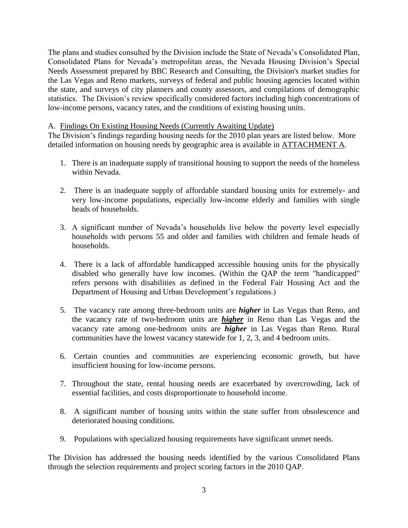The plans and studies consulted by the Division include the State of Nevada's Consolidated Plan, Consolidated Plans for Nevada's metropolitan areas, the Nevada Housing Division's Special Needs Assessment prepared by BBC Research and Consulting, the Division's market studies for the Las Vegas and Reno markets, surveys of federal and public housing agencies located within the state, and surveys of city planners and county assessors, and compilations of demographic statistics. The Division's review specifically considered factors including high concentrations of low-income persons, vacancy rates, and the conditions of existing housing units.

#### A. Findings On Existing Housing Needs (Currently Awaiting Update)

The Division's findings regarding housing needs for the 2010 plan years are listed below. More detailed information on housing needs by geographic area is available in ATTACHMENT A.

- 1. There is an inadequate supply of transitional housing to support the needs of the homeless within Nevada.
- 2. There is an inadequate supply of affordable standard housing units for extremely- and very low-income populations, especially low-income elderly and families with single heads of households.
- 3. A significant number of Nevada's households live below the poverty level especially households with persons 55 and older and families with children and female heads of households.
- 4. There is a lack of affordable handicapped accessible housing units for the physically disabled who generally have low incomes. (Within the QAP the term "handicapped" refers persons with disabilities as defined in the Federal Fair Housing Act and the Department of Housing and Urban Development's regulations.)
- 5. The vacancy rate among three-bedroom units are *higher* in Las Vegas than Reno, and the vacancy rate of two-bedroom units are *higher* in Reno than Las Vegas and the vacancy rate among one-bedroom units are *higher* in Las Vegas than Reno. Rural communities have the lowest vacancy statewide for 1, 2, 3, and 4 bedroom units.
- 6. Certain counties and communities are experiencing economic growth, but have insufficient housing for low-income persons.
- 7. Throughout the state, rental housing needs are exacerbated by overcrowding, lack of essential facilities, and costs disproportionate to household income.
- 8. A significant number of housing units within the state suffer from obsolescence and deteriorated housing conditions.
- 9. Populations with specialized housing requirements have significant unmet needs.

The Division has addressed the housing needs identified by the various Consolidated Plans through the selection requirements and project scoring factors in the 2010 QAP.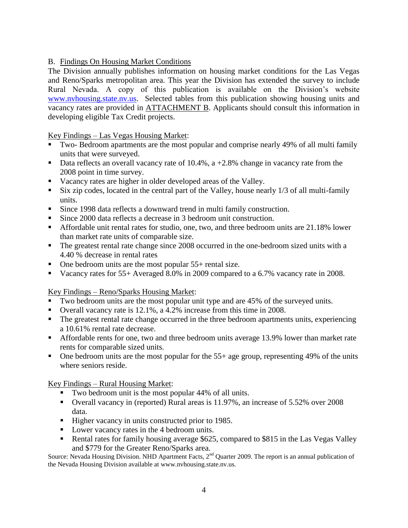# B. Findings On Housing Market Conditions

The Division annually publishes information on housing market conditions for the Las Vegas and Reno/Sparks metropolitan area. This year the Division has extended the survey to include Rural Nevada. A copy of this publication is available on the Division's website [www.nvhousing.state.nv.us.](http://www.nvhousing.state.nv.us/) Selected tables from this publication showing housing units and vacancy rates are provided in ATTACHMENT B. Applicants should consult this information in developing eligible Tax Credit projects.

# Key Findings – Las Vegas Housing Market:

- Two- Bedroom apartments are the most popular and comprise nearly 49% of all multi family units that were surveyed.
- Data reflects an overall vacancy rate of 10.4%,  $a + 2.8\%$  change in vacancy rate from the 2008 point in time survey.
- Vacancy rates are higher in older developed areas of the Valley.
- Six zip codes, located in the central part of the Valley, house nearly 1/3 of all multi-family units.
- Since 1998 data reflects a downward trend in multi family construction.
- Since 2000 data reflects a decrease in 3 bedroom unit construction.
- Affordable unit rental rates for studio, one, two, and three bedroom units are 21.18% lower than market rate units of comparable size.
- The greatest rental rate change since 2008 occurred in the one-bedroom sized units with a 4.40 % decrease in rental rates
- One bedroom units are the most popular 55+ rental size.
- Vacancy rates for 55+ Averaged 8.0% in 2009 compared to a 6.7% vacancy rate in 2008.

Key Findings – Reno/Sparks Housing Market:

- Two bedroom units are the most popular unit type and are 45% of the surveyed units.
- Overall vacancy rate is 12.1%, a 4.2% increase from this time in 2008.
- The greatest rental rate change occurred in the three bedroom apartments units, experiencing a 10.61% rental rate decrease.
- Affordable rents for one, two and three bedroom units average 13.9% lower than market rate rents for comparable sized units.
- $\blacksquare$  One bedroom units are the most popular for the 55+ age group, representing 49% of the units where seniors reside.

Key Findings – Rural Housing Market:

- Two bedroom unit is the most popular 44% of all units.
- Overall vacancy in (reported) Rural areas is 11.97%, an increase of 5.52% over 2008 data.
- Higher vacancy in units constructed prior to 1985.
- Lower vacancy rates in the 4 bedroom units.
- Rental rates for family housing average \$625, compared to \$815 in the Las Vegas Valley and \$779 for the Greater Reno/Sparks area.

Source: Nevada Housing Division. NHD Apartment Facts, 2<sup>nd</sup> Quarter 2009. The report is an annual publication of the Nevada Housing Division available at www.nvhousing.state.nv.us.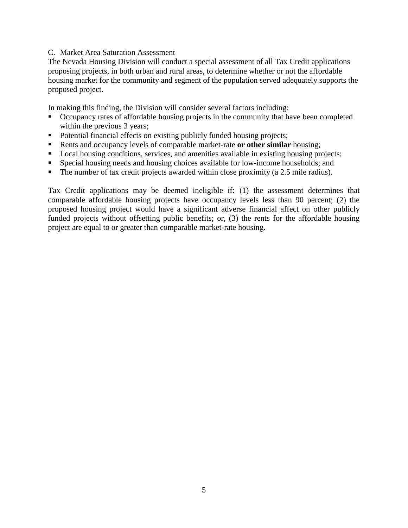#### C. Market Area Saturation Assessment

The Nevada Housing Division will conduct a special assessment of all Tax Credit applications proposing projects, in both urban and rural areas, to determine whether or not the affordable housing market for the community and segment of the population served adequately supports the proposed project.

In making this finding, the Division will consider several factors including:

- Occupancy rates of affordable housing projects in the community that have been completed within the previous 3 years;
- Potential financial effects on existing publicly funded housing projects;
- Rents and occupancy levels of comparable market-rate **or other similar** housing;
- Local housing conditions, services, and amenities available in existing housing projects;
- Special housing needs and housing choices available for low-income households; and
- The number of tax credit projects awarded within close proximity (a 2.5 mile radius).

Tax Credit applications may be deemed ineligible if: (1) the assessment determines that comparable affordable housing projects have occupancy levels less than 90 percent; (2) the proposed housing project would have a significant adverse financial affect on other publicly funded projects without offsetting public benefits; or, (3) the rents for the affordable housing project are equal to or greater than comparable market-rate housing.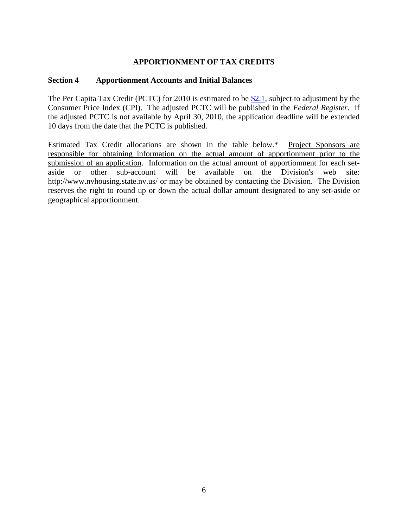# **APPORTIONMENT OF TAX CREDITS**

# **Section 4 Apportionment Accounts and Initial Balances**

The Per Capita Tax Credit (PCTC) for 2010 is estimated to be  $$2.1$ , subject to adjustment by the Consumer Price Index (CPI). The adjusted PCTC will be published in the *Federal Register*. If the adjusted PCTC is not available by April 30, 2010, the application deadline will be extended 10 days from the date that the PCTC is published.

Estimated Tax Credit allocations are shown in the table below.\* Project Sponsors are responsible for obtaining information on the actual amount of apportionment prior to the submission of an application. Information on the actual amount of apportionment for each setaside or other sub-account will be available on the Division's web site: <http://www.nvhousing.state.nv.us/> or may be obtained by contacting the Division. The Division reserves the right to round up or down the actual dollar amount designated to any set-aside or geographical apportionment.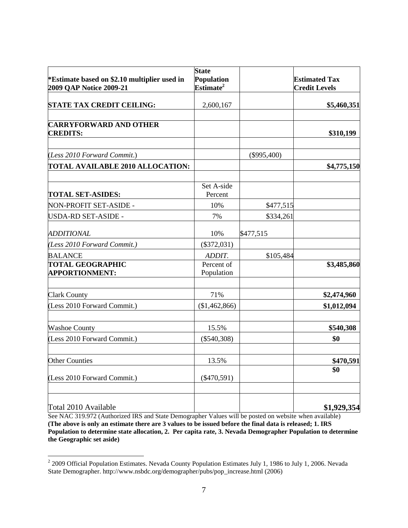| *Estimate based on \$2.10 multiplier used in     | <b>State</b><br>Population |               | <b>Estimated Tax</b> |
|--------------------------------------------------|----------------------------|---------------|----------------------|
| 2009 QAP Notice 2009-21                          | Estimate <sup>2</sup>      |               | <b>Credit Levels</b> |
| <b>STATE TAX CREDIT CEILING:</b>                 | 2,600,167                  |               | \$5,460,351          |
| <b>CARRYFORWARD AND OTHER</b><br><b>CREDITS:</b> |                            |               | \$310,199            |
| (Less 2010 Forward Commit.)                      |                            | $(\$995,400)$ |                      |
| <b>TOTAL AVAILABLE 2010 ALLOCATION:</b>          |                            |               | \$4,775,150          |
| <b>TOTAL SET-ASIDES:</b>                         | Set A-side<br>Percent      |               |                      |
| NON-PROFIT SET-ASIDE -                           | 10%                        | \$477,515     |                      |
| USDA-RD SET-ASIDE -                              | 7%                         | \$334,261     |                      |
| <b>ADDITIONAL</b>                                | 10%                        | \$477,515     |                      |
| (Less 2010 Forward Commit.)                      | $(\$372,031)$              |               |                      |
| <b>BALANCE</b>                                   | ADDIT.                     | \$105,484     |                      |
| <b>TOTAL GEOGRAPHIC</b><br><b>APPORTIONMENT:</b> | Percent of<br>Population   |               | \$3,485,860          |
| <b>Clark County</b>                              | 71%                        |               | \$2,474,960          |
| (Less 2010 Forward Commit.)                      | (\$1,462,866)              |               | \$1,012,094          |
| <b>Washoe County</b>                             | 15.5%                      |               | \$540,308            |
| (Less 2010 Forward Commit.)                      | $(\$540,308)$              |               | \$0                  |
| <b>Other Counties</b>                            | 13.5%                      |               | \$470,591            |
| (Less 2010 Forward Commit.)                      | $(\$470,591)$              |               | \$0                  |
| Total 2010 Available                             |                            |               | \$1,929,354          |

See NAC 319.972 (Authorized IRS and State Demographer Values will be posted on website when available) **(The above is only an estimate there are 3 values to be issued before the final data is released; 1. IRS Population to determine state allocation, 2. Per capita rate, 3. Nevada Demographer Population to determine the Geographic set aside)**

<sup>&</sup>lt;sup>2</sup> 2009 Official Population Estimates. Nevada County Population Estimates July 1, 1986 to July 1, 2006. Nevada State Demographer. http://www.nsbdc.org/demographer/pubs/pop\_increase.html (2006)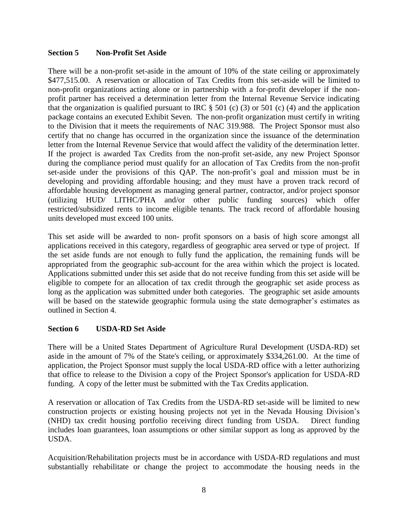#### **Section 5 Non-Profit Set Aside**

There will be a non-profit set-aside in the amount of 10% of the state ceiling or approximately \$477,515.00. A reservation or allocation of Tax Credits from this set-aside will be limited to non-profit organizations acting alone or in partnership with a for-profit developer if the nonprofit partner has received a determination letter from the Internal Revenue Service indicating that the organization is qualified pursuant to IRC  $\S$  501 (c) (3) or 501 (c) (4) and the application package contains an executed Exhibit Seven. The non-profit organization must certify in writing to the Division that it meets the requirements of NAC 319.988. The Project Sponsor must also certify that no change has occurred in the organization since the issuance of the determination letter from the Internal Revenue Service that would affect the validity of the determination letter. If the project is awarded Tax Credits from the non-profit set-aside, any new Project Sponsor during the compliance period must qualify for an allocation of Tax Credits from the non-profit set-aside under the provisions of this QAP. The non-profit's goal and mission must be in developing and providing affordable housing; and they must have a proven track record of affordable housing development as managing general partner, contractor, and/or project sponsor (utilizing HUD/ LITHC/PHA and/or other public funding sources) which offer restricted/subsidized rents to income eligible tenants. The track record of affordable housing units developed must exceed 100 units.

This set aside will be awarded to non- profit sponsors on a basis of high score amongst all applications received in this category, regardless of geographic area served or type of project. If the set aside funds are not enough to fully fund the application, the remaining funds will be appropriated from the geographic sub-account for the area within which the project is located. Applications submitted under this set aside that do not receive funding from this set aside will be eligible to compete for an allocation of tax credit through the geographic set aside process as long as the application was submitted under both categories. The geographic set aside amounts will be based on the statewide geographic formula using the state demographer's estimates as outlined in Section 4.

# **Section 6 USDA-RD Set Aside**

There will be a United States Department of Agriculture Rural Development (USDA-RD) set aside in the amount of 7% of the State's ceiling, or approximately \$334,261.00. At the time of application, the Project Sponsor must supply the local USDA-RD office with a letter authorizing that office to release to the Division a copy of the Project Sponsor's application for USDA-RD funding. A copy of the letter must be submitted with the Tax Credits application.

A reservation or allocation of Tax Credits from the USDA-RD set-aside will be limited to new construction projects or existing housing projects not yet in the Nevada Housing Division's (NHD) tax credit housing portfolio receiving direct funding from USDA. Direct funding includes loan guarantees, loan assumptions or other similar support as long as approved by the USDA.

Acquisition/Rehabilitation projects must be in accordance with USDA-RD regulations and must substantially rehabilitate or change the project to accommodate the housing needs in the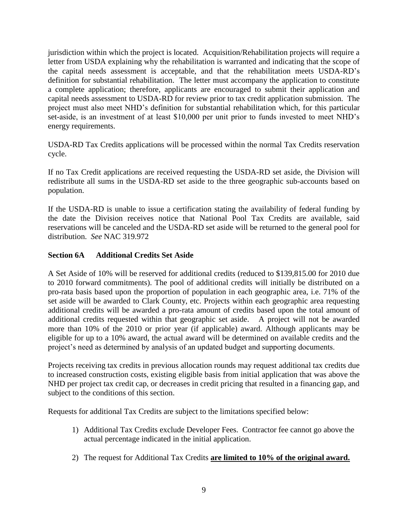jurisdiction within which the project is located. Acquisition/Rehabilitation projects will require a letter from USDA explaining why the rehabilitation is warranted and indicating that the scope of the capital needs assessment is acceptable, and that the rehabilitation meets USDA-RD's definition for substantial rehabilitation. The letter must accompany the application to constitute a complete application; therefore, applicants are encouraged to submit their application and capital needs assessment to USDA-RD for review prior to tax credit application submission. The project must also meet NHD's definition for substantial rehabilitation which, for this particular set-aside, is an investment of at least \$10,000 per unit prior to funds invested to meet NHD's energy requirements.

USDA-RD Tax Credits applications will be processed within the normal Tax Credits reservation cycle.

If no Tax Credit applications are received requesting the USDA-RD set aside, the Division will redistribute all sums in the USDA-RD set aside to the three geographic sub-accounts based on population.

If the USDA-RD is unable to issue a certification stating the availability of federal funding by the date the Division receives notice that National Pool Tax Credits are available, said reservations will be canceled and the USDA-RD set aside will be returned to the general pool for distribution. *See* NAC 319.972

# **Section 6A Additional Credits Set Aside**

A Set Aside of 10% will be reserved for additional credits (reduced to \$139,815.00 for 2010 due to 2010 forward commitments). The pool of additional credits will initially be distributed on a pro-rata basis based upon the proportion of population in each geographic area, i.e. 71% of the set aside will be awarded to Clark County, etc. Projects within each geographic area requesting additional credits will be awarded a pro-rata amount of credits based upon the total amount of additional credits requested within that geographic set aside. A project will not be awarded more than 10% of the 2010 or prior year (if applicable) award. Although applicants may be eligible for up to a 10% award, the actual award will be determined on available credits and the project's need as determined by analysis of an updated budget and supporting documents.

Projects receiving tax credits in previous allocation rounds may request additional tax credits due to increased construction costs, existing eligible basis from initial application that was above the NHD per project tax credit cap, or decreases in credit pricing that resulted in a financing gap, and subject to the conditions of this section.

Requests for additional Tax Credits are subject to the limitations specified below:

- 1) Additional Tax Credits exclude Developer Fees. Contractor fee cannot go above the actual percentage indicated in the initial application.
- 2) The request for Additional Tax Credits **are limited to 10% of the original award.**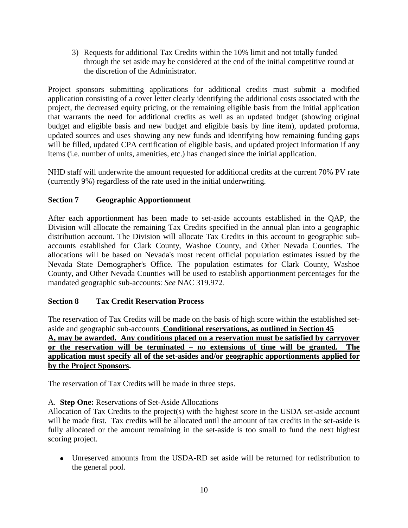3) Requests for additional Tax Credits within the 10% limit and not totally funded through the set aside may be considered at the end of the initial competitive round at the discretion of the Administrator.

Project sponsors submitting applications for additional credits must submit a modified application consisting of a cover letter clearly identifying the additional costs associated with the project, the decreased equity pricing, or the remaining eligible basis from the initial application that warrants the need for additional credits as well as an updated budget (showing original budget and eligible basis and new budget and eligible basis by line item), updated proforma, updated sources and uses showing any new funds and identifying how remaining funding gaps will be filled, updated CPA certification of eligible basis, and updated project information if any items (i.e. number of units, amenities, etc.) has changed since the initial application.

NHD staff will underwrite the amount requested for additional credits at the current 70% PV rate (currently 9%) regardless of the rate used in the initial underwriting.

# **Section 7 Geographic Apportionment**

After each apportionment has been made to set-aside accounts established in the QAP, the Division will allocate the remaining Tax Credits specified in the annual plan into a geographic distribution account. The Division will allocate Tax Credits in this account to geographic subaccounts established for Clark County, Washoe County, and Other Nevada Counties. The allocations will be based on Nevada's most recent official population estimates issued by the Nevada State Demographer's Office. The population estimates for Clark County, Washoe County, and Other Nevada Counties will be used to establish apportionment percentages for the mandated geographic sub-accounts: *See* NAC 319.972.

# **Section 8 Tax Credit Reservation Process**

The reservation of Tax Credits will be made on the basis of high score within the established setaside and geographic sub-accounts. **Conditional reservations, as outlined in Section 45 A, may be awarded. Any conditions placed on a reservation must be satisfied by carryover or the reservation will be terminated – no extensions of time will be granted. The application must specify all of the set-asides and/or geographic apportionments applied for by the Project Sponsors.**

The reservation of Tax Credits will be made in three steps.

# A. **Step One:** Reservations of Set-Aside Allocations

Allocation of Tax Credits to the project(s) with the highest score in the USDA set-aside account will be made first. Tax credits will be allocated until the amount of tax credits in the set-aside is fully allocated or the amount remaining in the set-aside is too small to fund the next highest scoring project.

Unreserved amounts from the USDA-RD set aside will be returned for redistribution to the general pool.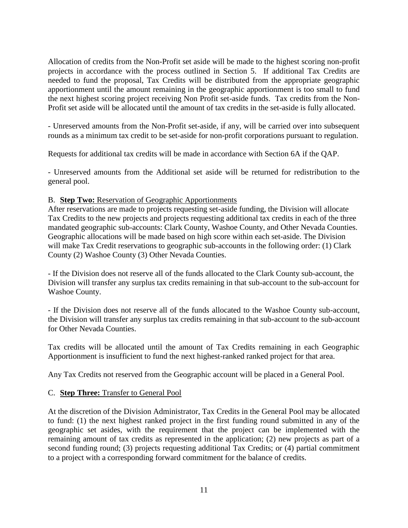Allocation of credits from the Non-Profit set aside will be made to the highest scoring non-profit projects in accordance with the process outlined in Section 5. If additional Tax Credits are needed to fund the proposal, Tax Credits will be distributed from the appropriate geographic apportionment until the amount remaining in the geographic apportionment is too small to fund the next highest scoring project receiving Non Profit set-aside funds. Tax credits from the Non-Profit set aside will be allocated until the amount of tax credits in the set-aside is fully allocated.

- Unreserved amounts from the Non-Profit set-aside, if any, will be carried over into subsequent rounds as a minimum tax credit to be set-aside for non-profit corporations pursuant to regulation.

Requests for additional tax credits will be made in accordance with Section 6A if the QAP.

- Unreserved amounts from the Additional set aside will be returned for redistribution to the general pool.

#### B. **Step Two:** Reservation of Geographic Apportionments

After reservations are made to projects requesting set-aside funding, the Division will allocate Tax Credits to the new projects and projects requesting additional tax credits in each of the three mandated geographic sub-accounts: Clark County, Washoe County, and Other Nevada Counties. Geographic allocations will be made based on high score within each set-aside. The Division will make Tax Credit reservations to geographic sub-accounts in the following order: (1) Clark County (2) Washoe County (3) Other Nevada Counties.

- If the Division does not reserve all of the funds allocated to the Clark County sub-account, the Division will transfer any surplus tax credits remaining in that sub-account to the sub-account for Washoe County.

- If the Division does not reserve all of the funds allocated to the Washoe County sub-account, the Division will transfer any surplus tax credits remaining in that sub-account to the sub-account for Other Nevada Counties.

Tax credits will be allocated until the amount of Tax Credits remaining in each Geographic Apportionment is insufficient to fund the next highest-ranked ranked project for that area.

Any Tax Credits not reserved from the Geographic account will be placed in a General Pool.

# C. **Step Three:** Transfer to General Pool

At the discretion of the Division Administrator, Tax Credits in the General Pool may be allocated to fund: (1) the next highest ranked project in the first funding round submitted in any of the geographic set asides, with the requirement that the project can be implemented with the remaining amount of tax credits as represented in the application; (2) new projects as part of a second funding round; (3) projects requesting additional Tax Credits; or (4) partial commitment to a project with a corresponding forward commitment for the balance of credits.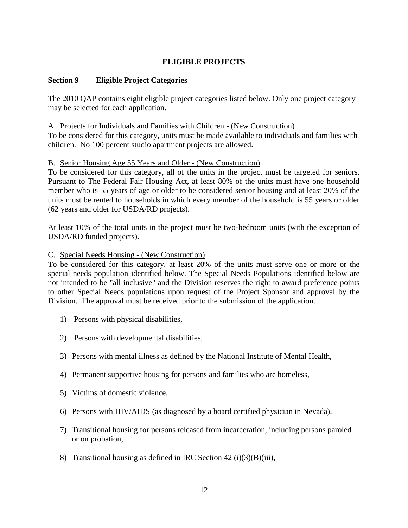# **ELIGIBLE PROJECTS**

#### **Section 9 Eligible Project Categories**

The 2010 QAP contains eight eligible project categories listed below. Only one project category may be selected for each application.

#### A. Projects for Individuals and Families with Children - (New Construction)

To be considered for this category, units must be made available to individuals and families with children. No 100 percent studio apartment projects are allowed.

#### B. Senior Housing Age 55 Years and Older - (New Construction)

To be considered for this category, all of the units in the project must be targeted for seniors. Pursuant to The Federal Fair Housing Act, at least 80% of the units must have one household member who is 55 years of age or older to be considered senior housing and at least 20% of the units must be rented to households in which every member of the household is 55 years or older (62 years and older for USDA/RD projects).

At least 10% of the total units in the project must be two-bedroom units (with the exception of USDA/RD funded projects).

#### C. Special Needs Housing - (New Construction)

To be considered for this category, at least 20% of the units must serve one or more or the special needs population identified below. The Special Needs Populations identified below are not intended to be "all inclusive" and the Division reserves the right to award preference points to other Special Needs populations upon request of the Project Sponsor and approval by the Division. The approval must be received prior to the submission of the application.

- 1) Persons with physical disabilities,
- 2) Persons with developmental disabilities,
- 3) Persons with mental illness as defined by the National Institute of Mental Health,
- 4) Permanent supportive housing for persons and families who are homeless,
- 5) Victims of domestic violence,
- 6) Persons with HIV/AIDS (as diagnosed by a board certified physician in Nevada),
- 7) Transitional housing for persons released from incarceration, including persons paroled or on probation,
- 8) Transitional housing as defined in IRC Section  $42 \text{ (i)}(3)(B)\text{ (iii)}$ ,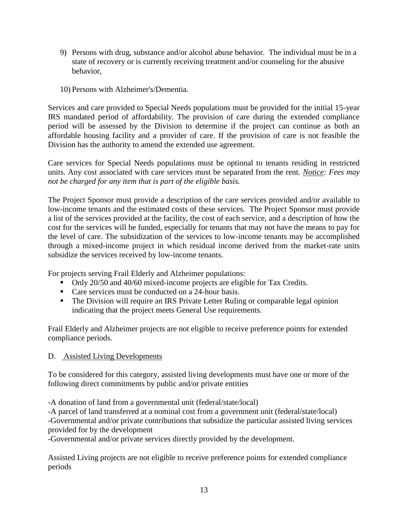- 9) Persons with drug, substance and/or alcohol abuse behavior. The individual must be in a state of recovery or is currently receiving treatment and/or counseling for the abusive behavior,
- 10) Persons with Alzheimer's/Dementia.

Services and care provided to Special Needs populations must be provided for the initial 15-year IRS mandated period of affordability. The provision of care during the extended compliance period will be assessed by the Division to determine if the project can continue as both an affordable housing facility and a provider of care. If the provision of care is not feasible the Division has the authority to amend the extended use agreement.

Care services for Special Needs populations must be optional to tenants residing in restricted units. Any cost associated with care services must be separated from the rent. *Notice: Fees may not be charged for any item that is part of the eligible basis.* 

The Project Sponsor must provide a description of the care services provided and/or available to low-income tenants and the estimated costs of these services. The Project Sponsor must provide a list of the services provided at the facility, the cost of each service, and a description of how the cost for the services will be funded, especially for tenants that may not have the means to pay for the level of care. The subsidization of the services to low-income tenants may be accomplished through a mixed-income project in which residual income derived from the market-rate units subsidize the services received by low-income tenants.

For projects serving Frail Elderly and Alzheimer populations:

- Only 20/50 and 40/60 mixed-income projects are eligible for Tax Credits.
- Care services must be conducted on a 24-hour basis.
- The Division will require an IRS Private Letter Ruling or comparable legal opinion indicating that the project meets General Use requirements.

Frail Elderly and Alzheimer projects are not eligible to receive preference points for extended compliance periods.

# D. Assisted Living Developments

To be considered for this category, assisted living developments must have one or more of the following direct commitments by public and/or private entities

-A donation of land from a governmental unit (federal/state/local)

-A parcel of land transferred at a nominal cost from a government unit (federal/state/local) -Governmental and/or private contributions that subsidize the particular assisted living services provided for by the development

-Governmental and/or private services directly provided by the development.

Assisted Living projects are not eligible to receive preference points for extended compliance periods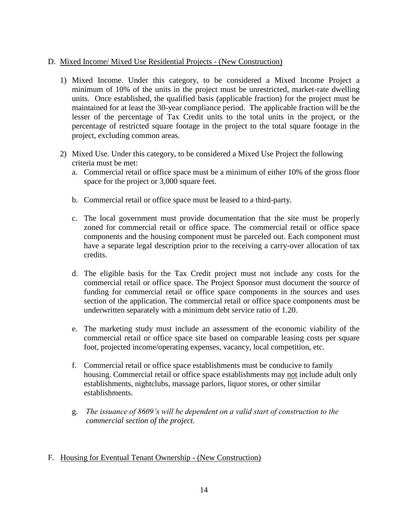# D. Mixed Income/ Mixed Use Residential Projects - (New Construction)

- 1) Mixed Income. Under this category, to be considered a Mixed Income Project a minimum of 10% of the units in the project must be unrestricted, market-rate dwelling units. Once established, the qualified basis (applicable fraction) for the project must be maintained for at least the 30-year compliance period. The applicable fraction will be the lesser of the percentage of Tax Credit units to the total units in the project, or the percentage of restricted square footage in the project to the total square footage in the project, excluding common areas.
- 2) Mixed Use. Under this category, to be considered a Mixed Use Project the following criteria must be met:
	- a. Commercial retail or office space must be a minimum of either 10% of the gross floor space for the project or 3,000 square feet.
	- b. Commercial retail or office space must be leased to a third-party.
	- c. The local government must provide documentation that the site must be properly zoned for commercial retail or office space. The commercial retail or office space components and the housing component must be parceled out. Each component must have a separate legal description prior to the receiving a carry-over allocation of tax credits.
	- d. The eligible basis for the Tax Credit project must not include any costs for the commercial retail or office space. The Project Sponsor must document the source of funding for commercial retail or office space components in the sources and uses section of the application. The commercial retail or office space components must be underwritten separately with a minimum debt service ratio of 1.20.
	- e. The marketing study must include an assessment of the economic viability of the commercial retail or office space site based on comparable leasing costs per square foot, projected income/operating expenses, vacancy, local competition, etc.
	- f. Commercial retail or office space establishments must be conducive to family housing. Commercial retail or office space establishments may not include adult only establishments, nightclubs, massage parlors, liquor stores, or other similar establishments.
	- g. *The issuance of 8609's will be dependent on a valid start of construction to the commercial section of the project.*

# F. Housing for Eventual Tenant Ownership - (New Construction)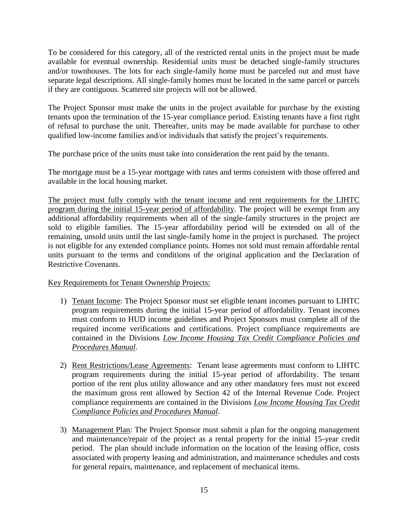To be considered for this category, all of the restricted rental units in the project must be made available for eventual ownership. Residential units must be detached single-family structures and/or townhouses. The lots for each single-family home must be parceled out and must have separate legal descriptions. All single-family homes must be located in the same parcel or parcels if they are contiguous. Scattered site projects will not be allowed.

The Project Sponsor must make the units in the project available for purchase by the existing tenants upon the termination of the 15-year compliance period. Existing tenants have a first right of refusal to purchase the unit. Thereafter, units may be made available for purchase to other qualified low-income families and/or individuals that satisfy the project's requirements.

The purchase price of the units must take into consideration the rent paid by the tenants.

The mortgage must be a 15-year mortgage with rates and terms consistent with those offered and available in the local housing market.

The project must fully comply with the tenant income and rent requirements for the LIHTC program during the initial 15-year period of affordability. The project will be exempt from any additional affordability requirements when all of the single-family structures in the project are sold to eligible families. The 15-year affordability period will be extended on all of the remaining, unsold units until the last single-family home in the project is purchased. The project is not eligible for any extended compliance points. Homes not sold must remain affordable rental units pursuant to the terms and conditions of the original application and the Declaration of Restrictive Covenants.

Key Requirements for Tenant Ownership Projects:

- 1) Tenant Income: The Project Sponsor must set eligible tenant incomes pursuant to LIHTC program requirements during the initial 15-year period of affordability. Tenant incomes must conform to HUD income guidelines and Project Sponsors must complete all of the required income verifications and certifications. Project compliance requirements are contained in the Divisions *Low Income Housing Tax Credit Compliance Policies and Procedures Manual*.
- 2) Rent Restrictions/Lease Agreements: Tenant lease agreements must conform to LIHTC program requirements during the initial 15-year period of affordability. The tenant portion of the rent plus utility allowance and any other mandatory fees must not exceed the maximum gross rent allowed by Section 42 of the Internal Revenue Code. Project compliance requirements are contained in the Divisions *Low Income Housing Tax Credit Compliance Policies and Procedures Manual*.
- 3) Management Plan: The Project Sponsor must submit a plan for the ongoing management and maintenance/repair of the project as a rental property for the initial 15-year credit period. The plan should include information on the location of the leasing office, costs associated with property leasing and administration, and maintenance schedules and costs for general repairs, maintenance, and replacement of mechanical items.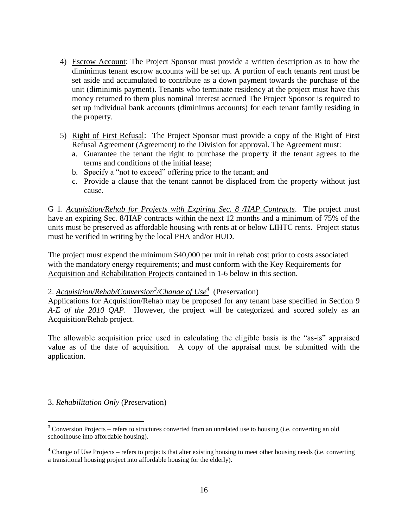- 4) Escrow Account: The Project Sponsor must provide a written description as to how the diminimus tenant escrow accounts will be set up. A portion of each tenants rent must be set aside and accumulated to contribute as a down payment towards the purchase of the unit (diminimis payment). Tenants who terminate residency at the project must have this money returned to them plus nominal interest accrued The Project Sponsor is required to set up individual bank accounts (diminimus accounts) for each tenant family residing in the property.
- 5) Right of First Refusal: The Project Sponsor must provide a copy of the Right of First Refusal Agreement (Agreement) to the Division for approval. The Agreement must:
	- a. Guarantee the tenant the right to purchase the property if the tenant agrees to the terms and conditions of the initial lease;
	- b. Specify a "not to exceed" offering price to the tenant; and
	- c. Provide a clause that the tenant cannot be displaced from the property without just cause.

G 1. *Acquisition/Rehab for Projects with Expiring Sec. 8 /HAP Contracts*. The project must have an expiring Sec. 8/HAP contracts within the next 12 months and a minimum of 75% of the units must be preserved as affordable housing with rents at or below LIHTC rents. Project status must be verified in writing by the local PHA and/or HUD.

The project must expend the minimum \$40,000 per unit in rehab cost prior to costs associated with the mandatory energy requirements; and must conform with the Key Requirements for Acquisition and Rehabilitation Projects contained in 1-6 below in this section.

# 2. *Acquisition/Rehab/Conversion<sup>3</sup> /Change of Use<sup>4</sup>* (Preservation)

Applications for Acquisition/Rehab may be proposed for any tenant base specified in Section 9 *A-E of the 2010 QAP*. However, the project will be categorized and scored solely as an Acquisition/Rehab project.

The allowable acquisition price used in calculating the eligible basis is the "as-is" appraised value as of the date of acquisition. A copy of the appraisal must be submitted with the application.

# 3. *Rehabilitation Only* (Preservation)

 $\overline{a}$ 

 $3$  Conversion Projects – refers to structures converted from an unrelated use to housing (i.e. converting an old schoolhouse into affordable housing).

 $4$  Change of Use Projects – refers to projects that alter existing housing to meet other housing needs (i.e. converting a transitional housing project into affordable housing for the elderly).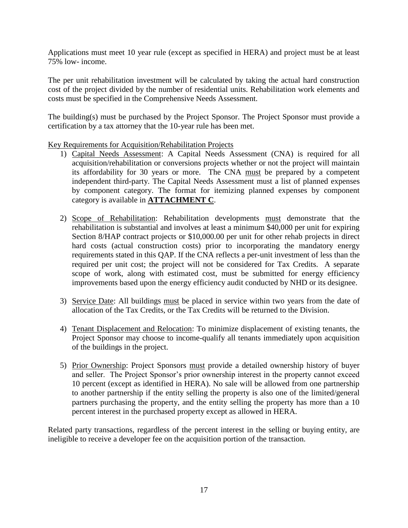Applications must meet 10 year rule (except as specified in HERA) and project must be at least 75% low- income.

The per unit rehabilitation investment will be calculated by taking the actual hard construction cost of the project divided by the number of residential units. Rehabilitation work elements and costs must be specified in the Comprehensive Needs Assessment.

The building(s) must be purchased by the Project Sponsor. The Project Sponsor must provide a certification by a tax attorney that the 10-year rule has been met.

Key Requirements for Acquisition/Rehabilitation Projects

- 1) Capital Needs Assessment: A Capital Needs Assessment (CNA) is required for all acquisition/rehabilitation or conversions projects whether or not the project will maintain its affordability for 30 years or more. The CNA must be prepared by a competent independent third-party. The Capital Needs Assessment must a list of planned expenses by component category. The format for itemizing planned expenses by component category is available in **ATTACHMENT C**.
- 2) Scope of Rehabilitation: Rehabilitation developments must demonstrate that the rehabilitation is substantial and involves at least a minimum \$40,000 per unit for expiring Section 8/HAP contract projects or \$10,000.00 per unit for other rehab projects in direct hard costs (actual construction costs) prior to incorporating the mandatory energy requirements stated in this QAP. If the CNA reflects a per-unit investment of less than the required per unit cost; the project will not be considered for Tax Credits. A separate scope of work, along with estimated cost, must be submitted for energy efficiency improvements based upon the energy efficiency audit conducted by NHD or its designee.
- 3) Service Date: All buildings must be placed in service within two years from the date of allocation of the Tax Credits, or the Tax Credits will be returned to the Division.
- 4) Tenant Displacement and Relocation: To minimize displacement of existing tenants, the Project Sponsor may choose to income-qualify all tenants immediately upon acquisition of the buildings in the project.
- 5) Prior Ownership: Project Sponsors must provide a detailed ownership history of buyer and seller. The Project Sponsor's prior ownership interest in the property cannot exceed 10 percent (except as identified in HERA). No sale will be allowed from one partnership to another partnership if the entity selling the property is also one of the limited/general partners purchasing the property, and the entity selling the property has more than a 10 percent interest in the purchased property except as allowed in HERA.

Related party transactions, regardless of the percent interest in the selling or buying entity, are ineligible to receive a developer fee on the acquisition portion of the transaction.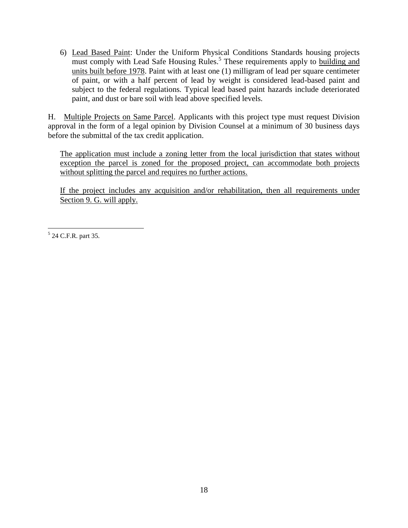6) Lead Based Paint: Under the Uniform Physical Conditions Standards housing projects must comply with Lead Safe Housing Rules.<sup>5</sup> These requirements apply to building and units built before 1978. Paint with at least one (1) milligram of lead per square centimeter of paint, or with a half percent of lead by weight is considered lead-based paint and subject to the federal regulations*.* Typical lead based paint hazards include deteriorated paint, and dust or bare soil with lead above specified levels.

H. Multiple Projects on Same Parcel. Applicants with this project type must request Division approval in the form of a legal opinion by Division Counsel at a minimum of 30 business days before the submittal of the tax credit application.

The application must include a zoning letter from the local jurisdiction that states without exception the parcel is zoned for the proposed project, can accommodate both projects without splitting the parcel and requires no further actions.

If the project includes any acquisition and/or rehabilitation, then all requirements under Section 9. G. will apply.

 $\overline{a}$ <sup>5</sup> 24 C.F.R. part 35.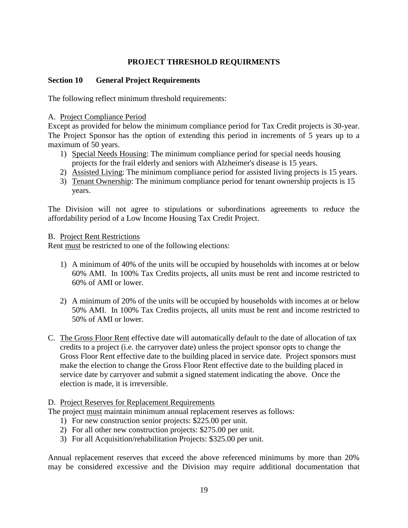# **PROJECT THRESHOLD REQUIRMENTS**

# **Section 10 General Project Requirements**

The following reflect minimum threshold requirements:

#### A. Project Compliance Period

Except as provided for below the minimum compliance period for Tax Credit projects is 30-year. The Project Sponsor has the option of extending this period in increments of 5 years up to a maximum of 50 years.

- 1) Special Needs Housing: The minimum compliance period for special needs housing projects for the frail elderly and seniors with Alzheimer's disease is 15 years.
- 2) Assisted Living: The minimum compliance period for assisted living projects is 15 years.
- 3) Tenant Ownership: The minimum compliance period for tenant ownership projects is 15 years.

The Division will not agree to stipulations or subordinations agreements to reduce the affordability period of a Low Income Housing Tax Credit Project.

#### B. Project Rent Restrictions

Rent must be restricted to one of the following elections:

- 1) A minimum of 40% of the units will be occupied by households with incomes at or below 60% AMI. In 100% Tax Credits projects, all units must be rent and income restricted to 60% of AMI or lower.
- 2) A minimum of 20% of the units will be occupied by households with incomes at or below 50% AMI. In 100% Tax Credits projects, all units must be rent and income restricted to 50% of AMI or lower.
- C. The Gross Floor Rent effective date will automatically default to the date of allocation of tax credits to a project (i.e. the carryover date) unless the project sponsor opts to change the Gross Floor Rent effective date to the building placed in service date. Project sponsors must make the election to change the Gross Floor Rent effective date to the building placed in service date by carryover and submit a signed statement indicating the above. Once the election is made, it is irreversible.

#### D. Project Reserves for Replacement Requirements

The project must maintain minimum annual replacement reserves as follows:

- 1) For new construction senior projects: \$225.00 per unit.
- 2) For all other new construction projects: \$275.00 per unit.
- 3) For all Acquisition/rehabilitation Projects: \$325.00 per unit.

Annual replacement reserves that exceed the above referenced minimums by more than 20% may be considered excessive and the Division may require additional documentation that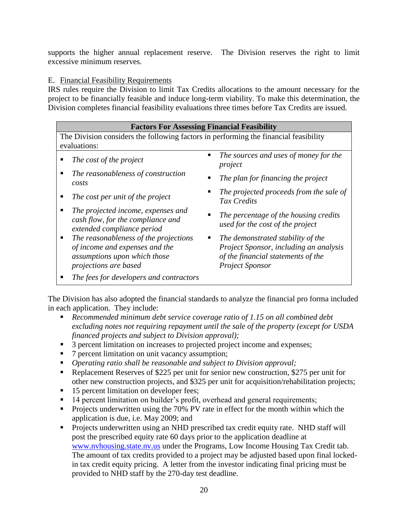supports the higher annual replacement reserve. The Division reserves the right to limit excessive minimum reserves.

# E. Financial Feasibility Requirements

IRS rules require the Division to limit Tax Credits allocations to the amount necessary for the project to be financially feasible and induce long-term viability. To make this determination, the Division completes financial feasibility evaluations three times before Tax Credits are issued.

#### **Factors For Assessing Financial Feasibility** The Division considers the following factors in performing the financial feasibility evaluations: ■ *The cost of the project* ■ *The sources and uses of money for the project The reasonableness of construction costs The plan for financing the project* ■ The cost per unit of the project ■ The projected proceeds from the sale of *Tax Credits The projected income, expenses and cash flow, for the compliance and extended compliance period The percentage of the housing credits used for the cost of the project The reasonableness of the projections of income and expenses and the assumptions upon which those projections are based The demonstrated stability of the Project Sponsor, including an analysis of the financial statements of the Project Sponsor*

*The fees for developers and contractors*

The Division has also adopted the financial standards to analyze the financial pro forma included in each application. They include:

- *Recommended minimum debt service coverage ratio of 1.15 on all combined debt excluding notes not requiring repayment until the sale of the property (except for USDA financed projects and subject to Division approval);*
- <sup>3</sup> 3 percent limitation on increases to projected project income and expenses;
- 7 percent limitation on unit vacancy assumption;
- *Operating ratio shall be reasonable and subject to Division approval;*
- Replacement Reserves of \$225 per unit for senior new construction, \$275 per unit for other new construction projects, and \$325 per unit for acquisition/rehabilitation projects;
- 15 percent limitation on developer fees;
- 14 percent limitation on builder's profit, overhead and general requirements;
- **Projects underwritten using the 70% PV rate in effect for the month within which the** application is due, i.e. May 2009; and
- **Projects underwritten using an NHD prescribed tax credit equity rate. NHD staff will** post the prescribed equity rate 60 days prior to the application deadline at [www.nvhousing.state.nv.us](http://www.nvhousing.state.nv.us/) under the Programs, Low Income Housing Tax Credit tab. The amount of tax credits provided to a project may be adjusted based upon final lockedin tax credit equity pricing. A letter from the investor indicating final pricing must be provided to NHD staff by the 270-day test deadline.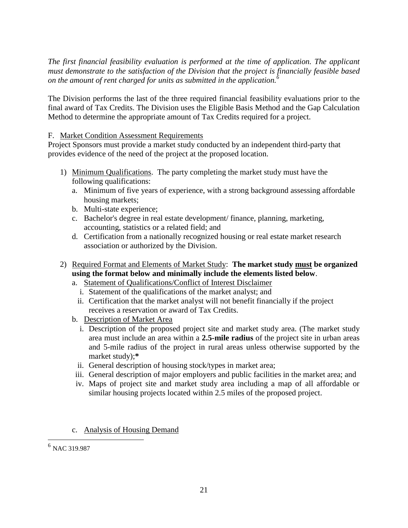*The first financial feasibility evaluation is performed at the time of application. The applicant must demonstrate to the satisfaction of the Division that the project is financially feasible based on the amount of rent charged for units as submitted in the application.<sup>6</sup>*

The Division performs the last of the three required financial feasibility evaluations prior to the final award of Tax Credits. The Division uses the Eligible Basis Method and the Gap Calculation Method to determine the appropriate amount of Tax Credits required for a project.

# F. Market Condition Assessment Requirements

Project Sponsors must provide a market study conducted by an independent third-party that provides evidence of the need of the project at the proposed location.

- 1) Minimum Qualifications. The party completing the market study must have the following qualifications:
	- a. Minimum of five years of experience, with a strong background assessing affordable housing markets;
	- b. Multi-state experience;
	- c. Bachelor's degree in real estate development/ finance, planning, marketing, accounting, statistics or a related field; and
	- d. Certification from a nationally recognized housing or real estate market research association or authorized by the Division.
- 2) Required Format and Elements of Market Study: **The market study must be organized using the format below and minimally include the elements listed below**.
	- a. Statement of Qualifications/Conflict of Interest Disclaimer
		- i. Statement of the qualifications of the market analyst; and
		- ii. Certification that the market analyst will not benefit financially if the project receives a reservation or award of Tax Credits.
	- b. Description of Market Area
		- i. Description of the proposed project site and market study area. (The market study area must include an area within a **2.5-mile radius** of the project site in urban areas and 5-mile radius of the project in rural areas unless otherwise supported by the market study);**\***
		- ii. General description of housing stock/types in market area;
	- iii. General description of major employers and public facilities in the market area; and
	- iv. Maps of project site and market study area including a map of all affordable or similar housing projects located within 2.5 miles of the proposed project.
	- c. Analysis of Housing Demand

 6 NAC 319.987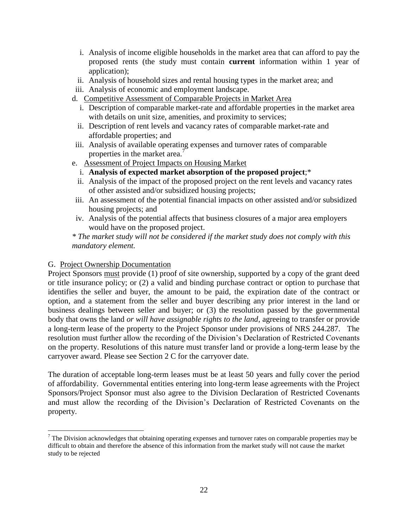- i. Analysis of income eligible households in the market area that can afford to pay the proposed rents (the study must contain **current** information within 1 year of application);
- ii. Analysis of household sizes and rental housing types in the market area; and
- iii. Analysis of economic and employment landscape.
- d. Competitive Assessment of Comparable Projects in Market Area
	- i. Description of comparable market-rate and affordable properties in the market area with details on unit size, amenities, and proximity to services;
	- ii. Description of rent levels and vacancy rates of comparable market-rate and affordable properties; and
- iii. Analysis of available operating expenses and turnover rates of comparable properties in the market area.<sup>7</sup>
- e. Assessment of Project Impacts on Housing Market
	- i. **Analysis of expected market absorption of the proposed project**;\*
	- ii. Analysis of the impact of the proposed project on the rent levels and vacancy rates of other assisted and/or subsidized housing projects;
- iii. An assessment of the potential financial impacts on other assisted and/or subsidized housing projects; and
- iv. Analysis of the potential affects that business closures of a major area employers would have on the proposed project.

*\* The market study will not be considered if the market study does not comply with this mandatory element.*

#### G. Project Ownership Documentation

 $\overline{a}$ 

Project Sponsors must provide (1) proof of site ownership, supported by a copy of the grant deed or title insurance policy; or (2) a valid and binding purchase contract or option to purchase that identifies the seller and buyer, the amount to be paid, the expiration date of the contract or option, and a statement from the seller and buyer describing any prior interest in the land or business dealings between seller and buyer; or (3) the resolution passed by the governmental body that owns the land *or will have assignable rights to the land*, agreeing to transfer or provide a long-term lease of the property to the Project Sponsor under provisions of NRS 244.287. The resolution must further allow the recording of the Division's Declaration of Restricted Covenants on the property. Resolutions of this nature must transfer land or provide a long-term lease by the carryover award. Please see Section 2 C for the carryover date.

The duration of acceptable long-term leases must be at least 50 years and fully cover the period of affordability. Governmental entities entering into long-term lease agreements with the Project Sponsors/Project Sponsor must also agree to the Division Declaration of Restricted Covenants and must allow the recording of the Division's Declaration of Restricted Covenants on the property.

 $7$  The Division acknowledges that obtaining operating expenses and turnover rates on comparable properties may be difficult to obtain and therefore the absence of this information from the market study will not cause the market study to be rejected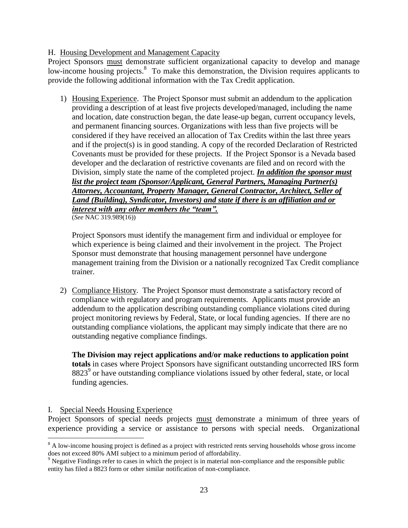# H. Housing Development and Management Capacity

Project Sponsors must demonstrate sufficient organizational capacity to develop and manage low-income housing projects.<sup>8</sup> To make this demonstration, the Division requires applicants to provide the following additional information with the Tax Credit application.

1) Housing Experience. The Project Sponsor must submit an addendum to the application providing a description of at least five projects developed/managed, including the name and location, date construction began, the date lease-up began, current occupancy levels, and permanent financing sources. Organizations with less than five projects will be considered if they have received an allocation of Tax Credits within the last three years and if the project(s) is in good standing. A copy of the recorded Declaration of Restricted Covenants must be provided for these projects. If the Project Sponsor is a Nevada based developer and the declaration of restrictive covenants are filed and on record with the Division, simply state the name of the completed project. *In addition the sponsor must list the project team (Sponsor/Applicant, General Partners, Managing Partner(s) Attorney, Accountant, Property Manager, General Contractor, Architect, Seller of Land (Building), Syndicator, Investors) and state if there is an affiliation and or interest with any other members the "team".* 

(*See* NAC 319.989(16))

Project Sponsors must identify the management firm and individual or employee for which experience is being claimed and their involvement in the project. The Project Sponsor must demonstrate that housing management personnel have undergone management training from the Division or a nationally recognized Tax Credit compliance trainer.

2) Compliance History. The Project Sponsor must demonstrate a satisfactory record of compliance with regulatory and program requirements. Applicants must provide an addendum to the application describing outstanding compliance violations cited during project monitoring reviews by Federal, State, or local funding agencies. If there are no outstanding compliance violations, the applicant may simply indicate that there are no outstanding negative compliance findings.

**The Division may reject applications and/or make reductions to application point totals** in cases where Project Sponsors have significant outstanding uncorrected IRS form 8823<sup>9</sup> or have outstanding compliance violations issued by other federal, state, or local funding agencies.

#### I. Special Needs Housing Experience

 $\overline{a}$ 

Project Sponsors of special needs projects must demonstrate a minimum of three years of experience providing a service or assistance to persons with special needs. Organizational

<sup>&</sup>lt;sup>8</sup> A low-income housing project is defined as a project with restricted rents serving households whose gross income does not exceed 80% AMI subject to a minimum period of affordability.

<sup>&</sup>lt;sup>9</sup> Negative Findings refer to cases in which the project is in material non-compliance and the responsible public entity has filed a 8823 form or other similar notification of non-compliance.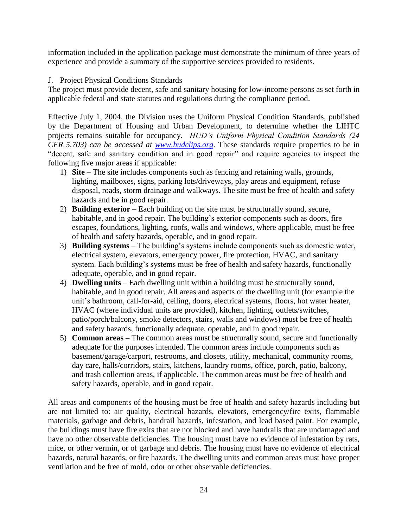information included in the application package must demonstrate the minimum of three years of experience and provide a summary of the supportive services provided to residents.

#### J. Project Physical Conditions Standards

The project must provide decent, safe and sanitary housing for low-income persons as set forth in applicable federal and state statutes and regulations during the compliance period.

Effective July 1, 2004, the Division uses the Uniform Physical Condition Standards, published by the Department of Housing and Urban Development, to determine whether the LIHTC projects remains suitable for occupancy. *HUD's Uniform Physical Condition Standards (24 CFR 5.703) can be accessed at [www.hudclips.org](http://www.hudclips.org/)*. These standards require properties to be in "decent, safe and sanitary condition and in good repair" and require agencies to inspect the following five major areas if applicable:

- 1) **Site**  The site includes components such as fencing and retaining walls, grounds, lighting, mailboxes, signs, parking lots/driveways, play areas and equipment, refuse disposal, roads, storm drainage and walkways. The site must be free of health and safety hazards and be in good repair.
- 2) **Building exterior**  Each building on the site must be structurally sound, secure, habitable, and in good repair. The building's exterior components such as doors, fire escapes, foundations, lighting, roofs, walls and windows, where applicable, must be free of health and safety hazards, operable, and in good repair.
- 3) **Building systems** The building's systems include components such as domestic water, electrical system, elevators, emergency power, fire protection, HVAC, and sanitary system. Each building's systems must be free of health and safety hazards, functionally adequate, operable, and in good repair.
- 4) **Dwelling units**  Each dwelling unit within a building must be structurally sound, habitable, and in good repair. All areas and aspects of the dwelling unit (for example the unit's bathroom, call-for-aid, ceiling, doors, electrical systems, floors, hot water heater, HVAC (where individual units are provided), kitchen, lighting, outlets/switches, patio/porch/balcony, smoke detectors, stairs, walls and windows) must be free of health and safety hazards, functionally adequate, operable, and in good repair.
- 5) **Common areas**  The common areas must be structurally sound, secure and functionally adequate for the purposes intended. The common areas include components such as basement/garage/carport, restrooms, and closets, utility, mechanical, community rooms, day care, halls/corridors, stairs, kitchens, laundry rooms, office, porch, patio, balcony, and trash collection areas, if applicable. The common areas must be free of health and safety hazards, operable, and in good repair.

All areas and components of the housing must be free of health and safety hazards including but are not limited to: air quality, electrical hazards, elevators, emergency/fire exits, flammable materials, garbage and debris, handrail hazards, infestation, and lead based paint. For example, the buildings must have fire exits that are not blocked and have handrails that are undamaged and have no other observable deficiencies. The housing must have no evidence of infestation by rats, mice, or other vermin, or of garbage and debris. The housing must have no evidence of electrical hazards, natural hazards, or fire hazards. The dwelling units and common areas must have proper ventilation and be free of mold, odor or other observable deficiencies.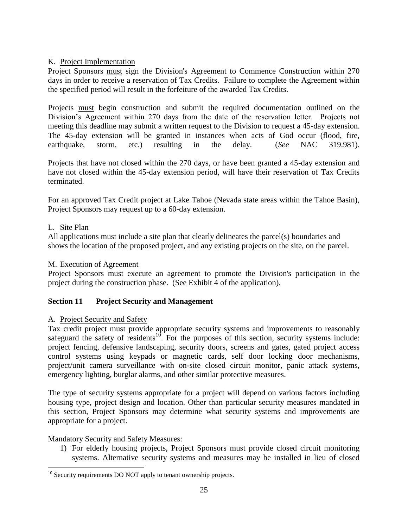# K. Project Implementation

Project Sponsors must sign the Division's Agreement to Commence Construction within 270 days in order to receive a reservation of Tax Credits. Failure to complete the Agreement within the specified period will result in the forfeiture of the awarded Tax Credits.

Projects must begin construction and submit the required documentation outlined on the Division's Agreement within 270 days from the date of the reservation letter. Projects not meeting this deadline may submit a written request to the Division to request a 45-day extension. The 45-day extension will be granted in instances when acts of God occur (flood, fire, earthquake, storm, etc.) resulting in the delay. (*See* NAC 319.981).

Projects that have not closed within the 270 days, or have been granted a 45-day extension and have not closed within the 45-day extension period, will have their reservation of Tax Credits terminated.

For an approved Tax Credit project at Lake Tahoe (Nevada state areas within the Tahoe Basin), Project Sponsors may request up to a 60-day extension.

#### L. Site Plan

 $\overline{a}$ 

All applications must include a site plan that clearly delineates the parcel(s) boundaries and shows the location of the proposed project, and any existing projects on the site, on the parcel.

#### M. Execution of Agreement

Project Sponsors must execute an agreement to promote the Division's participation in the project during the construction phase. (See Exhibit 4 of the application).

# **Section 11 Project Security and Management**

#### A. Project Security and Safety

Tax credit project must provide appropriate security systems and improvements to reasonably safeguard the safety of residents<sup>10</sup>. For the purposes of this section, security systems include: project fencing, defensive landscaping, security doors, screens and gates, gated project access control systems using keypads or magnetic cards, self door locking door mechanisms, project/unit camera surveillance with on-site closed circuit monitor, panic attack systems, emergency lighting, burglar alarms, and other similar protective measures.

The type of security systems appropriate for a project will depend on various factors including housing type, project design and location. Other than particular security measures mandated in this section, Project Sponsors may determine what security systems and improvements are appropriate for a project.

#### Mandatory Security and Safety Measures:

1) For elderly housing projects, Project Sponsors must provide closed circuit monitoring systems. Alternative security systems and measures may be installed in lieu of closed

 $10$  Security requirements DO NOT apply to tenant ownership projects.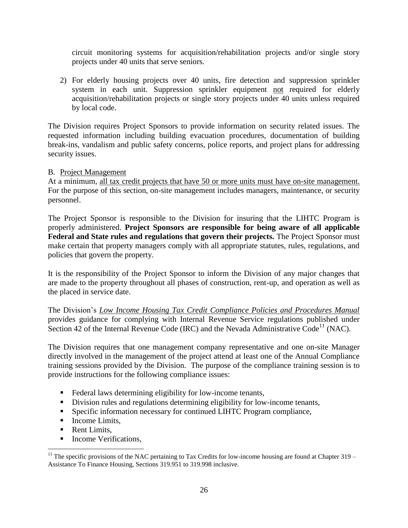circuit monitoring systems for acquisition/rehabilitation projects and/or single story projects under 40 units that serve seniors.

2) For elderly housing projects over 40 units, fire detection and suppression sprinkler system in each unit. Suppression sprinkler equipment not required for elderly acquisition/rehabilitation projects or single story projects under 40 units unless required by local code.

The Division requires Project Sponsors to provide information on security related issues. The requested information including building evacuation procedures, documentation of building break-ins, vandalism and public safety concerns, police reports, and project plans for addressing security issues.

#### B. Project Management

At a minimum, all tax credit projects that have 50 or more units must have on-site management. For the purpose of this section, on-site management includes managers, maintenance, or security personnel.

The Project Sponsor is responsible to the Division for insuring that the LIHTC Program is properly administered. **Project Sponsors are responsible for being aware of all applicable Federal and State rules and regulations that govern their projects.** The Project Sponsor must make certain that property managers comply with all appropriate statutes, rules, regulations, and policies that govern the property.

It is the responsibility of the Project Sponsor to inform the Division of any major changes that are made to the property throughout all phases of construction, rent-up, and operation as well as the placed in service date.

The Division's *Low Income Housing Tax Credit Compliance Policies and Procedures Manual* provides guidance for complying with Internal Revenue Service regulations published under Section 42 of the Internal Revenue Code (IRC) and the Nevada Administrative Code<sup>11</sup> (NAC).

The Division requires that one management company representative and one on-site Manager directly involved in the management of the project attend at least one of the Annual Compliance training sessions provided by the Division. The purpose of the compliance training session is to provide instructions for the following compliance issues:

- Federal laws determining eligibility for low-income tenants,
- Division rules and regulations determining eligibility for low-income tenants,
- Specific information necessary for continued LIHTC Program compliance,
- **Income Limits,**
- Rent Limits,

 $\overline{a}$ 

■ Income Verifications.

<sup>&</sup>lt;sup>11</sup> The specific provisions of the NAC pertaining to Tax Credits for low-income housing are found at Chapter  $319 -$ Assistance To Finance Housing, Sections 319.951 to 319.998 inclusive.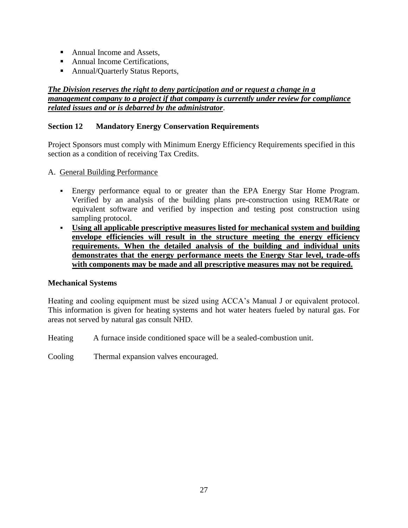- Annual Income and Assets,
- Annual Income Certifications,
- Annual/Quarterly Status Reports,

# *The Division reserves the right to deny participation and or request a change in a management company to a project if that company is currently under review for compliance related issues and or is debarred by the administrator*.

# **Section 12 Mandatory Energy Conservation Requirements**

Project Sponsors must comply with Minimum Energy Efficiency Requirements specified in this section as a condition of receiving Tax Credits.

- A. General Building Performance
	- Energy performance equal to or greater than the EPA Energy Star Home Program. Verified by an analysis of the building plans pre-construction using REM/Rate or equivalent software and verified by inspection and testing post construction using sampling protocol.
	- **Using all applicable prescriptive measures listed for mechanical system and building envelope efficiencies will result in the structure meeting the energy efficiency requirements. When the detailed analysis of the building and individual units demonstrates that the energy performance meets the Energy Star level, trade-offs with components may be made and all prescriptive measures may not be required.**

#### **Mechanical Systems**

Heating and cooling equipment must be sized using ACCA's Manual J or equivalent protocol. This information is given for heating systems and hot water heaters fueled by natural gas. For areas not served by natural gas consult NHD.

Heating A furnace inside conditioned space will be a sealed-combustion unit.

Cooling Thermal expansion valves encouraged.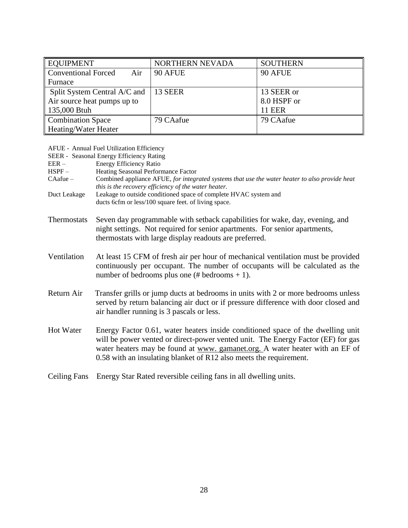| <b>EQUIPMENT</b>                  | NORTHERN NEVADA | <b>SOUTHERN</b> |
|-----------------------------------|-----------------|-----------------|
| <b>Conventional Forced</b><br>Air | 90 AFUE         | 90 AFUE         |
| Furnace                           |                 |                 |
| Split System Central A/C and      | 13 SEER         | 13 SEER or      |
| Air source heat pumps up to       |                 | 8.0 HSPF or     |
| 135,000 Btuh                      |                 | <b>11 EER</b>   |
| <b>Combination Space</b>          | 79 CAafue       | 79 CAafue       |
| Heating/Water Heater              |                 |                 |

|                     | AFUE - Annual Fuel Utilization Efficiency                                                                                                                                                                                                                                                                                 |
|---------------------|---------------------------------------------------------------------------------------------------------------------------------------------------------------------------------------------------------------------------------------------------------------------------------------------------------------------------|
|                     | SEER - Seasonal Energy Efficiency Rating                                                                                                                                                                                                                                                                                  |
| $EER -$<br>$HSPF -$ | Energy Efficiency Ratio                                                                                                                                                                                                                                                                                                   |
| $CAafue -$          | Heating Seasonal Performance Factor                                                                                                                                                                                                                                                                                       |
|                     | Combined appliance AFUE, for integrated systems that use the water heater to also provide heat<br>this is the recovery efficiency of the water heater.                                                                                                                                                                    |
| Duct Leakage        | Leakage to outside conditioned space of complete HVAC system and                                                                                                                                                                                                                                                          |
|                     | ducts 6cfm or less/100 square feet. of living space.                                                                                                                                                                                                                                                                      |
| Thermostats         | Seven day programmable with setback capabilities for wake, day, evening, and<br>night settings. Not required for senior apartments. For senior apartments,<br>thermostats with large display readouts are preferred.                                                                                                      |
| Ventilation         | At least 15 CFM of fresh air per hour of mechanical ventilation must be provided<br>continuously per occupant. The number of occupants will be calculated as the<br>number of bedrooms plus one (# bedrooms $+ 1$ ).                                                                                                      |
| Return Air          | Transfer grills or jump ducts at bedrooms in units with 2 or more bedrooms unless<br>served by return balancing air duct or if pressure difference with door closed and<br>air handler running is 3 pascals or less.                                                                                                      |
| <b>Hot Water</b>    | Energy Factor 0.61, water heaters inside conditioned space of the dwelling unit<br>will be power vented or direct-power vented unit. The Energy Factor (EF) for gas<br>water heaters may be found at www. gamanet.org. A water heater with an EF of<br>0.58 with an insulating blanket of R12 also meets the requirement. |
| <b>Ceiling Fans</b> | Energy Star Rated reversible ceiling fans in all dwelling units.                                                                                                                                                                                                                                                          |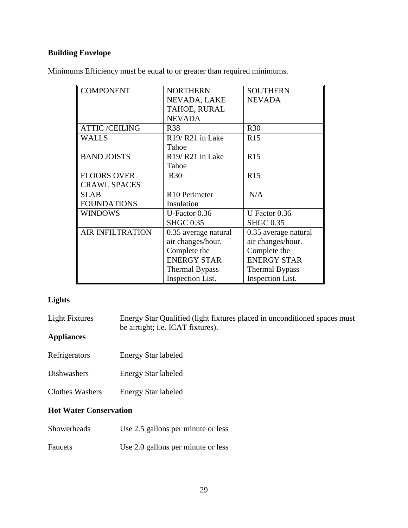# **Building Envelope**

Minimums Efficiency must be equal to or greater than required minimums.

| <b>COMPONENT</b>        | <b>NORTHERN</b>                          | <b>SOUTHERN</b>       |
|-------------------------|------------------------------------------|-----------------------|
|                         | NEVADA, LAKE                             | <b>NEVADA</b>         |
|                         | TAHOE, RURAL                             |                       |
|                         | <b>NEVADA</b>                            |                       |
| <b>ATTIC/CEILING</b>    | <b>R38</b>                               | <b>R30</b>            |
| <b>WALLS</b>            | R <sub>19</sub> /R <sub>21</sub> in Lake | R15                   |
|                         | Tahoe                                    |                       |
| <b>BAND JOISTS</b>      | R <sub>19</sub> /R <sub>21</sub> in Lake | <b>R15</b>            |
|                         | Tahoe                                    |                       |
| <b>FLOORS OVER</b>      | <b>R30</b>                               | R15                   |
| <b>CRAWL SPACES</b>     |                                          |                       |
| <b>SLAB</b>             | R <sub>10</sub> Perimeter                | N/A                   |
| <b>FOUNDATIONS</b>      | Insulation                               |                       |
| <b>WINDOWS</b>          | U-Factor 0.36                            | U Factor 0.36         |
|                         | <b>SHGC 0.35</b>                         | <b>SHGC 0.35</b>      |
| <b>AIR INFILTRATION</b> | 0.35 average natural                     | 0.35 average natural  |
|                         | air changes/hour.                        | air changes/hour.     |
|                         | Complete the                             | Complete the          |
|                         | <b>ENERGY STAR</b>                       | <b>ENERGY STAR</b>    |
|                         | <b>Thermal Bypass</b>                    | <b>Thermal Bypass</b> |
|                         | <b>Inspection List.</b>                  | Inspection List.      |

# **Lights**

| Light Fixtures                | Energy Star Qualified (light fixtures placed in unconditioned spaces must<br>be airtight; <i>i.e.</i> ICAT fixtures). |
|-------------------------------|-----------------------------------------------------------------------------------------------------------------------|
| <b>Appliances</b>             |                                                                                                                       |
| Refrigerators                 | <b>Energy Star labeled</b>                                                                                            |
| Dishwashers                   | <b>Energy Star labeled</b>                                                                                            |
| <b>Clothes Washers</b>        | <b>Energy Star labeled</b>                                                                                            |
| <b>Hot Water Conservation</b> |                                                                                                                       |
| Showerheads                   | Use 2.5 gallons per minute or less                                                                                    |
|                               |                                                                                                                       |

Faucets Use 2.0 gallons per minute or less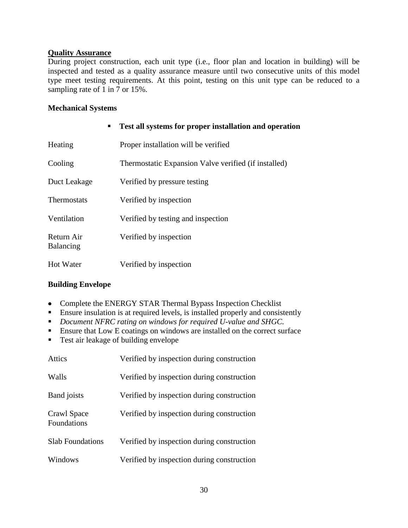#### **Quality Assurance**

During project construction, each unit type (i.e., floor plan and location in building) will be inspected and tested as a quality assurance measure until two consecutive units of this model type meet testing requirements. At this point, testing on this unit type can be reduced to a sampling rate of 1 in 7 or 15%.

#### **Mechanical Systems**

| ٠                       | Test all systems for proper installation and operation |
|-------------------------|--------------------------------------------------------|
| Heating                 | Proper installation will be verified                   |
| Cooling                 | Thermostatic Expansion Valve verified (if installed)   |
| Duct Leakage            | Verified by pressure testing                           |
| Thermostats             | Verified by inspection                                 |
| Ventilation             | Verified by testing and inspection                     |
| Return Air<br>Balancing | Verified by inspection                                 |
| <b>Hot Water</b>        | Verified by inspection                                 |

# **Building Envelope**

- Complete the ENERGY STAR Thermal Bypass Inspection Checklist
- Ensure insulation is at required levels, is installed properly and consistently
- *Document NFRC rating on windows for required U-value and SHGC.*
- **Ensure that Low E coatings on windows are installed on the correct surface**
- Test air leakage of building envelope

| <b>Attics</b>                     | Verified by inspection during construction |
|-----------------------------------|--------------------------------------------|
| Walls                             | Verified by inspection during construction |
| <b>Band</b> joists                | Verified by inspection during construction |
| Crawl Space<br><b>Foundations</b> | Verified by inspection during construction |
| <b>Slab Foundations</b>           | Verified by inspection during construction |
| Windows                           | Verified by inspection during construction |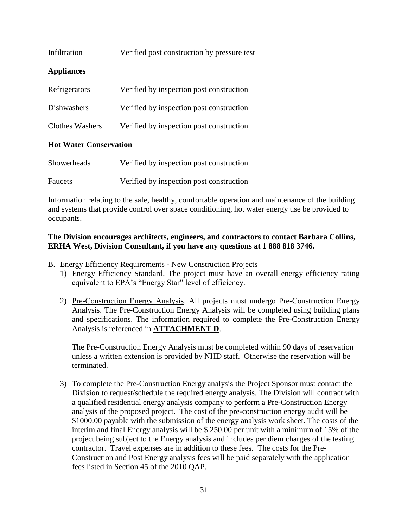| Infiltration      | Verified post construction by pressure test |
|-------------------|---------------------------------------------|
| <b>Appliances</b> |                                             |
| Refrigerators     | Verified by inspection post construction    |
| Dishwashers       | Verified by inspection post construction    |
| Clothes Washers   | Verified by inspection post construction    |
|                   |                                             |

#### **Hot Water Conservation**

| <b>Showerheads</b> | Verified by inspection post construction |
|--------------------|------------------------------------------|
| <b>Faucets</b>     | Verified by inspection post construction |

Information relating to the safe, healthy, comfortable operation and maintenance of the building and systems that provide control over space conditioning, hot water energy use be provided to occupants.

#### **The Division encourages architects, engineers, and contractors to contact Barbara Collins, ERHA West, Division Consultant, if you have any questions at 1 888 818 3746.**

B. Energy Efficiency Requirements - New Construction Projects

- 1) Energy Efficiency Standard. The project must have an overall energy efficiency rating equivalent to EPA's "Energy Star" level of efficiency.
- 2) Pre-Construction Energy Analysis. All projects must undergo Pre-Construction Energy Analysis. The Pre-Construction Energy Analysis will be completed using building plans and specifications. The information required to complete the Pre-Construction Energy Analysis is referenced in **ATTACHMENT D**.

The Pre-Construction Energy Analysis must be completed within 90 days of reservation unless a written extension is provided by NHD staff. Otherwise the reservation will be terminated.

3) To complete the Pre-Construction Energy analysis the Project Sponsor must contact the Division to request/schedule the required energy analysis. The Division will contract with a qualified residential energy analysis company to perform a Pre-Construction Energy analysis of the proposed project. The cost of the pre-construction energy audit will be \$1000.00 payable with the submission of the energy analysis work sheet. The costs of the interim and final Energy analysis will be \$ 250.00 per unit with a minimum of 15% of the project being subject to the Energy analysis and includes per diem charges of the testing contractor. Travel expenses are in addition to these fees. The costs for the Pre-Construction and Post Energy analysis fees will be paid separately with the application fees listed in Section 45 of the 2010 QAP.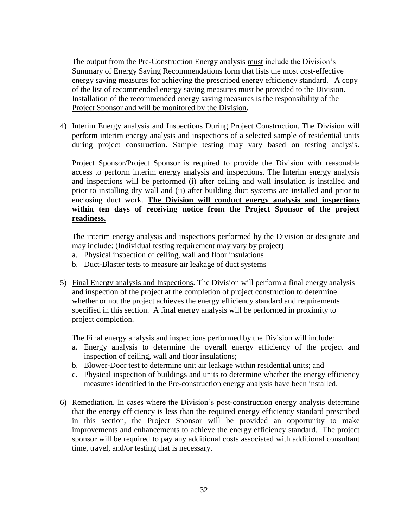The output from the Pre-Construction Energy analysis must include the Division's Summary of Energy Saving Recommendations form that lists the most cost-effective energy saving measures for achieving the prescribed energy efficiency standard. A copy of the list of recommended energy saving measures must be provided to the Division. Installation of the recommended energy saving measures is the responsibility of the Project Sponsor and will be monitored by the Division.

4) Interim Energy analysis and Inspections During Project Construction. The Division will perform interim energy analysis and inspections of a selected sample of residential units during project construction. Sample testing may vary based on testing analysis.

Project Sponsor/Project Sponsor is required to provide the Division with reasonable access to perform interim energy analysis and inspections. The Interim energy analysis and inspections will be performed (i) after ceiling and wall insulation is installed and prior to installing dry wall and (ii) after building duct systems are installed and prior to enclosing duct work. **The Division will conduct energy analysis and inspections within ten days of receiving notice from the Project Sponsor of the project readiness.** 

The interim energy analysis and inspections performed by the Division or designate and may include: (Individual testing requirement may vary by project)

- a. Physical inspection of ceiling, wall and floor insulations
- b. Duct-Blaster tests to measure air leakage of duct systems
- 5) Final Energy analysis and Inspections. The Division will perform a final energy analysis and inspection of the project at the completion of project construction to determine whether or not the project achieves the energy efficiency standard and requirements specified in this section. A final energy analysis will be performed in proximity to project completion.

The Final energy analysis and inspections performed by the Division will include:

- a. Energy analysis to determine the overall energy efficiency of the project and inspection of ceiling, wall and floor insulations;
- b. Blower-Door test to determine unit air leakage within residential units; and
- c. Physical inspection of buildings and units to determine whether the energy efficiency measures identified in the Pre-construction energy analysis have been installed.
- 6) Remediation. In cases where the Division's post-construction energy analysis determine that the energy efficiency is less than the required energy efficiency standard prescribed in this section, the Project Sponsor will be provided an opportunity to make improvements and enhancements to achieve the energy efficiency standard. The project sponsor will be required to pay any additional costs associated with additional consultant time, travel, and/or testing that is necessary.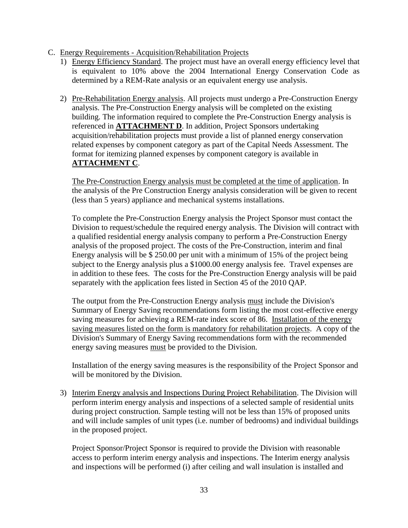#### C. Energy Requirements - Acquisition/Rehabilitation Projects

- 1) Energy Efficiency Standard. The project must have an overall energy efficiency level that is equivalent to 10% above the 2004 International Energy Conservation Code as determined by a REM-Rate analysis or an equivalent energy use analysis.
- 2) Pre-Rehabilitation Energy analysis. All projects must undergo a Pre-Construction Energy analysis. The Pre-Construction Energy analysis will be completed on the existing building. The information required to complete the Pre-Construction Energy analysis is referenced in **ATTACHMENT D**. In addition, Project Sponsors undertaking acquisition/rehabilitation projects must provide a list of planned energy conservation related expenses by component category as part of the Capital Needs Assessment. The format for itemizing planned expenses by component category is available in **ATTACHMENT C**.

The Pre-Construction Energy analysis must be completed at the time of application. In the analysis of the Pre Construction Energy analysis consideration will be given to recent (less than 5 years) appliance and mechanical systems installations.

To complete the Pre-Construction Energy analysis the Project Sponsor must contact the Division to request/schedule the required energy analysis. The Division will contract with a qualified residential energy analysis company to perform a Pre-Construction Energy analysis of the proposed project. The costs of the Pre-Construction, interim and final Energy analysis will be \$ 250.00 per unit with a minimum of 15% of the project being subject to the Energy analysis plus a \$1000.00 energy analysis fee. Travel expenses are in addition to these fees. The costs for the Pre-Construction Energy analysis will be paid separately with the application fees listed in Section 45 of the 2010 QAP.

The output from the Pre-Construction Energy analysis must include the Division's Summary of Energy Saving recommendations form listing the most cost-effective energy saving measures for achieving a REM-rate index score of 86. Installation of the energy saving measures listed on the form is mandatory for rehabilitation projects. A copy of the Division's Summary of Energy Saving recommendations form with the recommended energy saving measures must be provided to the Division.

Installation of the energy saving measures is the responsibility of the Project Sponsor and will be monitored by the Division.

3) Interim Energy analysis and Inspections During Project Rehabilitation. The Division will perform interim energy analysis and inspections of a selected sample of residential units during project construction. Sample testing will not be less than 15% of proposed units and will include samples of unit types (i.e. number of bedrooms) and individual buildings in the proposed project.

Project Sponsor/Project Sponsor is required to provide the Division with reasonable access to perform interim energy analysis and inspections. The Interim energy analysis and inspections will be performed (i) after ceiling and wall insulation is installed and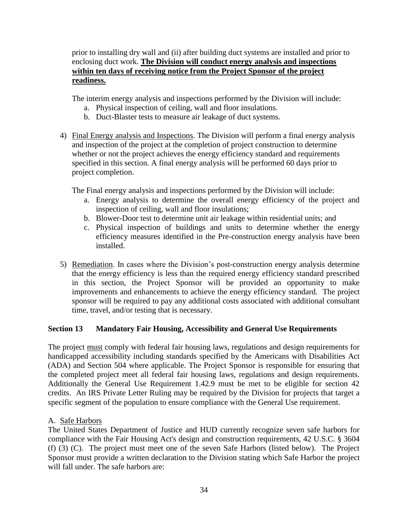prior to installing dry wall and (ii) after building duct systems are installed and prior to enclosing duct work. **The Division will conduct energy analysis and inspections within ten days of receiving notice from the Project Sponsor of the project readiness.** 

The interim energy analysis and inspections performed by the Division will include:

- a. Physical inspection of ceiling, wall and floor insulations.
- b. Duct-Blaster tests to measure air leakage of duct systems.
- 4) Final Energy analysis and Inspections. The Division will perform a final energy analysis and inspection of the project at the completion of project construction to determine whether or not the project achieves the energy efficiency standard and requirements specified in this section. A final energy analysis will be performed 60 days prior to project completion.

The Final energy analysis and inspections performed by the Division will include:

- a. Energy analysis to determine the overall energy efficiency of the project and inspection of ceiling, wall and floor insulations;
- b. Blower-Door test to determine unit air leakage within residential units; and
- c. Physical inspection of buildings and units to determine whether the energy efficiency measures identified in the Pre-construction energy analysis have been installed.
- 5) Remediation. In cases where the Division's post-construction energy analysis determine that the energy efficiency is less than the required energy efficiency standard prescribed in this section, the Project Sponsor will be provided an opportunity to make improvements and enhancements to achieve the energy efficiency standard. The project sponsor will be required to pay any additional costs associated with additional consultant time, travel, and/or testing that is necessary.

# **Section 13 Mandatory Fair Housing, Accessibility and General Use Requirements**

The project must comply with federal fair housing laws, regulations and design requirements for handicapped accessibility including standards specified by the Americans with Disabilities Act (ADA) and Section 504 where applicable. The Project Sponsor is responsible for ensuring that the completed project meet all federal fair housing laws, regulations and design requirements. Additionally the General Use Requirement 1.42.9 must be met to be eligible for section 42 credits. An IRS Private Letter Ruling may be required by the Division for projects that target a specific segment of the population to ensure compliance with the General Use requirement.

A. Safe Harbors

The United States Department of Justice and HUD currently recognize seven safe harbors for compliance with the Fair Housing Act's design and construction requirements, 42 U.S.C. § 3604 (f) (3) (C). The project must meet one of the seven Safe Harbors (listed below). The Project Sponsor must provide a written declaration to the Division stating which Safe Harbor the project will fall under. The safe harbors are: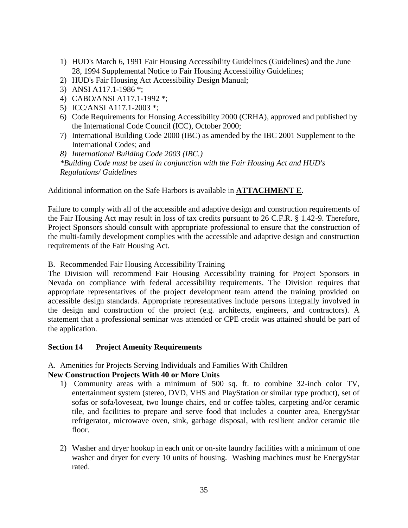- 1) HUD's March 6, 1991 Fair Housing Accessibility Guidelines (Guidelines) and the June 28, 1994 Supplemental Notice to Fair Housing Accessibility Guidelines;
- 2) HUD's Fair Housing Act Accessibility Design Manual;
- 3) ANSI A117.1-1986 \*;
- 4) CABO/ANSI A117.1-1992 \*;
- 5) ICC/ANSI A117.1-2003 \*;
- 6) Code Requirements for Housing Accessibility 2000 (CRHA), approved and published by the International Code Council (ICC), October 2000;
- 7) International Building Code 2000 (IBC) as amended by the IBC 2001 Supplement to the International Codes; and

*8) International Building Code 2003 (IBC.)*

*\*Building Code must be used in conjunction with the Fair Housing Act and HUD's Regulations/ Guidelines* 

Additional information on the Safe Harbors is available in **ATTACHMENT E**.

Failure to comply with all of the accessible and adaptive design and construction requirements of the Fair Housing Act may result in loss of tax credits pursuant to 26 C.F.R. § 1.42-9. Therefore, Project Sponsors should consult with appropriate professional to ensure that the construction of the multi-family development complies with the accessible and adaptive design and construction requirements of the Fair Housing Act.

B. Recommended Fair Housing Accessibility Training

The Division will recommend Fair Housing Accessibility training for Project Sponsors in Nevada on compliance with federal accessibility requirements. The Division requires that appropriate representatives of the project development team attend the training provided on accessible design standards. Appropriate representatives include persons integrally involved in the design and construction of the project (e.g. architects, engineers, and contractors). A statement that a professional seminar was attended or CPE credit was attained should be part of the application.

#### **Section 14 Project Amenity Requirements**

# A. Amenities for Projects Serving Individuals and Families With Children

# **New Construction Projects With 40 or More Units**

- 1) Community areas with a minimum of 500 sq. ft. to combine 32-inch color TV, entertainment system (stereo, DVD, VHS and PlayStation or similar type product), set of sofas or sofa/loveseat, two lounge chairs, end or coffee tables, carpeting and/or ceramic tile, and facilities to prepare and serve food that includes a counter area, EnergyStar refrigerator, microwave oven, sink, garbage disposal, with resilient and/or ceramic tile floor.
- 2) Washer and dryer hookup in each unit or on-site laundry facilities with a minimum of one washer and dryer for every 10 units of housing. Washing machines must be EnergyStar rated.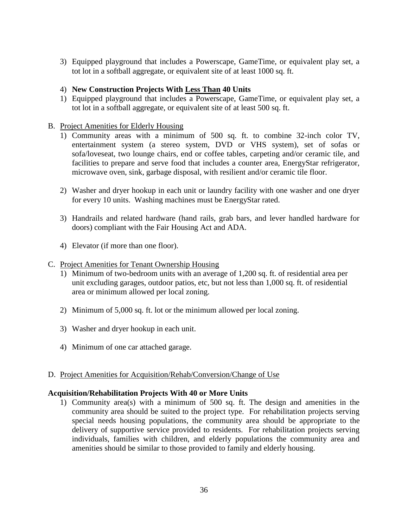3) Equipped playground that includes a Powerscape, GameTime, or equivalent play set, a tot lot in a softball aggregate, or equivalent site of at least 1000 sq. ft.

### 4) **New Construction Projects With Less Than 40 Units**

1) Equipped playground that includes a Powerscape, GameTime, or equivalent play set, a tot lot in a softball aggregate, or equivalent site of at least 500 sq. ft.

### B. Project Amenities for Elderly Housing

- 1) Community areas with a minimum of 500 sq. ft. to combine 32-inch color TV, entertainment system (a stereo system, DVD or VHS system), set of sofas or sofa/loveseat, two lounge chairs, end or coffee tables, carpeting and/or ceramic tile, and facilities to prepare and serve food that includes a counter area, EnergyStar refrigerator, microwave oven, sink, garbage disposal, with resilient and/or ceramic tile floor.
- 2) Washer and dryer hookup in each unit or laundry facility with one washer and one dryer for every 10 units. Washing machines must be EnergyStar rated.
- 3) Handrails and related hardware (hand rails, grab bars, and lever handled hardware for doors) compliant with the Fair Housing Act and ADA.
- 4) Elevator (if more than one floor).
- C. Project Amenities for Tenant Ownership Housing
	- 1) Minimum of two-bedroom units with an average of 1,200 sq. ft. of residential area per unit excluding garages, outdoor patios, etc, but not less than 1,000 sq. ft. of residential area or minimum allowed per local zoning.
	- 2) Minimum of 5,000 sq. ft. lot or the minimum allowed per local zoning.
	- 3) Washer and dryer hookup in each unit.
	- 4) Minimum of one car attached garage.

#### D. Project Amenities for Acquisition/Rehab/Conversion/Change of Use

#### **Acquisition/Rehabilitation Projects With 40 or More Units**

1) Community area(s) with a minimum of 500 sq. ft. The design and amenities in the community area should be suited to the project type. For rehabilitation projects serving special needs housing populations, the community area should be appropriate to the delivery of supportive service provided to residents. For rehabilitation projects serving individuals, families with children, and elderly populations the community area and amenities should be similar to those provided to family and elderly housing.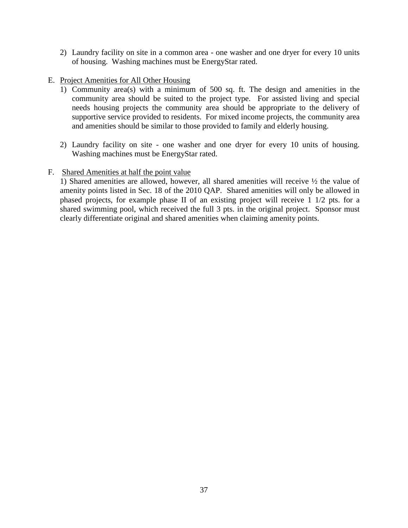- 2) Laundry facility on site in a common area one washer and one dryer for every 10 units of housing. Washing machines must be EnergyStar rated.
- E. Project Amenities for All Other Housing
	- 1) Community area(s) with a minimum of 500 sq. ft. The design and amenities in the community area should be suited to the project type. For assisted living and special needs housing projects the community area should be appropriate to the delivery of supportive service provided to residents. For mixed income projects, the community area and amenities should be similar to those provided to family and elderly housing.
	- 2) Laundry facility on site one washer and one dryer for every 10 units of housing. Washing machines must be EnergyStar rated.

### F. Shared Amenities at half the point value

1) Shared amenities are allowed, however, all shared amenities will receive ½ the value of amenity points listed in Sec. 18 of the 2010 QAP. Shared amenities will only be allowed in phased projects, for example phase II of an existing project will receive 1 1/2 pts. for a shared swimming pool, which received the full 3 pts. in the original project. Sponsor must clearly differentiate original and shared amenities when claiming amenity points.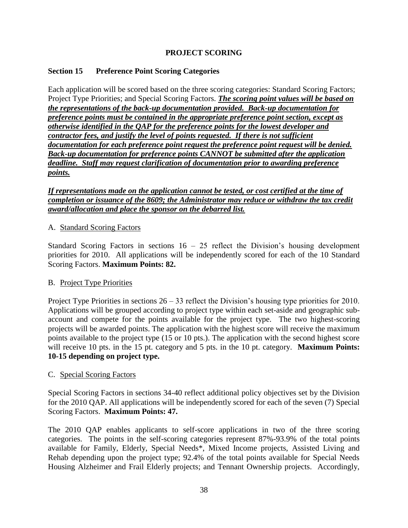# **PROJECT SCORING**

# **Section 15 Preference Point Scoring Categories**

Each application will be scored based on the three scoring categories: Standard Scoring Factors; Project Type Priorities; and Special Scoring Factors. *The scoring point values will be based on the representations of the back-up documentation provided. Back-up documentation for preference points must be contained in the appropriate preference point section, except as otherwise identified in the QAP for the preference points for the lowest developer and contractor fees, and justify the level of points requested. If there is not sufficient documentation for each preference point request the preference point request will be denied. Back-up documentation for preference points CANNOT be submitted after the application deadline. Staff may request clarification of documentation prior to awarding preference points.* 

*If representations made on the application cannot be tested, or cost certified at the time of completion or issuance of the 8609; the Administrator may reduce or withdraw the tax credit award/allocation and place the sponsor on the debarred list.* 

### A. Standard Scoring Factors

Standard Scoring Factors in sections 16 – 25 reflect the Division's housing development priorities for 2010. All applications will be independently scored for each of the 10 Standard Scoring Factors. **Maximum Points: 82.**

#### B. Project Type Priorities

Project Type Priorities in sections 26 – 33 reflect the Division's housing type priorities for 2010. Applications will be grouped according to project type within each set-aside and geographic subaccount and compete for the points available for the project type. The two highest-scoring projects will be awarded points. The application with the highest score will receive the maximum points available to the project type (15 or 10 pts.). The application with the second highest score will receive 10 pts. in the 15 pt. category and 5 pts. in the 10 pt. category. **Maximum Points: 10-15 depending on project type.**

#### C. Special Scoring Factors

Special Scoring Factors in sections 34-40 reflect additional policy objectives set by the Division for the 2010 QAP. All applications will be independently scored for each of the seven (7) Special Scoring Factors. **Maximum Points: 47.**

The 2010 QAP enables applicants to self-score applications in two of the three scoring categories. The points in the self-scoring categories represent 87%-93.9% of the total points available for Family, Elderly, Special Needs\*, Mixed Income projects, Assisted Living and Rehab depending upon the project type; 92.4% of the total points available for Special Needs Housing Alzheimer and Frail Elderly projects; and Tennant Ownership projects. Accordingly,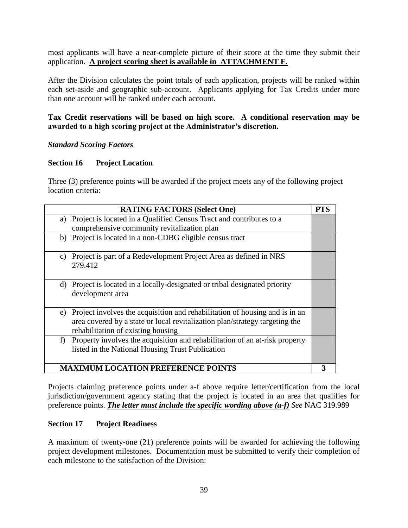most applicants will have a near-complete picture of their score at the time they submit their application. **A project scoring sheet is available in ATTACHMENT F.**

After the Division calculates the point totals of each application, projects will be ranked within each set-aside and geographic sub-account. Applicants applying for Tax Credits under more than one account will be ranked under each account.

# **Tax Credit reservations will be based on high score. A conditional reservation may be awarded to a high scoring project at the Administrator's discretion.**

### *Standard Scoring Factors*

### **Section 16 Project Location**

Three (3) preference points will be awarded if the project meets any of the following project location criteria:

|    | <b>RATING FACTORS (Select One)</b>                                                                                                                                                               | <b>PTS</b> |
|----|--------------------------------------------------------------------------------------------------------------------------------------------------------------------------------------------------|------------|
| a) | Project is located in a Qualified Census Tract and contributes to a                                                                                                                              |            |
|    | comprehensive community revitalization plan                                                                                                                                                      |            |
| b) | Project is located in a non-CDBG eligible census tract                                                                                                                                           |            |
| C) | Project is part of a Redevelopment Project Area as defined in NRS<br>279.412                                                                                                                     |            |
| d) | Project is located in a locally-designated or tribal designated priority<br>development area                                                                                                     |            |
| e) | Project involves the acquisition and rehabilitation of housing and is in an<br>area covered by a state or local revitalization plan/strategy targeting the<br>rehabilitation of existing housing |            |
| f) | Property involves the acquisition and rehabilitation of an at-risk property<br>listed in the National Housing Trust Publication                                                                  |            |
|    | <b>MAXIMUM LOCATION PREFERENCE POINTS</b>                                                                                                                                                        |            |

Projects claiming preference points under a-f above require letter/certification from the local jurisdiction/government agency stating that the project is located in an area that qualifies for preference points. *The letter must include the specific wording above (a-f) See* NAC 319.989

#### **Section 17 Project Readiness**

A maximum of twenty-one (21) preference points will be awarded for achieving the following project development milestones. Documentation must be submitted to verify their completion of each milestone to the satisfaction of the Division: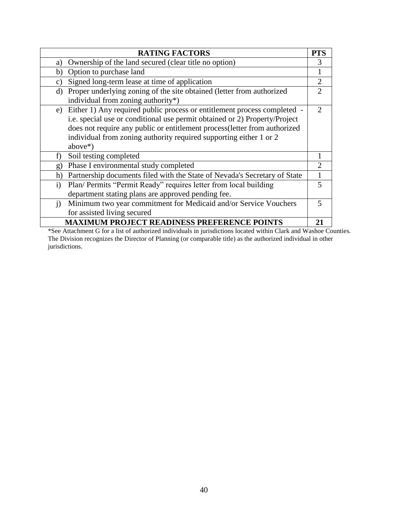|              | <b>RATING FACTORS</b>                                                                                                                                                                                                                                                                                                       | <b>PTS</b>     |
|--------------|-----------------------------------------------------------------------------------------------------------------------------------------------------------------------------------------------------------------------------------------------------------------------------------------------------------------------------|----------------|
| a)           | Ownership of the land secured (clear title no option)                                                                                                                                                                                                                                                                       | 3              |
| b)           | Option to purchase land                                                                                                                                                                                                                                                                                                     |                |
| c)           | Signed long-term lease at time of application                                                                                                                                                                                                                                                                               | $\overline{2}$ |
| d)           | Proper underlying zoning of the site obtained (letter from authorized<br>individual from zoning authority*)                                                                                                                                                                                                                 | $\mathfrak{D}$ |
|              | e) Either 1) Any required public process or entitlement process completed -<br>i.e. special use or conditional use permit obtained or 2) Property/Project<br>does not require any public or entitlement process (letter from authorized<br>individual from zoning authority required supporting either 1 or 2<br>$above*$ ) | $\mathcal{D}$  |
| f)           | Soil testing completed                                                                                                                                                                                                                                                                                                      |                |
| g)           | Phase I environmental study completed                                                                                                                                                                                                                                                                                       | 2              |
| h)           | Partnership documents filed with the State of Nevada's Secretary of State                                                                                                                                                                                                                                                   | $\mathbf{1}$   |
| $\mathbf{i}$ | Plan/ Permits "Permit Ready" requires letter from local building<br>department stating plans are approved pending fee.                                                                                                                                                                                                      | 5              |
| $\ddot{1}$   | Minimum two year commitment for Medicaid and/or Service Vouchers<br>for assisted living secured                                                                                                                                                                                                                             | 5              |
|              | <b>MAXIMUM PROJECT READINESS PREFERENCE POINTS</b>                                                                                                                                                                                                                                                                          | 21             |

\*See Attachment G for a list of authorized individuals in jurisdictions located within Clark and Washoe Counties. The Division recognizes the Director of Planning (or comparable title) as the authorized individual in other jurisdictions.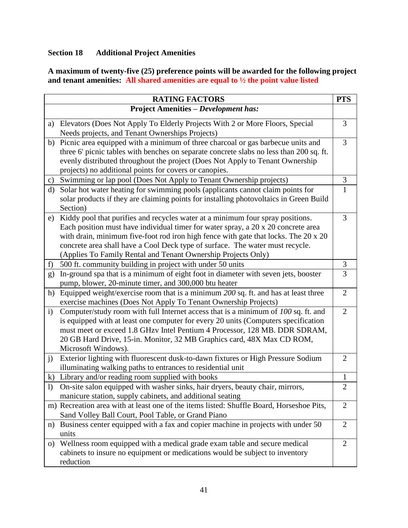# **Section 18 Additional Project Amenities**

**A maximum of twenty-five (25) preference points will be awarded for the following project and tenant amenities: All shared amenities are equal to ½ the point value listed**

|                  | <b>RATING FACTORS</b>                                                                                                                                                                                                                                                                                                                                                                                        | <b>PTS</b>     |
|------------------|--------------------------------------------------------------------------------------------------------------------------------------------------------------------------------------------------------------------------------------------------------------------------------------------------------------------------------------------------------------------------------------------------------------|----------------|
|                  | <b>Project Amenities - Development has:</b>                                                                                                                                                                                                                                                                                                                                                                  |                |
|                  | a) Elevators (Does Not Apply To Elderly Projects With 2 or More Floors, Special<br>Needs projects, and Tenant Ownerships Projects)                                                                                                                                                                                                                                                                           | 3              |
| b)               | Picnic area equipped with a minimum of three charcoal or gas barbecue units and<br>three 6' picnic tables with benches on separate concrete slabs no less than 200 sq. ft.<br>evenly distributed throughout the project (Does Not Apply to Tenant Ownership<br>projects) no additional points for covers or canopies.                                                                                        | 3              |
| $\mathbf{c})$    | Swimming or lap pool (Does Not Apply to Tenant Ownership projects)                                                                                                                                                                                                                                                                                                                                           | 3              |
| d)               | Solar hot water heating for swimming pools (applicants cannot claim points for<br>solar products if they are claiming points for installing photovoltaics in Green Build<br>Section)                                                                                                                                                                                                                         | $\mathbf{1}$   |
| e)               | Kiddy pool that purifies and recycles water at a minimum four spray positions.<br>Each position must have individual timer for water spray, a 20 x 20 concrete area<br>with drain, minimum five-foot rod iron high fence with gate that locks. The 20 x 20<br>concrete area shall have a Cool Deck type of surface. The water must recycle.<br>(Applies To Family Rental and Tenant Ownership Projects Only) | 3              |
| f)               | 500 ft. community building in project with under 50 units                                                                                                                                                                                                                                                                                                                                                    | 3              |
| g)               | In-ground spa that is a minimum of eight foot in diameter with seven jets, booster<br>pump, blower, 20-minute timer, and 300,000 btu heater                                                                                                                                                                                                                                                                  | 3              |
| h)               | Equipped weight/exercise room that is a minimum 200 sq. ft. and has at least three<br>exercise machines (Does Not Apply To Tenant Ownership Projects)                                                                                                                                                                                                                                                        | $\overline{2}$ |
| $\mathbf{i}$     | Computer/study room with full Internet access that is a minimum of 100 sq. ft. and<br>is equipped with at least one computer for every 20 units (Computers specification<br>must meet or exceed 1.8 GHzv Intel Pentium 4 Processor, 128 MB. DDR SDRAM,<br>20 GB Hard Drive, 15-in. Monitor, 32 MB Graphics card, 48X Max CD ROM,<br>Microsoft Windows).                                                      | $\overline{2}$ |
| j)               | Exterior lighting with fluorescent dusk-to-dawn fixtures or High Pressure Sodium<br>illuminating walking paths to entrances to residential unit                                                                                                                                                                                                                                                              | $\overline{2}$ |
| $\bf k)$         | Library and/or reading room supplied with books                                                                                                                                                                                                                                                                                                                                                              | $\mathbf{1}$   |
| $\left( \right)$ | On-site salon equipped with washer sinks, hair dryers, beauty chair, mirrors,<br>manicure station, supply cabinets, and additional seating                                                                                                                                                                                                                                                                   | $\overline{2}$ |
|                  | m) Recreation area with at least one of the items listed: Shuffle Board, Horseshoe Pits,<br>Sand Volley Ball Court, Pool Table, or Grand Piano                                                                                                                                                                                                                                                               | $\overline{2}$ |
| n)               | Business center equipped with a fax and copier machine in projects with under 50<br>units                                                                                                                                                                                                                                                                                                                    | $\overline{2}$ |
| $\Omega$         | Wellness room equipped with a medical grade exam table and secure medical<br>cabinets to insure no equipment or medications would be subject to inventory<br>reduction                                                                                                                                                                                                                                       | $\overline{2}$ |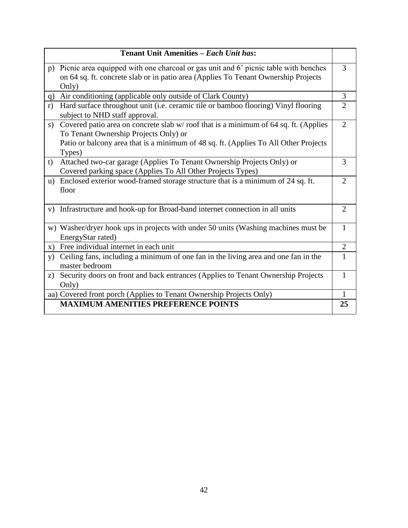|               | Tenant Unit Amenities - Each Unit has:                                                                                                                                                                                         |                |
|---------------|--------------------------------------------------------------------------------------------------------------------------------------------------------------------------------------------------------------------------------|----------------|
|               | p) Picnic area equipped with one charcoal or gas unit and 6' picnic table with benches<br>on 64 sq. ft. concrete slab or in patio area (Applies To Tenant Ownership Projects<br>Only)                                          | 3              |
| q)            | Air conditioning (applicable only outside of Clark County)                                                                                                                                                                     | 3              |
| r)            | Hard surface throughout unit (i.e. ceramic tile or bamboo flooring) Vinyl flooring<br>subject to NHD staff approval.                                                                                                           | $\overline{2}$ |
| s)            | Covered patio area on concrete slab w/roof that is a minimum of 64 sq. ft. (Applies<br>To Tenant Ownership Projects Only) or<br>Patio or balcony area that is a minimum of 48 sq. ft. (Applies To All Other Projects<br>Types) | $\overline{2}$ |
| t)            | Attached two-car garage (Applies To Tenant Ownership Projects Only) or<br>Covered parking space (Applies To All Other Projects Types)                                                                                          | 3              |
|               | u) Enclosed exterior wood-framed storage structure that is a minimum of 24 sq. ft.<br>floor                                                                                                                                    | $\overline{2}$ |
| V)            | Infrastructure and hook-up for Broad-band internet connection in all units                                                                                                                                                     | $\overline{2}$ |
|               | w) Washer/dryer hook ups in projects with under 50 units (Washing machines must be<br>EnergyStar rated)                                                                                                                        | $\mathbf{1}$   |
| $\mathbf{x})$ | Free individual internet in each unit                                                                                                                                                                                          | $\overline{2}$ |
| y)            | Ceiling fans, including a minimum of one fan in the living area and one fan in the<br>master bedroom                                                                                                                           | 1              |
| z)            | Security doors on front and back entrances (Applies to Tenant Ownership Projects<br>Only)                                                                                                                                      | 1              |
|               | aa) Covered front porch (Applies to Tenant Ownership Projects Only)                                                                                                                                                            | $\mathbf{1}$   |
|               | <b>MAXIMUM AMENITIES PREFERENCE POINTS</b>                                                                                                                                                                                     | 25             |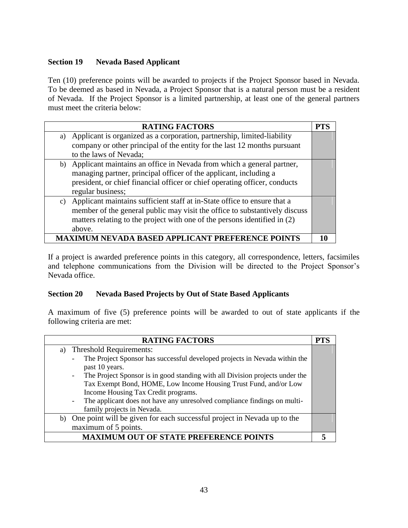# **Section 19 Nevada Based Applicant**

Ten (10) preference points will be awarded to projects if the Project Sponsor based in Nevada. To be deemed as based in Nevada, a Project Sponsor that is a natural person must be a resident of Nevada. If the Project Sponsor is a limited partnership, at least one of the general partners must meet the criteria below:

|                                            | <b>RATING FACTORS</b>                                                       | <b>PTS</b> |
|--------------------------------------------|-----------------------------------------------------------------------------|------------|
| a)                                         | Applicant is organized as a corporation, partnership, limited-liability     |            |
|                                            | company or other principal of the entity for the last 12 months pursuant    |            |
|                                            | to the laws of Nevada;                                                      |            |
|                                            | b) Applicant maintains an office in Nevada from which a general partner,    |            |
|                                            | managing partner, principal officer of the applicant, including a           |            |
|                                            | president, or chief financial officer or chief operating officer, conducts  |            |
|                                            | regular business;                                                           |            |
|                                            | c) Applicant maintains sufficient staff at in-State office to ensure that a |            |
|                                            | member of the general public may visit the office to substantively discuss  |            |
|                                            | matters relating to the project with one of the persons identified in (2)   |            |
|                                            | above.                                                                      |            |
| M NEVADA BASED APPLICANT PREFERENCE POINTS |                                                                             |            |

If a project is awarded preference points in this category, all correspondence, letters, facsimiles and telephone communications from the Division will be directed to the Project Sponsor's Nevada office.

# **Section 20 Nevada Based Projects by Out of State Based Applicants**

A maximum of five (5) preference points will be awarded to out of state applicants if the following criteria are met:

| <b>RATING FACTORS</b>                                                                                                    | PTS |
|--------------------------------------------------------------------------------------------------------------------------|-----|
| a) Threshold Requirements:                                                                                               |     |
| The Project Sponsor has successful developed projects in Nevada within the<br>$\overline{\phantom{a}}$<br>past 10 years. |     |
| The Project Sponsor is in good standing with all Division projects under the<br>$\sim$                                   |     |
| Tax Exempt Bond, HOME, Low Income Housing Trust Fund, and/or Low                                                         |     |
| Income Housing Tax Credit programs.                                                                                      |     |
| The applicant does not have any unresolved compliance findings on multi-<br>$\overline{\phantom{a}}$                     |     |
| family projects in Nevada.                                                                                               |     |
| b) One point will be given for each successful project in Nevada up to the                                               |     |
| maximum of 5 points.                                                                                                     |     |
| <b>MAXIMUM OUT OF STATE PREFERENCE POINTS</b>                                                                            |     |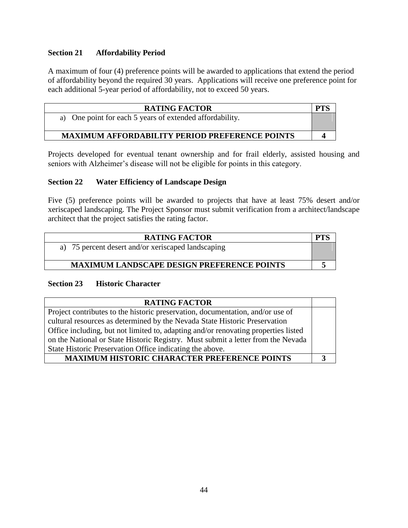# **Section 21 Affordability Period**

A maximum of four (4) preference points will be awarded to applications that extend the period of affordability beyond the required 30 years. Applications will receive one preference point for each additional 5-year period of affordability, not to exceed 50 years.

| <b>RATING FACTOR</b>                                     | <b>PT</b> |
|----------------------------------------------------------|-----------|
| a) One point for each 5 years of extended affordability. |           |
| <b>MAXIMUM AFFORDABILITY PERIOD PREFERENCE POINTS</b>    |           |

Projects developed for eventual tenant ownership and for frail elderly, assisted housing and seniors with Alzheimer's disease will not be eligible for points in this category.

### **Section 22 Water Efficiency of Landscape Design**

Five (5) preference points will be awarded to projects that have at least 75% desert and/or xeriscaped landscaping. The Project Sponsor must submit verification from a architect/landscape architect that the project satisfies the rating factor.

| <b>RATING FACTOR</b>                               |  |
|----------------------------------------------------|--|
| a) 75 percent desert and/or xeriscaped landscaping |  |
| <b>MAXIMUM LANDSCAPE DESIGN PREFERENCE POINTS</b>  |  |

#### **Section 23 Historic Character**

| <b>RATING FACTOR</b>                                                               |  |
|------------------------------------------------------------------------------------|--|
| Project contributes to the historic preservation, documentation, and/or use of     |  |
| cultural resources as determined by the Nevada State Historic Preservation         |  |
| Office including, but not limited to, adapting and/or renovating properties listed |  |
| on the National or State Historic Registry. Must submit a letter from the Nevada   |  |
| State Historic Preservation Office indicating the above.                           |  |
| <b>MAXIMUM HISTORIC CHARACTER PREFERENCE POINTS</b>                                |  |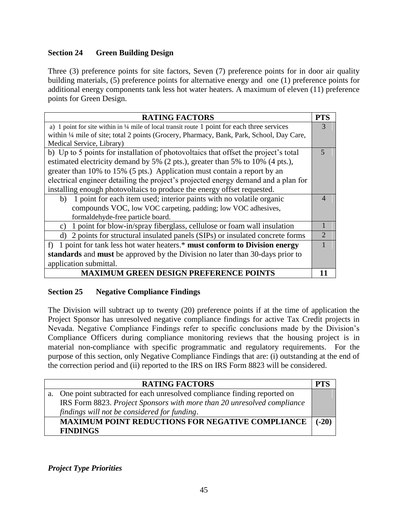# **Section 24 Green Building Design**

Three (3) preference points for site factors, Seven (7) preference points for in door air quality building materials, (5) preference points for alternative energy and one (1) preference points for additional energy components tank less hot water heaters. A maximum of eleven (11) preference points for Green Design.

| <b>RATING FACTORS</b>                                                                                   | PTS |  |
|---------------------------------------------------------------------------------------------------------|-----|--|
| a) 1 point for site within in $\frac{1}{4}$ mile of local transit route 1 point for each three services |     |  |
| within 1/4 mile of site; total 2 points (Grocery, Pharmacy, Bank, Park, School, Day Care,               |     |  |
| Medical Service, Library)                                                                               |     |  |
| b) Up to 5 points for installation of photovoltaics that offset the project's total                     | 5   |  |
| estimated electricity demand by 5% (2 pts.), greater than 5% to 10% (4 pts.),                           |     |  |
| greater than 10% to 15% (5 pts.) Application must contain a report by an                                |     |  |
| electrical engineer detailing the project's projected energy demand and a plan for                      |     |  |
| installing enough photovoltaics to produce the energy offset requested.                                 |     |  |
| b) 1 point for each item used; interior paints with no volatile organic                                 | 4   |  |
| compounds VOC, low VOC carpeting, padding; low VOC adhesives,                                           |     |  |
| formaldehyde-free particle board.                                                                       |     |  |
| 1 point for blow-in/spray fiberglass, cellulose or foam wall insulation<br>C)                           |     |  |
| d) 2 points for structural insulated panels (SIPs) or insulated concrete forms                          |     |  |
| f) 1 point for tank less hot water heaters.* must conform to Division energy                            |     |  |
| standards and must be approved by the Division no later than 30-days prior to                           |     |  |
| application submittal.                                                                                  |     |  |
| <b>MAXIMUM GREEN DESIGN PREFERENCE POINTS</b>                                                           |     |  |

# **Section 25 Negative Compliance Findings**

The Division will subtract up to twenty (20) preference points if at the time of application the Project Sponsor has unresolved negative compliance findings for active Tax Credit projects in Nevada. Negative Compliance Findings refer to specific conclusions made by the Division's Compliance Officers during compliance monitoring reviews that the housing project is in material non-compliance with specific programmatic and regulatory requirements. For the purpose of this section, only Negative Compliance Findings that are: (i) outstanding at the end of the correction period and (ii) reported to the IRS on IRS Form 8823 will be considered.

| <b>RATING FACTORS</b>                                                      |         |
|----------------------------------------------------------------------------|---------|
| a. One point subtracted for each unresolved compliance finding reported on |         |
| IRS Form 8823. Project Sponsors with more than 20 unresolved compliance    |         |
| findings will not be considered for funding.                               |         |
| MAXIMUM POINT REDUCTIONS FOR NEGATIVE COMPLIANCE                           | $(-20)$ |
| <b>FINDINGS</b>                                                            |         |

*Project Type Priorities*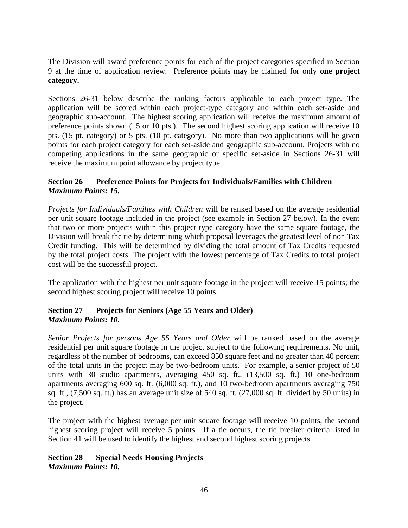The Division will award preference points for each of the project categories specified in Section 9 at the time of application review. Preference points may be claimed for only **one project category.**

Sections 26-31 below describe the ranking factors applicable to each project type. The application will be scored within each project-type category and within each set-aside and geographic sub-account. The highest scoring application will receive the maximum amount of preference points shown (15 or 10 pts.). The second highest scoring application will receive 10 pts. (15 pt. category) or 5 pts. (10 pt. category). No more than two applications will be given points for each project category for each set-aside and geographic sub-account. Projects with no competing applications in the same geographic or specific set-aside in Sections 26-31 will receive the maximum point allowance by project type.

# **Section 26 Preference Points for Projects for Individuals/Families with Children**  *Maximum Points: 15.*

*Projects for Individuals/Families with Children* will be ranked based on the average residential per unit square footage included in the project (see example in Section 27 below). In the event that two or more projects within this project type category have the same square footage, the Division will break the tie by determining which proposal leverages the greatest level of non Tax Credit funding. This will be determined by dividing the total amount of Tax Credits requested by the total project costs. The project with the lowest percentage of Tax Credits to total project cost will be the successful project.

The application with the highest per unit square footage in the project will receive 15 points; the second highest scoring project will receive 10 points.

# **Section 27 Projects for Seniors (Age 55 Years and Older)** *Maximum Points: 10.*

*Senior Projects for persons Age 55 Years and Older* will be ranked based on the average residential per unit square footage in the project subject to the following requirements. No unit, regardless of the number of bedrooms, can exceed 850 square feet and no greater than 40 percent of the total units in the project may be two-bedroom units. For example, a senior project of 50 units with 30 studio apartments, averaging 450 sq. ft., (13,500 sq. ft.) 10 one-bedroom apartments averaging 600 sq. ft. (6,000 sq. ft.), and 10 two-bedroom apartments averaging 750 sq. ft., (7,500 sq. ft.) has an average unit size of 540 sq. ft. (27,000 sq. ft. divided by 50 units) in the project.

The project with the highest average per unit square footage will receive 10 points, the second highest scoring project will receive 5 points. If a tie occurs, the tie breaker criteria listed in Section 41 will be used to identify the highest and second highest scoring projects.

#### **Section 28 Special Needs Housing Projects** *Maximum Points: 10.*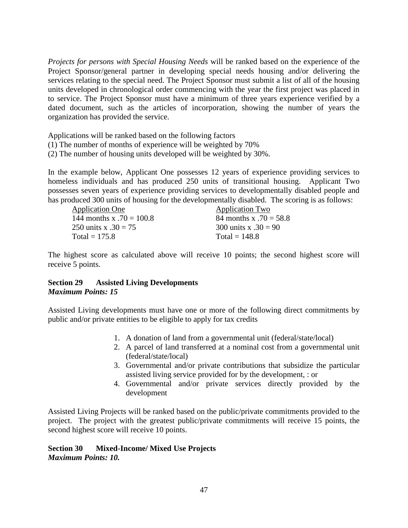*Projects for persons with Special Housing Needs* will be ranked based on the experience of the Project Sponsor/general partner in developing special needs housing and/or delivering the services relating to the special need. The Project Sponsor must submit a list of all of the housing units developed in chronological order commencing with the year the first project was placed in to service. The Project Sponsor must have a minimum of three years experience verified by a dated document, such as the articles of incorporation, showing the number of years the organization has provided the service.

Applications will be ranked based on the following factors

- (1) The number of months of experience will be weighted by 70%
- (2) The number of housing units developed will be weighted by 30%.

In the example below, Applicant One possesses 12 years of experience providing services to homeless individuals and has produced 250 units of transitional housing. Applicant Two possesses seven years of experience providing services to developmentally disabled people and has produced 300 units of housing for the developmentally disabled. The scoring is as follows:

Application One Application Two 144 months x  $.70 = 100.8$  84 months x  $.70 = 58.8$ 250 units x  $.30 = 75$  300 units x  $.30 = 90$  $Total = 175.8$  Total = 148.8

The highest score as calculated above will receive 10 points; the second highest score will receive 5 points.

# **Section 29 Assisted Living Developments** *Maximum Points: 15*

Assisted Living developments must have one or more of the following direct commitments by public and/or private entities to be eligible to apply for tax credits

- 1. A donation of land from a governmental unit (federal/state/local)
- 2. A parcel of land transferred at a nominal cost from a governmental unit (federal/state/local)
- 3. Governmental and/or private contributions that subsidize the particular assisted living service provided for by the development, : or
- 4. Governmental and/or private services directly provided by the development

Assisted Living Projects will be ranked based on the public/private commitments provided to the project. The project with the greatest public/private commitments will receive 15 points, the second highest score will receive 10 points.

**Section 30 Mixed-Income/ Mixed Use Projects**  *Maximum Points: 10.*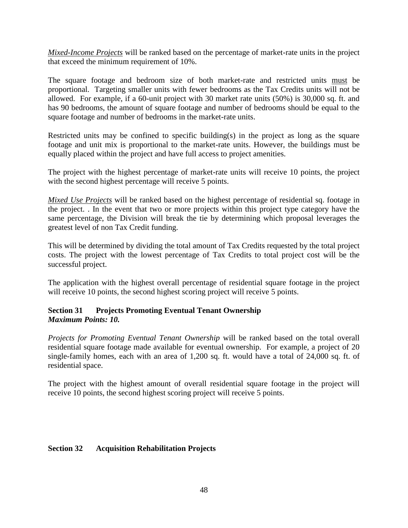*Mixed-Income Projects* will be ranked based on the percentage of market-rate units in the project that exceed the minimum requirement of 10%.

The square footage and bedroom size of both market-rate and restricted units must be proportional. Targeting smaller units with fewer bedrooms as the Tax Credits units will not be allowed. For example, if a 60-unit project with 30 market rate units (50%) is 30,000 sq. ft. and has 90 bedrooms, the amount of square footage and number of bedrooms should be equal to the square footage and number of bedrooms in the market-rate units.

Restricted units may be confined to specific building(s) in the project as long as the square footage and unit mix is proportional to the market-rate units. However, the buildings must be equally placed within the project and have full access to project amenities.

The project with the highest percentage of market-rate units will receive 10 points, the project with the second highest percentage will receive 5 points.

*Mixed Use Projects* will be ranked based on the highest percentage of residential sq. footage in the project. . In the event that two or more projects within this project type category have the same percentage, the Division will break the tie by determining which proposal leverages the greatest level of non Tax Credit funding.

This will be determined by dividing the total amount of Tax Credits requested by the total project costs. The project with the lowest percentage of Tax Credits to total project cost will be the successful project.

The application with the highest overall percentage of residential square footage in the project will receive 10 points, the second highest scoring project will receive 5 points.

# **Section 31 Projects Promoting Eventual Tenant Ownership**  *Maximum Points: 10.*

*Projects for Promoting Eventual Tenant Ownership* will be ranked based on the total overall residential square footage made available for eventual ownership. For example, a project of 20 single-family homes, each with an area of 1,200 sq. ft. would have a total of 24,000 sq. ft. of residential space.

The project with the highest amount of overall residential square footage in the project will receive 10 points, the second highest scoring project will receive 5 points.

#### **Section 32 Acquisition Rehabilitation Projects**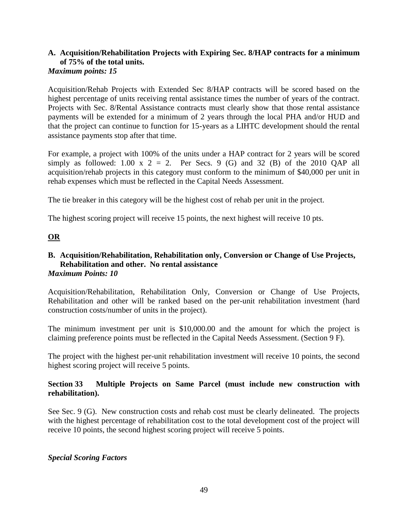#### **A. Acquisition/Rehabilitation Projects with Expiring Sec. 8/HAP contracts for a minimum of 75% of the total units.**  *Maximum points: 15*

Acquisition/Rehab Projects with Extended Sec 8/HAP contracts will be scored based on the highest percentage of units receiving rental assistance times the number of years of the contract. Projects with Sec. 8/Rental Assistance contracts must clearly show that those rental assistance payments will be extended for a minimum of 2 years through the local PHA and/or HUD and that the project can continue to function for 15-years as a LIHTC development should the rental assistance payments stop after that time.

For example, a project with 100% of the units under a HAP contract for 2 years will be scored simply as followed: 1.00 x  $2 = 2$ . Per Secs. 9 (G) and 32 (B) of the 2010 QAP all acquisition/rehab projects in this category must conform to the minimum of \$40,000 per unit in rehab expenses which must be reflected in the Capital Needs Assessment.

The tie breaker in this category will be the highest cost of rehab per unit in the project.

The highest scoring project will receive 15 points, the next highest will receive 10 pts.

# **OR**

#### **B. Acquisition/Rehabilitation, Rehabilitation only, Conversion or Change of Use Projects, Rehabilitation and other. No rental assistance** *Maximum Points: 10*

Acquisition/Rehabilitation, Rehabilitation Only, Conversion or Change of Use Projects, Rehabilitation and other will be ranked based on the per-unit rehabilitation investment (hard construction costs/number of units in the project).

The minimum investment per unit is \$10,000.00 and the amount for which the project is claiming preference points must be reflected in the Capital Needs Assessment. (Section 9 F).

The project with the highest per-unit rehabilitation investment will receive 10 points, the second highest scoring project will receive 5 points.

# **Section 33 Multiple Projects on Same Parcel (must include new construction with rehabilitation).**

See Sec. 9 (G). New construction costs and rehab cost must be clearly delineated. The projects with the highest percentage of rehabilitation cost to the total development cost of the project will receive 10 points, the second highest scoring project will receive 5 points.

#### *Special Scoring Factors*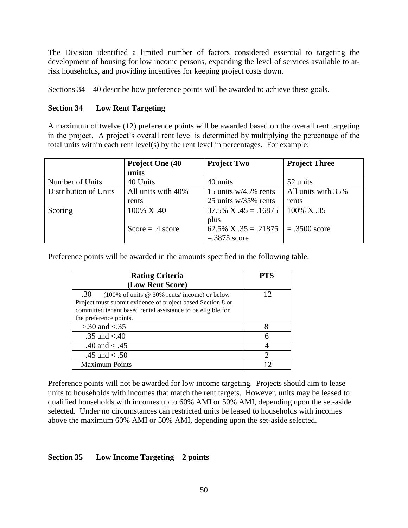The Division identified a limited number of factors considered essential to targeting the development of housing for low income persons, expanding the level of services available to atrisk households, and providing incentives for keeping project costs down.

Sections 34 – 40 describe how preference points will be awarded to achieve these goals.

# **Section 34 Low Rent Targeting**

A maximum of twelve (12) preference points will be awarded based on the overall rent targeting in the project. A project's overall rent level is determined by multiplying the percentage of the total units within each rent level(s) by the rent level in percentages. For example:

|                       | <b>Project One (40)</b> | <b>Project Two</b>        | <b>Project Three</b> |
|-----------------------|-------------------------|---------------------------|----------------------|
|                       | units                   |                           |                      |
| Number of Units       | 40 Units                | 40 units                  | 52 units             |
| Distribution of Units | All units with 40%      | 15 units $w/45\%$ rents   | All units with 35%   |
|                       | rents                   | 25 units w/35% rents      | rents                |
| Scoring               | 100% X.40               | $37.5\%$ X $.45 = .16875$ | 100% X .35           |
|                       |                         | plus                      |                      |
|                       | Score = $.4$ score      | $62.5\%$ X $.35 = .21875$ | $= .3500$ score      |
|                       |                         | $=.3875$ score            |                      |

Preference points will be awarded in the amounts specified in the following table.

| <b>Rating Criteria</b>                                                              | <b>PTS</b> |
|-------------------------------------------------------------------------------------|------------|
| (Low Rent Score)                                                                    |            |
| .30<br>$(100\% \text{ of units} \ @ \ 30\% \text{ rents/ income}) \text{ or below}$ | 12         |
| Project must submit evidence of project based Section 8 or                          |            |
| committed tenant based rental assistance to be eligible for                         |            |
| the preference points.                                                              |            |
| $> 0.30$ and $< 0.35$                                                               | 8          |
| .35 and $< 40$                                                                      |            |
| .40 and $< .45$                                                                     |            |
| .45 and $< .50$                                                                     |            |
| <b>Maximum Points</b>                                                               |            |

Preference points will not be awarded for low income targeting. Projects should aim to lease units to households with incomes that match the rent targets. However, units may be leased to qualified households with incomes up to 60% AMI or 50% AMI, depending upon the set-aside selected. Under no circumstances can restricted units be leased to households with incomes above the maximum 60% AMI or 50% AMI, depending upon the set-aside selected.

# **Section 35 Low Income Targeting – 2 points**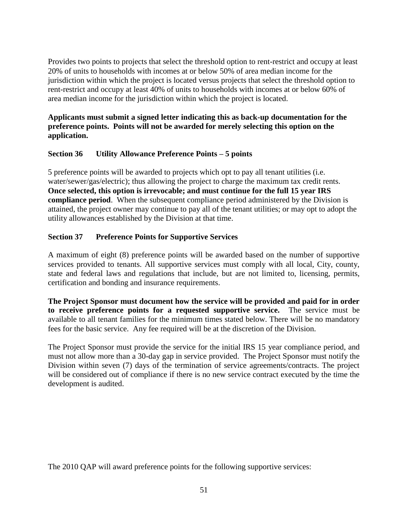Provides two points to projects that select the threshold option to rent-restrict and occupy at least 20% of units to households with incomes at or below 50% of area median income for the jurisdiction within which the project is located versus projects that select the threshold option to rent-restrict and occupy at least 40% of units to households with incomes at or below 60% of area median income for the jurisdiction within which the project is located.

**Applicants must submit a signed letter indicating this as back-up documentation for the preference points. Points will not be awarded for merely selecting this option on the application.**

### **Section 36 Utility Allowance Preference Points – 5 points**

5 preference points will be awarded to projects which opt to pay all tenant utilities (i.e. water/sewer/gas/electric); thus allowing the project to charge the maximum tax credit rents. **Once selected, this option is irrevocable; and must continue for the full 15 year IRS compliance period**. When the subsequent compliance period administered by the Division is attained, the project owner may continue to pay all of the tenant utilities; or may opt to adopt the utility allowances established by the Division at that time.

# **Section 37 Preference Points for Supportive Services**

A maximum of eight (8) preference points will be awarded based on the number of supportive services provided to tenants. All supportive services must comply with all local, City, county, state and federal laws and regulations that include, but are not limited to, licensing, permits, certification and bonding and insurance requirements.

**The Project Sponsor must document how the service will be provided and paid for in order to receive preference points for a requested supportive service.** The service must be available to all tenant families for the minimum times stated below. There will be no mandatory fees for the basic service. Any fee required will be at the discretion of the Division.

The Project Sponsor must provide the service for the initial IRS 15 year compliance period, and must not allow more than a 30-day gap in service provided. The Project Sponsor must notify the Division within seven (7) days of the termination of service agreements/contracts. The project will be considered out of compliance if there is no new service contract executed by the time the development is audited.

The 2010 QAP will award preference points for the following supportive services: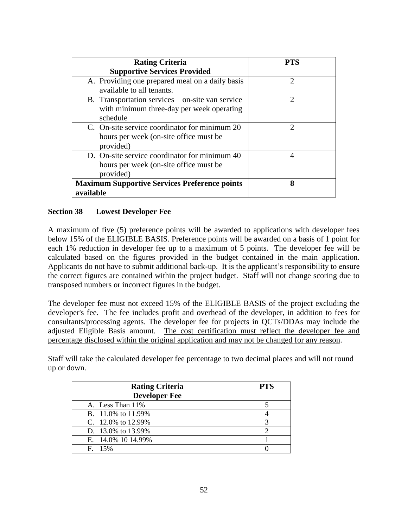| <b>Rating Criteria</b>                               |                             |
|------------------------------------------------------|-----------------------------|
| <b>Supportive Services Provided</b>                  |                             |
| A. Providing one prepared meal on a daily basis      | $\mathcal{D}_{\mathcal{A}}$ |
| available to all tenants.                            |                             |
| B. Transportation services – on-site van service     | $\mathcal{D}_{1}^{(1)}$     |
| with minimum three-day per week operating            |                             |
| schedule                                             |                             |
| C. On-site service coordinator for minimum 20        | っ                           |
| hours per week (on-site office must be               |                             |
| provided)                                            |                             |
| D. On-site service coordinator for minimum 40        | 4                           |
| hours per week (on-site office must be               |                             |
| provided)                                            |                             |
| <b>Maximum Supportive Services Preference points</b> | 8                           |
| available                                            |                             |

# **Section 38 Lowest Developer Fee**

A maximum of five (5) preference points will be awarded to applications with developer fees below 15% of the ELIGIBLE BASIS. Preference points will be awarded on a basis of 1 point for each 1% reduction in developer fee up to a maximum of 5 points. The developer fee will be calculated based on the figures provided in the budget contained in the main application. Applicants do not have to submit additional back-up. It is the applicant's responsibility to ensure the correct figures are contained within the project budget. Staff will not change scoring due to transposed numbers or incorrect figures in the budget.

The developer fee must not exceed 15% of the ELIGIBLE BASIS of the project excluding the developer's fee. The fee includes profit and overhead of the developer, in addition to fees for consultants/processing agents. The developer fee for projects in QCTs/DDAs may include the adjusted Eligible Basis amount. The cost certification must reflect the developer fee and percentage disclosed within the original application and may not be changed for any reason.

Staff will take the calculated developer fee percentage to two decimal places and will not round up or down.

| <b>Rating Criteria</b><br><b>Developer Fee</b> | <b>PTS</b> |
|------------------------------------------------|------------|
| A. Less Than 11%                               |            |
| B. 11.0% to 11.99%                             |            |
| C. 12.0% to 12.99%                             |            |
| D. 13.0% to 13.99%                             |            |
| E. 14.0% 10 14.99%                             |            |
| $F = 15%$                                      |            |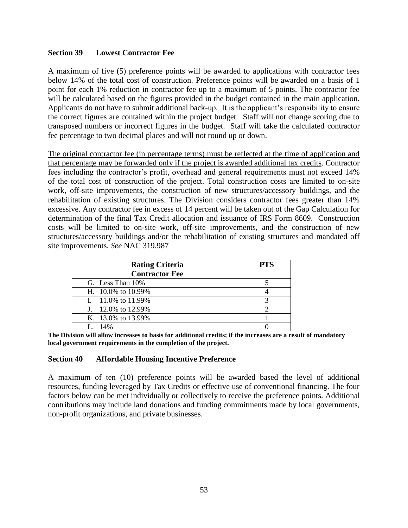### **Section 39 Lowest Contractor Fee**

A maximum of five (5) preference points will be awarded to applications with contractor fees below 14% of the total cost of construction. Preference points will be awarded on a basis of 1 point for each 1% reduction in contractor fee up to a maximum of 5 points. The contractor fee will be calculated based on the figures provided in the budget contained in the main application. Applicants do not have to submit additional back-up. It is the applicant's responsibility to ensure the correct figures are contained within the project budget. Staff will not change scoring due to transposed numbers or incorrect figures in the budget. Staff will take the calculated contractor fee percentage to two decimal places and will not round up or down.

The original contractor fee (in percentage terms) must be reflected at the time of application and that percentage may be forwarded only if the project is awarded additional tax credits. Contractor fees including the contractor's profit, overhead and general requirements must not exceed 14% of the total cost of construction of the project. Total construction costs are limited to on-site work, off-site improvements, the construction of new structures/accessory buildings, and the rehabilitation of existing structures. The Division considers contractor fees greater than 14% excessive. Any contractor fee in excess of 14 percent will be taken out of the Gap Calculation for determination of the final Tax Credit allocation and issuance of IRS Form 8609. Construction costs will be limited to on-site work, off-site improvements, and the construction of new structures/accessory buildings and/or the rehabilitation of existing structures and mandated off site improvements. *See* NAC 319.987

| <b>Rating Criteria</b>   | <b>PTS</b> |
|--------------------------|------------|
| <b>Contractor Fee</b>    |            |
| G. Less Than 10%         |            |
| H. $10.0\%$ to $10.99\%$ |            |
| I. $11.0\%$ to 11.99%    |            |
| J. 12.0% to 12.99%       |            |
| K. 13.0% to 13.99%       |            |
| 14%                      |            |

**The Division will allow increases to basis for additional credits; if the increases are a result of mandatory local government requirements in the completion of the project.** 

#### **Section 40 Affordable Housing Incentive Preference**

A maximum of ten (10) preference points will be awarded based the level of additional resources, funding leveraged by Tax Credits or effective use of conventional financing. The four factors below can be met individually or collectively to receive the preference points. Additional contributions may include land donations and funding commitments made by local governments, non-profit organizations, and private businesses.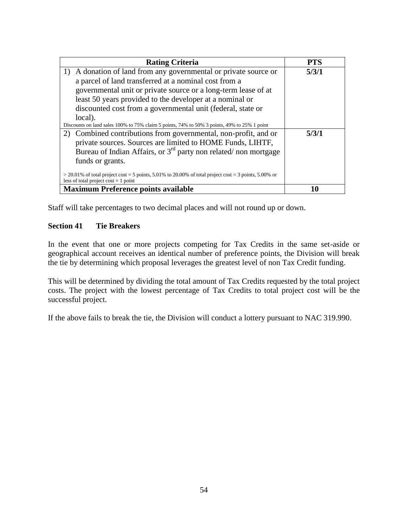| <b>Rating Criteria</b>                                                                                                                            | <b>PTS</b> |
|---------------------------------------------------------------------------------------------------------------------------------------------------|------------|
| A donation of land from any governmental or private source or<br>1)                                                                               | 5/3/1      |
| a parcel of land transferred at a nominal cost from a                                                                                             |            |
| governmental unit or private source or a long-term lease of at                                                                                    |            |
| least 50 years provided to the developer at a nominal or                                                                                          |            |
| discounted cost from a governmental unit (federal, state or                                                                                       |            |
| local).                                                                                                                                           |            |
| Discounts on land sales 100% to 75% claim 5 points, 74% to 50% 3 points, 49% to 25% 1 point                                                       |            |
| Combined contributions from governmental, non-profit, and or<br>2)                                                                                | 5/3/1      |
| private sources. Sources are limited to HOME Funds, LIHTF,                                                                                        |            |
| Bureau of Indian Affairs, or $3rd$ party non related/ non mortgage                                                                                |            |
| funds or grants.                                                                                                                                  |            |
| $>$ 20.01% of total project cost = 5 points, 5.01% to 20.00% of total project cost = 3 points, 5.00% or<br>less of total project $cost = 1$ point |            |
| <b>Maximum Preference points available</b>                                                                                                        | 10         |

Staff will take percentages to two decimal places and will not round up or down.

### **Section 41 Tie Breakers**

In the event that one or more projects competing for Tax Credits in the same set-aside or geographical account receives an identical number of preference points, the Division will break the tie by determining which proposal leverages the greatest level of non Tax Credit funding.

This will be determined by dividing the total amount of Tax Credits requested by the total project costs. The project with the lowest percentage of Tax Credits to total project cost will be the successful project.

If the above fails to break the tie, the Division will conduct a lottery pursuant to NAC 319.990.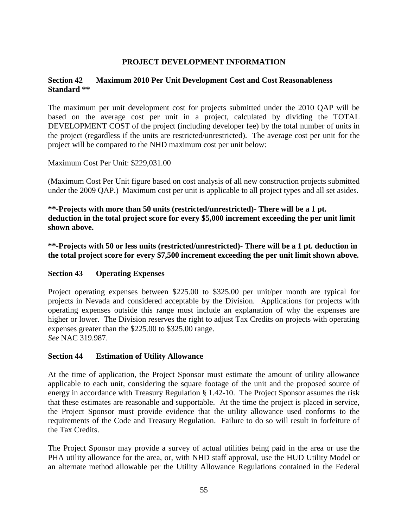# **PROJECT DEVELOPMENT INFORMATION**

### **Section 42 Maximum 2010 Per Unit Development Cost and Cost Reasonableness Standard \*\***

The maximum per unit development cost for projects submitted under the 2010 QAP will be based on the average cost per unit in a project, calculated by dividing the TOTAL DEVELOPMENT COST of the project (including developer fee) by the total number of units in the project (regardless if the units are restricted/unrestricted). The average cost per unit for the project will be compared to the NHD maximum cost per unit below:

Maximum Cost Per Unit: \$229,031.00

(Maximum Cost Per Unit figure based on cost analysis of all new construction projects submitted under the 2009 QAP.) Maximum cost per unit is applicable to all project types and all set asides.

**\*\*-Projects with more than 50 units (restricted/unrestricted)- There will be a 1 pt. deduction in the total project score for every \$5,000 increment exceeding the per unit limit shown above.**

**\*\*-Projects with 50 or less units (restricted/unrestricted)- There will be a 1 pt. deduction in the total project score for every \$7,500 increment exceeding the per unit limit shown above.**

# **Section 43 Operating Expenses**

Project operating expenses between \$225.00 to \$325.00 per unit/per month are typical for projects in Nevada and considered acceptable by the Division. Applications for projects with operating expenses outside this range must include an explanation of why the expenses are higher or lower. The Division reserves the right to adjust Tax Credits on projects with operating expenses greater than the \$225.00 to \$325.00 range. *See* NAC 319.987.

#### **Section 44 Estimation of Utility Allowance**

At the time of application, the Project Sponsor must estimate the amount of utility allowance applicable to each unit, considering the square footage of the unit and the proposed source of energy in accordance with Treasury Regulation § 1.42-10. The Project Sponsor assumes the risk that these estimates are reasonable and supportable. At the time the project is placed in service, the Project Sponsor must provide evidence that the utility allowance used conforms to the requirements of the Code and Treasury Regulation. Failure to do so will result in forfeiture of the Tax Credits.

The Project Sponsor may provide a survey of actual utilities being paid in the area or use the PHA utility allowance for the area, or, with NHD staff approval, use the HUD Utility Model or an alternate method allowable per the Utility Allowance Regulations contained in the Federal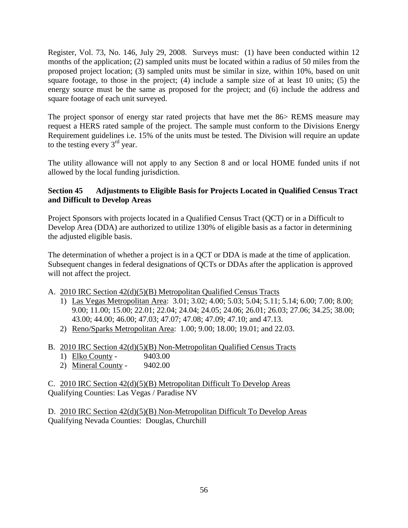Register, Vol. 73, No. 146, July 29, 2008. Surveys must: (1) have been conducted within 12 months of the application; (2) sampled units must be located within a radius of 50 miles from the proposed project location; (3) sampled units must be similar in size, within 10%, based on unit square footage, to those in the project; (4) include a sample size of at least 10 units; (5) the energy source must be the same as proposed for the project; and (6) include the address and square footage of each unit surveyed.

The project sponsor of energy star rated projects that have met the 86> REMS measure may request a HERS rated sample of the project. The sample must conform to the Divisions Energy Requirement guidelines i.e. 15% of the units must be tested. The Division will require an update to the testing every  $3<sup>rd</sup>$  year.

The utility allowance will not apply to any Section 8 and or local HOME funded units if not allowed by the local funding jurisdiction.

# **Section 45 Adjustments to Eligible Basis for Projects Located in Qualified Census Tract and Difficult to Develop Areas**

Project Sponsors with projects located in a Qualified Census Tract (QCT) or in a Difficult to Develop Area (DDA) are authorized to utilize 130% of eligible basis as a factor in determining the adjusted eligible basis.

The determination of whether a project is in a QCT or DDA is made at the time of application. Subsequent changes in federal designations of QCTs or DDAs after the application is approved will not affect the project.

- A. 2010 IRC Section 42(d)(5)(B) Metropolitan Qualified Census Tracts
	- 1) Las Vegas Metropolitan Area: 3.01; 3.02; 4.00; 5.03; 5.04; 5.11; 5.14; 6.00; 7.00; 8.00; 9.00; 11.00; 15.00; 22.01; 22.04; 24.04; 24.05; 24.06; 26.01; 26.03; 27.06; 34.25; 38.00; 43.00; 44.00; 46.00; 47.03; 47.07; 47.08; 47.09; 47.10; and 47.13.
	- 2) Reno/Sparks Metropolitan Area: 1.00; 9.00; 18.00; 19.01; and 22.03.
- B. 2010 IRC Section 42(d)(5)(B) Non-Metropolitan Qualified Census Tracts
	- 1) Elko County 9403.00
	- 2) Mineral County 9402.00

C. 2010 IRC Section 42(d)(5)(B) Metropolitan Difficult To Develop Areas Qualifying Counties: Las Vegas / Paradise NV

D. 2010 IRC Section 42(d)(5)(B) Non-Metropolitan Difficult To Develop Areas Qualifying Nevada Counties: Douglas, Churchill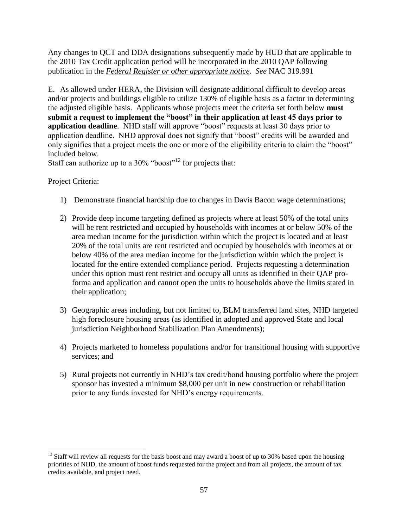Any changes to QCT and DDA designations subsequently made by HUD that are applicable to the 2010 Tax Credit application period will be incorporated in the 2010 QAP following publication in the *Federal Register or other appropriate notice*. *See* NAC 319.991

E. As allowed under HERA, the Division will designate additional difficult to develop areas and/or projects and buildings eligible to utilize 130% of eligible basis as a factor in determining the adjusted eligible basis. Applicants whose projects meet the criteria set forth below **must submit a request to implement the "boost" in their application at least 45 days prior to application deadline**. NHD staff will approve "boost" requests at least 30 days prior to application deadline. NHD approval does not signify that "boost" credits will be awarded and only signifies that a project meets the one or more of the eligibility criteria to claim the "boost" included below.

Staff can authorize up to a  $30\%$  "boost"<sup>12</sup> for projects that:

Project Criteria:

 $\overline{a}$ 

- 1) Demonstrate financial hardship due to changes in Davis Bacon wage determinations;
- 2) Provide deep income targeting defined as projects where at least 50% of the total units will be rent restricted and occupied by households with incomes at or below 50% of the area median income for the jurisdiction within which the project is located and at least 20% of the total units are rent restricted and occupied by households with incomes at or below 40% of the area median income for the jurisdiction within which the project is located for the entire extended compliance period. Projects requesting a determination under this option must rent restrict and occupy all units as identified in their QAP proforma and application and cannot open the units to households above the limits stated in their application;
- 3) Geographic areas including, but not limited to, BLM transferred land sites, NHD targeted high foreclosure housing areas (as identified in adopted and approved State and local jurisdiction Neighborhood Stabilization Plan Amendments);
- 4) Projects marketed to homeless populations and/or for transitional housing with supportive services; and
- 5) Rural projects not currently in NHD's tax credit/bond housing portfolio where the project sponsor has invested a minimum \$8,000 per unit in new construction or rehabilitation prior to any funds invested for NHD's energy requirements.

 $12$  Staff will review all requests for the basis boost and may award a boost of up to 30% based upon the housing priorities of NHD, the amount of boost funds requested for the project and from all projects, the amount of tax credits available, and project need.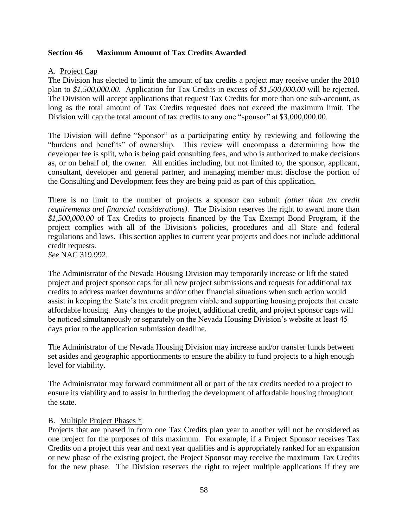#### **Section 46 Maximum Amount of Tax Credits Awarded**

### A. Project Cap

The Division has elected to limit the amount of tax credits a project may receive under the 2010 plan to *\$1,500,000.00*. Application for Tax Credits in excess of *\$1,500,000.00* will be rejected. The Division will accept applications that request Tax Credits for more than one sub-account, as long as the total amount of Tax Credits requested does not exceed the maximum limit. The Division will cap the total amount of tax credits to any one "sponsor" at \$3,000,000.00.

The Division will define "Sponsor" as a participating entity by reviewing and following the "burdens and benefits" of ownership. This review will encompass a determining how the developer fee is split, who is being paid consulting fees, and who is authorized to make decisions as, or on behalf of, the owner. All entities including, but not limited to, the sponsor, applicant, consultant, developer and general partner, and managing member must disclose the portion of the Consulting and Development fees they are being paid as part of this application.

There is no limit to the number of projects a sponsor can submit *(other than tax credit requirements and financial considerations)*. The Division reserves the right to award more than *\$1,500,000.00* of Tax Credits to projects financed by the Tax Exempt Bond Program, if the project complies with all of the Division's policies, procedures and all State and federal regulations and laws. This section applies to current year projects and does not include additional credit requests.

*See* NAC 319.992.

The Administrator of the Nevada Housing Division may temporarily increase or lift the stated project and project sponsor caps for all new project submissions and requests for additional tax credits to address market downturns and/or other financial situations when such action would assist in keeping the State's tax credit program viable and supporting housing projects that create affordable housing. Any changes to the project, additional credit, and project sponsor caps will be noticed simultaneously or separately on the Nevada Housing Division's website at least 45 days prior to the application submission deadline.

The Administrator of the Nevada Housing Division may increase and/or transfer funds between set asides and geographic apportionments to ensure the ability to fund projects to a high enough level for viability.

The Administrator may forward commitment all or part of the tax credits needed to a project to ensure its viability and to assist in furthering the development of affordable housing throughout the state.

#### B. Multiple Project Phases \*

Projects that are phased in from one Tax Credits plan year to another will not be considered as one project for the purposes of this maximum. For example, if a Project Sponsor receives Tax Credits on a project this year and next year qualifies and is appropriately ranked for an expansion or new phase of the existing project, the Project Sponsor may receive the maximum Tax Credits for the new phase. The Division reserves the right to reject multiple applications if they are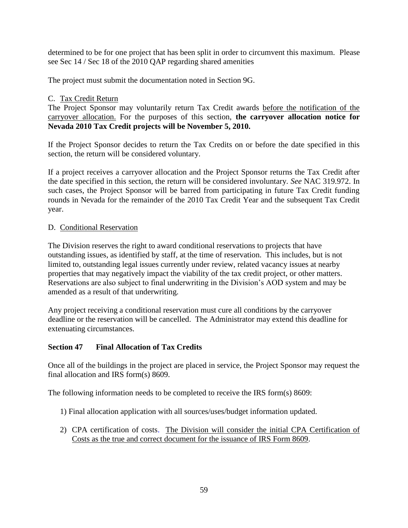determined to be for one project that has been split in order to circumvent this maximum. Please see Sec 14 / Sec 18 of the 2010 QAP regarding shared amenities

The project must submit the documentation noted in Section 9G.

### C. Tax Credit Return

The Project Sponsor may voluntarily return Tax Credit awards before the notification of the carryover allocation. For the purposes of this section, **the carryover allocation notice for Nevada 2010 Tax Credit projects will be November 5, 2010.** 

If the Project Sponsor decides to return the Tax Credits on or before the date specified in this section, the return will be considered voluntary.

If a project receives a carryover allocation and the Project Sponsor returns the Tax Credit after the date specified in this section, the return will be considered involuntary. *See* NAC 319.972. In such cases, the Project Sponsor will be barred from participating in future Tax Credit funding rounds in Nevada for the remainder of the 2010 Tax Credit Year and the subsequent Tax Credit year.

### D. Conditional Reservation

The Division reserves the right to award conditional reservations to projects that have outstanding issues, as identified by staff, at the time of reservation. This includes, but is not limited to, outstanding legal issues currently under review, related vacancy issues at nearby properties that may negatively impact the viability of the tax credit project, or other matters. Reservations are also subject to final underwriting in the Division's AOD system and may be amended as a result of that underwriting.

Any project receiving a conditional reservation must cure all conditions by the carryover deadline or the reservation will be cancelled. The Administrator may extend this deadline for extenuating circumstances.

# **Section 47 Final Allocation of Tax Credits**

Once all of the buildings in the project are placed in service, the Project Sponsor may request the final allocation and IRS form(s) 8609.

The following information needs to be completed to receive the IRS form(s) 8609:

- 1) Final allocation application with all sources/uses/budget information updated.
- 2) CPA certification of costs. The Division will consider the initial CPA Certification of Costs as the true and correct document for the issuance of IRS Form 8609.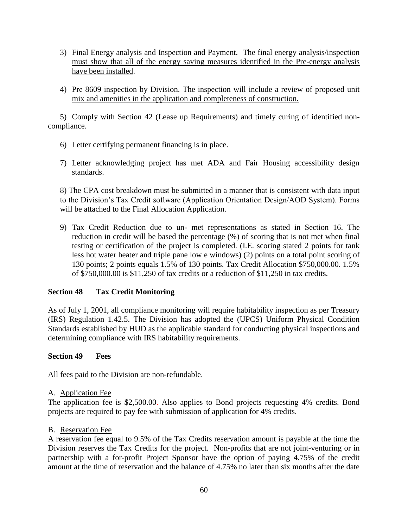- 3) Final Energy analysis and Inspection and Payment. The final energy analysis/inspection must show that all of the energy saving measures identified in the Pre-energy analysis have been installed.
- 4) Pre 8609 inspection by Division. The inspection will include a review of proposed unit mix and amenities in the application and completeness of construction.

5) Comply with Section 42 (Lease up Requirements) and timely curing of identified noncompliance.

- 6) Letter certifying permanent financing is in place.
- 7) Letter acknowledging project has met ADA and Fair Housing accessibility design standards.

8) The CPA cost breakdown must be submitted in a manner that is consistent with data input to the Division's Tax Credit software (Application Orientation Design/AOD System). Forms will be attached to the Final Allocation Application.

9) Tax Credit Reduction due to un- met representations as stated in Section 16. The reduction in credit will be based the percentage (%) of scoring that is not met when final testing or certification of the project is completed. (I.E. scoring stated 2 points for tank less hot water heater and triple pane low e windows) (2) points on a total point scoring of 130 points; 2 points equals 1.5% of 130 points. Tax Credit Allocation \$750,000.00. 1.5% of \$750,000.00 is \$11,250 of tax credits or a reduction of \$11,250 in tax credits.

# **Section 48 Tax Credit Monitoring**

As of July 1, 2001, all compliance monitoring will require habitability inspection as per Treasury (IRS) Regulation 1.42.5. The Division has adopted the (UPCS) Uniform Physical Condition Standards established by HUD as the applicable standard for conducting physical inspections and determining compliance with IRS habitability requirements.

#### **Section 49 Fees**

All fees paid to the Division are non-refundable.

#### A. Application Fee

The application fee is \$2,500.00. Also applies to Bond projects requesting 4% credits. Bond projects are required to pay fee with submission of application for 4% credits.

#### B. Reservation Fee

A reservation fee equal to 9.5% of the Tax Credits reservation amount is payable at the time the Division reserves the Tax Credits for the project. Non-profits that are not joint-venturing or in partnership with a for-profit Project Sponsor have the option of paying 4.75% of the credit amount at the time of reservation and the balance of 4.75% no later than six months after the date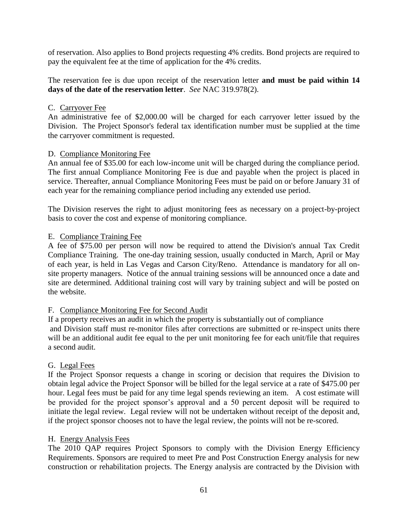of reservation. Also applies to Bond projects requesting 4% credits. Bond projects are required to pay the equivalent fee at the time of application for the 4% credits.

The reservation fee is due upon receipt of the reservation letter **and must be paid within 14 days of the date of the reservation letter**. *See* NAC 319.978(2).

### C. Carryover Fee

An administrative fee of \$2,000.00 will be charged for each carryover letter issued by the Division. The Project Sponsor's federal tax identification number must be supplied at the time the carryover commitment is requested.

#### D. Compliance Monitoring Fee

An annual fee of \$35.00 for each low-income unit will be charged during the compliance period. The first annual Compliance Monitoring Fee is due and payable when the project is placed in service. Thereafter, annual Compliance Monitoring Fees must be paid on or before January 31 of each year for the remaining compliance period including any extended use period.

The Division reserves the right to adjust monitoring fees as necessary on a project-by-project basis to cover the cost and expense of monitoring compliance.

### E. Compliance Training Fee

A fee of \$75.00 per person will now be required to attend the Division's annual Tax Credit Compliance Training. The one-day training session, usually conducted in March, April or May of each year, is held in Las Vegas and Carson City/Reno. Attendance is mandatory for all onsite property managers. Notice of the annual training sessions will be announced once a date and site are determined. Additional training cost will vary by training subject and will be posted on the website.

#### F. Compliance Monitoring Fee for Second Audit

If a property receives an audit in which the property is substantially out of compliance and Division staff must re-monitor files after corrections are submitted or re-inspect units there will be an additional audit fee equal to the per unit monitoring fee for each unit/file that requires a second audit.

#### G. Legal Fees

If the Project Sponsor requests a change in scoring or decision that requires the Division to obtain legal advice the Project Sponsor will be billed for the legal service at a rate of \$475.00 per hour. Legal fees must be paid for any time legal spends reviewing an item. A cost estimate will be provided for the project sponsor's approval and a 50 percent deposit will be required to initiate the legal review. Legal review will not be undertaken without receipt of the deposit and, if the project sponsor chooses not to have the legal review, the points will not be re-scored.

#### H. Energy Analysis Fees

The 2010 QAP requires Project Sponsors to comply with the Division Energy Efficiency Requirements. Sponsors are required to meet Pre and Post Construction Energy analysis for new construction or rehabilitation projects. The Energy analysis are contracted by the Division with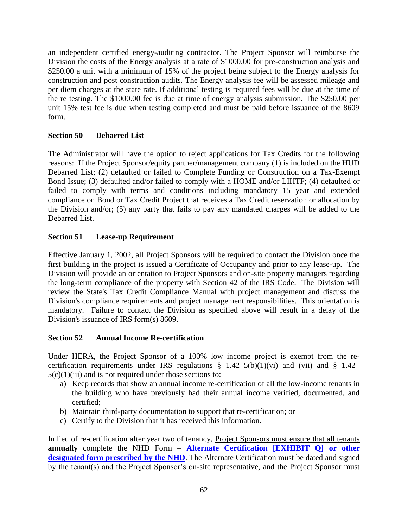an independent certified energy-auditing contractor. The Project Sponsor will reimburse the Division the costs of the Energy analysis at a rate of \$1000.00 for pre-construction analysis and \$250.00 a unit with a minimum of 15% of the project being subject to the Energy analysis for construction and post construction audits. The Energy analysis fee will be assessed mileage and per diem charges at the state rate. If additional testing is required fees will be due at the time of the re testing. The \$1000.00 fee is due at time of energy analysis submission. The \$250.00 per unit 15% test fee is due when testing completed and must be paid before issuance of the 8609 form.

# **Section 50 Debarred List**

The Administrator will have the option to reject applications for Tax Credits for the following reasons: If the Project Sponsor/equity partner/management company (1) is included on the HUD Debarred List; (2) defaulted or failed to Complete Funding or Construction on a Tax-Exempt Bond Issue; (3) defaulted and/or failed to comply with a HOME and/or LIHTF; (4) defaulted or failed to comply with terms and conditions including mandatory 15 year and extended compliance on Bond or Tax Credit Project that receives a Tax Credit reservation or allocation by the Division and/or; (5) any party that fails to pay any mandated charges will be added to the Debarred List.

# **Section 51 Lease-up Requirement**

Effective January 1, 2002, all Project Sponsors will be required to contact the Division once the first building in the project is issued a Certificate of Occupancy and prior to any lease-up. The Division will provide an orientation to Project Sponsors and on-site property managers regarding the long-term compliance of the property with Section 42 of the IRS Code. The Division will review the State's Tax Credit Compliance Manual with project management and discuss the Division's compliance requirements and project management responsibilities. This orientation is mandatory. Failure to contact the Division as specified above will result in a delay of the Division's issuance of IRS form(s) 8609.

# **Section 52 Annual Income Re-certification**

Under HERA, the Project Sponsor of a 100% low income project is exempt from the recertification requirements under IRS regulations  $\S$  1.42–5(b)(1)(vi) and (vii) and  $\S$  1.42–  $5(c)(1)(iii)$  and is not required under those sections to:

- a) Keep records that show an annual income re-certification of all the low-income tenants in the building who have previously had their annual income verified, documented, and certified;
- b) Maintain third-party documentation to support that re-certification; or
- c) Certify to the Division that it has received this information.

In lieu of re-certification after year two of tenancy, Project Sponsors must ensure that all tenants **annually** complete the NHD Form – **[Alternate Certification \[EXHIBIT Q\]](http://www.nvhousing.state.nv.us/tax_credit/2001lihtcmanual.htm) or other designated form prescribed by the NHD**. The Alternate Certification must be dated and signed by the tenant(s) and the Project Sponsor's on-site representative, and the Project Sponsor must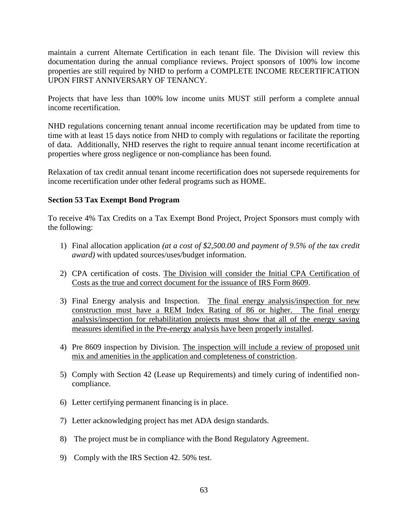maintain a current Alternate Certification in each tenant file. The Division will review this documentation during the annual compliance reviews. Project sponsors of 100% low income properties are still required by NHD to perform a COMPLETE INCOME RECERTIFICATION UPON FIRST ANNIVERSARY OF TENANCY.

Projects that have less than 100% low income units MUST still perform a complete annual income recertification.

NHD regulations concerning tenant annual income recertification may be updated from time to time with at least 15 days notice from NHD to comply with regulations or facilitate the reporting of data. Additionally, NHD reserves the right to require annual tenant income recertification at properties where gross negligence or non-compliance has been found.

Relaxation of tax credit annual tenant income recertification does not supersede requirements for income recertification under other federal programs such as HOME.

### **Section 53 Tax Exempt Bond Program**

To receive 4% Tax Credits on a Tax Exempt Bond Project, Project Sponsors must comply with the following:

- 1) Final allocation application *(at a cost of \$2,500.00 and payment of 9.5% of the tax credit award)* with updated sources/uses/budget information.
- 2) CPA certification of costs. The Division will consider the Initial CPA Certification of Costs as the true and correct document for the issuance of IRS Form 8609.
- 3) Final Energy analysis and Inspection. The final energy analysis/inspection for new construction must have a REM Index Rating of 86 or higher. The final energy analysis/inspection for rehabilitation projects must show that all of the energy saving measures identified in the Pre-energy analysis have been properly installed.
- 4) Pre 8609 inspection by Division. The inspection will include a review of proposed unit mix and amenities in the application and completeness of constriction.
- 5) Comply with Section 42 (Lease up Requirements) and timely curing of indentified noncompliance.
- 6) Letter certifying permanent financing is in place.
- 7) Letter acknowledging project has met ADA design standards.
- 8) The project must be in compliance with the Bond Regulatory Agreement.
- 9) Comply with the IRS Section 42. 50% test.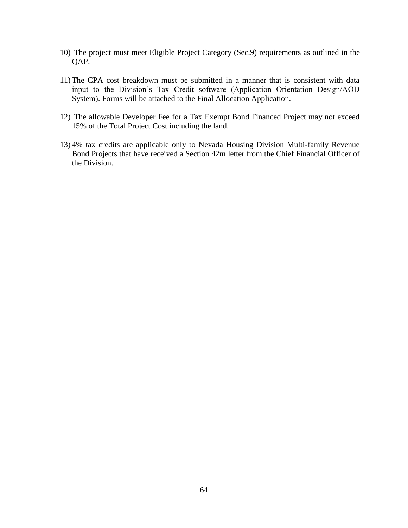- 10) The project must meet Eligible Project Category (Sec.9) requirements as outlined in the QAP.
- 11) The CPA cost breakdown must be submitted in a manner that is consistent with data input to the Division's Tax Credit software (Application Orientation Design/AOD System). Forms will be attached to the Final Allocation Application.
- 12) The allowable Developer Fee for a Tax Exempt Bond Financed Project may not exceed 15% of the Total Project Cost including the land.
- 13) 4% tax credits are applicable only to Nevada Housing Division Multi-family Revenue Bond Projects that have received a Section 42m letter from the Chief Financial Officer of the Division.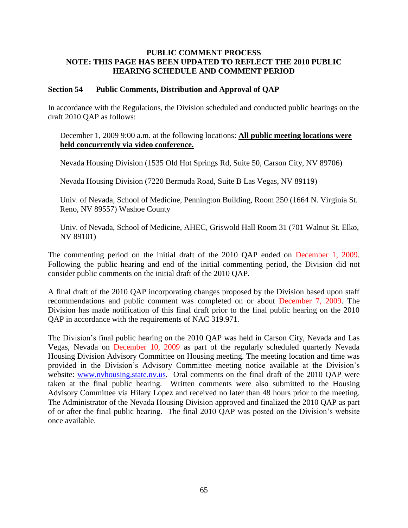#### **PUBLIC COMMENT PROCESS NOTE: THIS PAGE HAS BEEN UPDATED TO REFLECT THE 2010 PUBLIC HEARING SCHEDULE AND COMMENT PERIOD**

#### **Section 54 Public Comments, Distribution and Approval of QAP**

In accordance with the Regulations, the Division scheduled and conducted public hearings on the draft 2010 QAP as follows:

#### December 1, 2009 9:00 a.m. at the following locations: **All public meeting locations were held concurrently via video conference.**

Nevada Housing Division (1535 Old Hot Springs Rd, Suite 50, Carson City, NV 89706)

Nevada Housing Division (7220 Bermuda Road, Suite B Las Vegas, NV 89119)

Univ. of Nevada, School of Medicine, Pennington Building, Room 250 (1664 N. Virginia St. Reno, NV 89557) Washoe County

Univ. of Nevada, School of Medicine, AHEC, Griswold Hall Room 31 (701 Walnut St. Elko, NV 89101)

The commenting period on the initial draft of the 2010 QAP ended on December 1, 2009. Following the public hearing and end of the initial commenting period, the Division did not consider public comments on the initial draft of the 2010 QAP.

A final draft of the 2010 QAP incorporating changes proposed by the Division based upon staff recommendations and public comment was completed on or about December 7, 2009. The Division has made notification of this final draft prior to the final public hearing on the 2010 QAP in accordance with the requirements of NAC 319.971.

The Division's final public hearing on the 2010 QAP was held in Carson City, Nevada and Las Vegas, Nevada on December 10, 2009 as part of the regularly scheduled quarterly Nevada Housing Division Advisory Committee on Housing meeting. The meeting location and time was provided in the Division's Advisory Committee meeting notice available at the Division's website: www.nyhousing.state.ny.us. Oral comments on the final draft of the 2010 OAP were taken at the final public hearing. Written comments were also submitted to the Housing Advisory Committee via Hilary Lopez and received no later than 48 hours prior to the meeting. The Administrator of the Nevada Housing Division approved and finalized the 2010 QAP as part of or after the final public hearing. The final 2010 QAP was posted on the Division's website once available.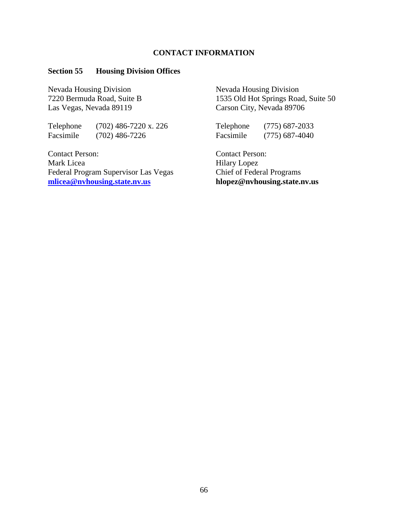#### **CONTACT INFORMATION**

### **Section 55 Housing Division Offices**

Nevada Housing Division Nevada Housing Division Las Vegas, Nevada 89119 Carson City, Nevada 89706

Telephone (702) 486-7220 x. 226 Telephone (775) 687-2033 Facsimile (702) 486-7226 Facsimile (775) 687-4040

Contact Person: Contact Person: Mark Licea Hilary Lopez Federal Program Supervisor Las Vegas Chief of Federal Programs<br>
mlicea@nvhousing.state.nv.us<br>
hlopez@nvhousing.state.nv.us **[mlicea@nvhousing.state.nv.us](mailto:mlicea@nvhousing.state.nv.us)** 

7220 Bermuda Road, Suite B 1535 Old Hot Springs Road, Suite 50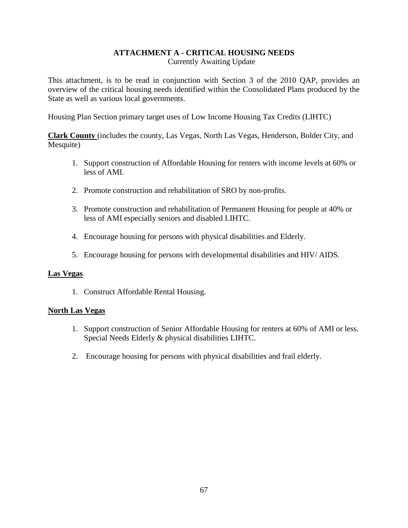#### **ATTACHMENT A - CRITICAL HOUSING NEEDS** Currently Awaiting Update

This attachment, is to be read in conjunction with Section 3 of the 2010 QAP, provides an overview of the critical housing needs identified within the Consolidated Plans produced by the State as well as various local governments.

Housing Plan Section primary target uses of Low Income Housing Tax Credits (LIHTC)

**Clark County** (includes the county, Las Vegas, North Las Vegas, Henderson, Bolder City, and Mesquite)

- 1. Support construction of Affordable Housing for renters with income levels at 60% or less of AMI.
- 2. Promote construction and rehabilitation of SRO by non-profits.
- 3. Promote construction and rehabilitation of Permanent Housing for people at 40% or less of AMI especially seniors and disabled LIHTC.
- 4. Encourage housing for persons with physical disabilities and Elderly.
- 5. Encourage housing for persons with developmental disabilities and HIV/ AIDS.

# **Las Vegas**

1. Construct Affordable Rental Housing.

# **North Las Vegas**

- 1. Support construction of Senior Affordable Housing for renters at 60% of AMI or less. Special Needs Elderly & physical disabilities LIHTC.
- 2. Encourage housing for persons with physical disabilities and frail elderly.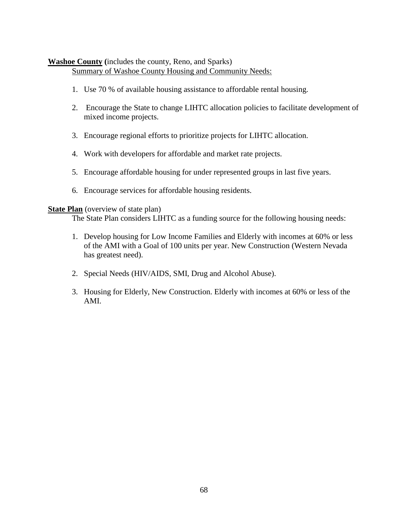### **Washoe County (**includes the county, Reno, and Sparks) Summary of Washoe County Housing and Community Needs:

- 1. Use 70 % of available housing assistance to affordable rental housing.
- 2. Encourage the State to change LIHTC allocation policies to facilitate development of mixed income projects.
- 3. Encourage regional efforts to prioritize projects for LIHTC allocation.
- 4. Work with developers for affordable and market rate projects.
- 5. Encourage affordable housing for under represented groups in last five years.
- 6. Encourage services for affordable housing residents.

#### **State Plan** (overview of state plan)

The State Plan considers LIHTC as a funding source for the following housing needs:

- 1. Develop housing for Low Income Families and Elderly with incomes at 60% or less of the AMI with a Goal of 100 units per year. New Construction (Western Nevada has greatest need).
- 2. Special Needs (HIV/AIDS, SMI, Drug and Alcohol Abuse).
- 3. Housing for Elderly, New Construction. Elderly with incomes at 60% or less of the AMI.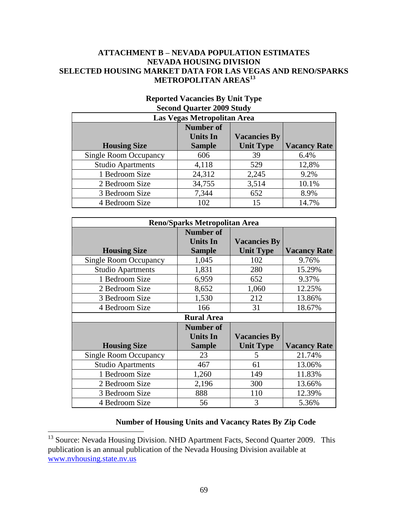#### **ATTACHMENT B – NEVADA POPULATION ESTIMATES NEVADA HOUSING DIVISION SELECTED HOUSING MARKET DATA FOR LAS VEGAS AND RENO/SPARKS METROPOLITAN AREAS<sup>13</sup>**

| Las Vegas Metropolitan Area  |                                     |                     |                     |
|------------------------------|-------------------------------------|---------------------|---------------------|
|                              | <b>Number of</b><br><b>Units In</b> | <b>Vacancies By</b> |                     |
| <b>Housing Size</b>          | <b>Sample</b>                       | <b>Unit Type</b>    | <b>Vacancy Rate</b> |
| <b>Single Room Occupancy</b> | 606                                 | 39                  | 6.4%                |
| <b>Studio Apartments</b>     | 4,118                               | 529                 | 12,8%               |
| 1 Bedroom Size               | 24,312                              | 2,245               | 9.2%                |
| 2 Bedroom Size               | 34,755                              | 3,514               | 10.1%               |
| 3 Bedroom Size               | 7,344                               | 652                 | 8.9%                |
| 4 Bedroom Size               | 102                                 | 15                  | 14.7%               |

# **Reported Vacancies By Unit Type Second Quarter 2009 Study**

| <b>Reno/Sparks Metropolitan Area</b> |                   |                     |                     |  |
|--------------------------------------|-------------------|---------------------|---------------------|--|
|                                      | Number of         |                     |                     |  |
|                                      | <b>Units In</b>   | <b>Vacancies By</b> |                     |  |
| <b>Housing Size</b>                  | <b>Sample</b>     | <b>Unit Type</b>    | <b>Vacancy Rate</b> |  |
| <b>Single Room Occupancy</b>         | 1,045             | 102                 | 9.76%               |  |
| <b>Studio Apartments</b>             | 1,831             | 280                 | 15.29%              |  |
| 1 Bedroom Size                       | 6,959             | 652                 | 9.37%               |  |
| 2 Bedroom Size                       | 8,652             | 1,060               | 12.25%              |  |
| 3 Bedroom Size                       | 1,530             | 212                 | 13.86%              |  |
| 4 Bedroom Size                       | 166               | 31                  | 18.67%              |  |
|                                      | <b>Rural Area</b> |                     |                     |  |
|                                      | <b>Number of</b>  |                     |                     |  |
|                                      | <b>Units In</b>   | <b>Vacancies By</b> |                     |  |
| <b>Housing Size</b>                  | <b>Sample</b>     | <b>Unit Type</b>    | <b>Vacancy Rate</b> |  |
| <b>Single Room Occupancy</b>         | 23                | 5                   | 21.74%              |  |
| <b>Studio Apartments</b>             | 467               | 61                  | 13.06%              |  |
| 1 Bedroom Size                       | 1,260             | 149                 | 11.83%              |  |
| 2 Bedroom Size                       | 2,196             | 300                 | 13.66%              |  |
| 3 Bedroom Size                       | 888               | 110                 | 12.39%              |  |
| 4 Bedroom Size                       | 56                | 3                   | 5.36%               |  |

# **Number of Housing Units and Vacancy Rates By Zip Code**

 $\overline{a}$ 

<sup>&</sup>lt;sup>13</sup> Source: Nevada Housing Division. NHD Apartment Facts, Second Quarter 2009. This publication is an annual publication of the Nevada Housing Division available at [www.nvhousing.state.nv.us](http://www.nvhousing.state.nv.us/)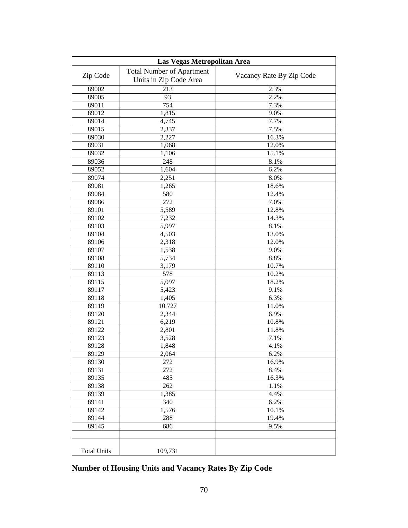| Las Vegas Metropolitan Area |                                  |                          |  |
|-----------------------------|----------------------------------|--------------------------|--|
| Zip Code                    | <b>Total Number of Apartment</b> | Vacancy Rate By Zip Code |  |
|                             | Units in Zip Code Area           |                          |  |
| 89002                       | 213                              | 2.3%                     |  |
| 89005                       | 93                               | 2.2%                     |  |
| 89011                       | 754                              | $\overline{7.3\%}$       |  |
| 89012                       | 1,815                            | 9.0%                     |  |
| 89014                       | 4,745                            | $\overline{7.7\%}$       |  |
| 89015                       | 2,337                            | 7.5%                     |  |
| 89030                       | 2,227                            | 16.3%                    |  |
| 89031                       | 1,068                            | 12.0%                    |  |
| 89032                       | 1,106                            | 15.1%                    |  |
| 89036                       | 248                              | 8.1%                     |  |
| 89052                       | 1,604                            | 6.2%                     |  |
| 89074                       | 2,251                            | 8.0%                     |  |
| 89081                       | 1,265                            | 18.6%                    |  |
| 89084                       | 580                              | 12.4%                    |  |
| 89086                       | 272                              | 7.0%                     |  |
| 89101                       | 5,589                            | 12.8%                    |  |
| 89102                       | 7,232                            | 14.3%                    |  |
| 89103                       | 5,997                            | 8.1%                     |  |
| 89104                       | 4,503                            | 13.0%                    |  |
| 89106                       | 2,318                            | 12.0%                    |  |
| 89107                       | 1,538                            | 9.0%                     |  |
| 89108                       | 5,734                            | 8.8%                     |  |
| 89110                       | 3,179                            | 10.7%                    |  |
| 89113                       | 578                              | 10.2%                    |  |
| 89115                       | 5,097                            | 18.2%                    |  |
| 89117                       | 5,423                            | 9.1%                     |  |
| 89118                       | 1,405                            | 6.3%                     |  |
| 89119                       | 10,727                           | 11.0%                    |  |
| 89120                       | 2,344                            | 6.9%                     |  |
| 89121                       | 6,219                            | 10.8%                    |  |
| 89122                       | 2,801                            | 11.8%                    |  |
| 89123                       | 3,528                            | 7.1%                     |  |
| 89128                       | 1,848                            | 4.1%                     |  |
| 89129                       | 2,064                            | 6.2%                     |  |
| 89130                       | 272                              | 16.9%                    |  |
| 89131                       | 272                              | 8.4%                     |  |
| 89135                       | 485                              | 16.3%                    |  |
| 89138                       | 262                              | 1.1%                     |  |
| 89139                       | 1,385                            | 4.4%                     |  |
| 89141                       | 340                              | 6.2%                     |  |
| 89142                       | 1,576                            | 10.1%                    |  |
| 89144                       | 288                              | 19.4%                    |  |
| 89145                       | 686                              | 9.5%                     |  |
|                             |                                  |                          |  |
|                             |                                  |                          |  |
| <b>Total Units</b>          | 109,731                          |                          |  |

**Number of Housing Units and Vacancy Rates By Zip Code**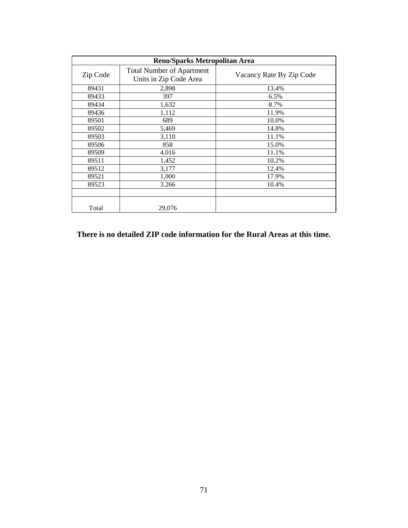| <b>Reno/Sparks Metropolitan Area</b> |                                                            |                          |  |
|--------------------------------------|------------------------------------------------------------|--------------------------|--|
| Zip Code                             | <b>Total Number of Apartment</b><br>Units in Zip Code Area | Vacancy Rate By Zip Code |  |
| 89431                                | 2,898                                                      | 13.4%                    |  |
| 89433                                | 397                                                        | 6.5%                     |  |
| 89434                                | 1,632                                                      | 8.7%                     |  |
| 89436                                | 1,112                                                      | 11.9%                    |  |
| 89501                                | 689                                                        | 10.0%                    |  |
| 89502                                | 5,469                                                      | 14.8%                    |  |
| 89503                                | 3,110                                                      | 11.1%                    |  |
| 89506                                | 858                                                        | 15.0%                    |  |
| 89509                                | 4.016                                                      | 11.1%                    |  |
| 89511                                | 1,452                                                      | 10.2%                    |  |
| 89512                                | 3,177                                                      | 12.4%                    |  |
| 89521                                | 1,000                                                      | 17.9%                    |  |
| 89523                                | 3.266                                                      | 10.4%                    |  |
|                                      |                                                            |                          |  |
| Total                                | 29,076                                                     |                          |  |

**There is no detailed ZIP code information for the Rural Areas at this time.**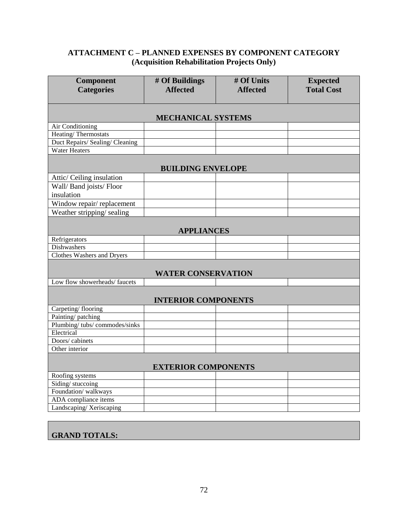# **ATTACHMENT C – PLANNED EXPENSES BY COMPONENT CATEGORY (Acquisition Rehabilitation Projects Only)**

| Component<br><b>Categories</b>    | # Of Buildings<br><b>Affected</b> | # Of Units<br><b>Affected</b> | <b>Expected</b><br><b>Total Cost</b> |  |  |
|-----------------------------------|-----------------------------------|-------------------------------|--------------------------------------|--|--|
|                                   |                                   |                               |                                      |  |  |
|                                   | <b>MECHANICAL SYSTEMS</b>         |                               |                                      |  |  |
| Air Conditioning                  |                                   |                               |                                      |  |  |
| <b>Heating/Thermostats</b>        |                                   |                               |                                      |  |  |
| Duct Repairs/ Sealing/ Cleaning   |                                   |                               |                                      |  |  |
| <b>Water Heaters</b>              |                                   |                               |                                      |  |  |
|                                   | <b>BUILDING ENVELOPE</b>          |                               |                                      |  |  |
| Attic/ Ceiling insulation         |                                   |                               |                                      |  |  |
| Wall/ Band joists/ Floor          |                                   |                               |                                      |  |  |
| insulation                        |                                   |                               |                                      |  |  |
| Window repair/replacement         |                                   |                               |                                      |  |  |
| Weather stripping/sealing         |                                   |                               |                                      |  |  |
|                                   | <b>APPLIANCES</b>                 |                               |                                      |  |  |
| Refrigerators                     |                                   |                               |                                      |  |  |
| <b>Dishwashers</b>                |                                   |                               |                                      |  |  |
| <b>Clothes Washers and Dryers</b> |                                   |                               |                                      |  |  |
|                                   | <b>WATER CONSERVATION</b>         |                               |                                      |  |  |
| Low flow showerheads/faucets      |                                   |                               |                                      |  |  |
| <b>INTERIOR COMPONENTS</b>        |                                   |                               |                                      |  |  |
| Carpeting/flooring                |                                   |                               |                                      |  |  |
| Painting/patching                 |                                   |                               |                                      |  |  |
| Plumbing/tubs/commodes/sinks      |                                   |                               |                                      |  |  |
| Electrical                        |                                   |                               |                                      |  |  |
| Doors/cabinets                    |                                   |                               |                                      |  |  |
| Other interior                    |                                   |                               |                                      |  |  |
| <b>EXTERIOR COMPONENTS</b>        |                                   |                               |                                      |  |  |
| Roofing systems                   |                                   |                               |                                      |  |  |
| Siding/stuccoing                  |                                   |                               |                                      |  |  |
| Foundation/walkways               |                                   |                               |                                      |  |  |
| ADA compliance items              |                                   |                               |                                      |  |  |
| Landscaping/Xeriscaping           |                                   |                               |                                      |  |  |

# **GRAND TOTALS:**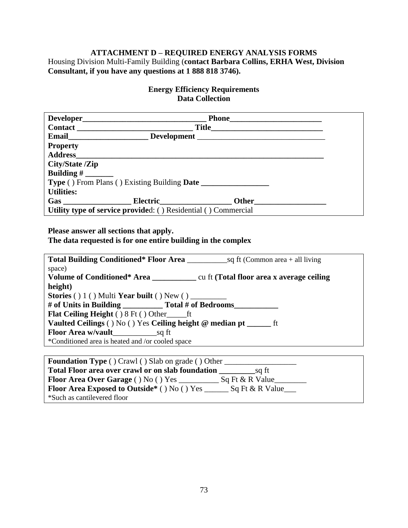# **ATTACHMENT D – REQUIRED ENERGY ANALYSIS FORMS**

Housing Division Multi-Family Building (**contact Barbara Collins, ERHA West, Division Consultant, if you have any questions at 1 888 818 3746).**

# **Energy Efficiency Requirements Data Collection**

|                   | Development                                                    |  |
|-------------------|----------------------------------------------------------------|--|
| <b>Property</b>   |                                                                |  |
|                   |                                                                |  |
| City/State /Zip   |                                                                |  |
|                   |                                                                |  |
|                   | Type () From Plans () Existing Building Date _______________   |  |
| <b>Utilities:</b> |                                                                |  |
|                   |                                                                |  |
|                   | Utility type of service provided: () Residential () Commercial |  |

**Please answer all sections that apply.**

# **The data requested is for one entire building in the complex**

| <b>Total Building Conditioned* Floor Area</b> sq ft (Common area $+$ all living |
|---------------------------------------------------------------------------------|
| space)                                                                          |
|                                                                                 |
| height)                                                                         |
| Stories () 1 () Multi Year built () New () ________                             |
| # of Units in Building __________ Total # of Bedrooms_______                    |
| <b>Flat Ceiling Height</b> () 8 Ft () Other ft                                  |
| <b>Vaulted Ceilings</b> () No () Yes Ceiling height @ median pt ________ ft     |
|                                                                                 |
| *Conditioned area is heated and /or cooled space                                |
|                                                                                 |

| <b>Foundation Type</b> () Crawl () Slab on grade () Other                             |  |  |  |
|---------------------------------------------------------------------------------------|--|--|--|
| Total Floor area over crawl or on slab foundation<br>sa ft                            |  |  |  |
| <b>Floor Area Over Garage</b> () No () Yes<br>$Sq$ Ft & R Value                       |  |  |  |
| Floor Area Exposed to Outside* ( ) No ( ) Yes $_{-}$<br>$\Box$ Sq Ft & R Value $\Box$ |  |  |  |
| *Such as cantilevered floor                                                           |  |  |  |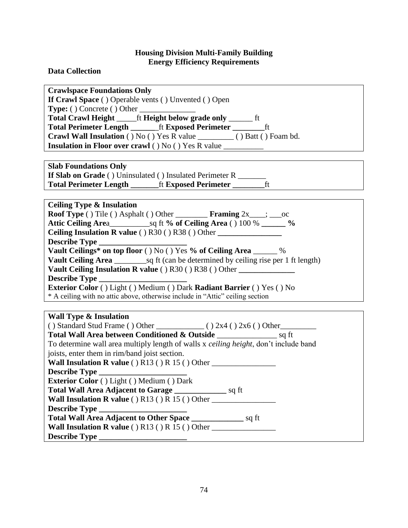**Data Collection**

**Describe Type \_\_\_\_\_\_\_\_\_\_\_\_\_\_\_\_\_\_\_\_\_\_**

| <b>Crawlspace Foundations Only</b>                                                                                                              |
|-------------------------------------------------------------------------------------------------------------------------------------------------|
| If Crawl Space () Operable vents () Unvented () Open                                                                                            |
|                                                                                                                                                 |
| Total Crawl Height ______ft Height below grade only _______ ft                                                                                  |
|                                                                                                                                                 |
| Crawl Wall Insulation () No () Yes R value __________ () Batt () Foam bd.                                                                       |
| Insulation in Floor over crawl () No () Yes R value __________                                                                                  |
|                                                                                                                                                 |
| <b>Slab Foundations Only</b>                                                                                                                    |
| If Slab on Grade () Uninsulated () Insulated Perimeter R ______                                                                                 |
| ft<br>Total Perimeter Length _________ft Exposed Perimeter _______                                                                              |
|                                                                                                                                                 |
|                                                                                                                                                 |
| <b>Ceiling Type &amp; Insulation</b><br><b>Roof Type</b> () Tile () Asphalt () Other <b>Framing</b> $2x$ , $\ldots$ constants a set of $\ldots$ |
|                                                                                                                                                 |
|                                                                                                                                                 |
| Ceiling Insulation R value () R30 () R38 () Other _______________________________                                                               |
| Describe Type                                                                                                                                   |
| Vault Ceilings* on top floor () No () Yes % of Ceiling Area _____ %                                                                             |
|                                                                                                                                                 |
| Vault Ceiling Insulation R value () R30 () R38 () Other                                                                                         |
| <b>Describe Type</b>                                                                                                                            |
| Exterior Color () Light () Medium () Dark Radiant Barrier () Yes () No                                                                          |
| * A ceiling with no attic above, otherwise include in "Attic" ceiling section                                                                   |
|                                                                                                                                                 |
| <b>Wall Type &amp; Insulation</b>                                                                                                               |
|                                                                                                                                                 |
|                                                                                                                                                 |
| To determine wall area multiply length of walls x ceiling height, don't include band                                                            |
| joists, enter them in rim/band joist section.                                                                                                   |
| Wall Insulation R value () $R13()R15()Other$                                                                                                    |
| Describe Type                                                                                                                                   |
| Exterior Color () Light () Medium () Dark                                                                                                       |
| Total Wall Area Adjacent to Garage _____________________ sq ft                                                                                  |
| Wall Insulation R value () $R13$ () $R15$ () Other                                                                                              |
| <b>Describe Type</b>                                                                                                                            |

**Total Wall Area Adjacent to Other Space \_\_\_\_\_\_\_\_\_\_\_\_\_** sq ft **Wall Insulation R value () R13 () R 15 () Other \_\_\_\_\_\_\_\_\_\_\_\_\_\_\_\_\_\_\_\_\_\_\_\_\_\_\_\_\_\_\_**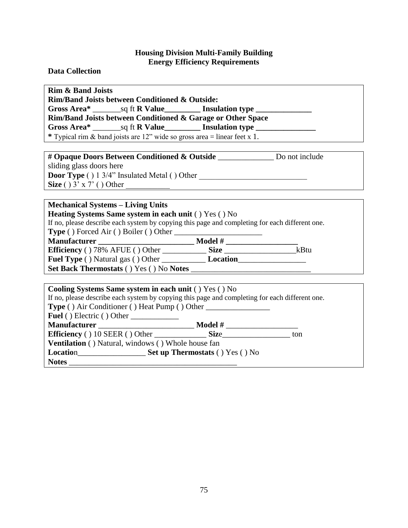#### **Data Collection**

**Rim & Band Joists**

**Rim/Band Joists between Conditioned & Outside:**

**Gross Area\*** \_\_\_\_\_\_\_sq ft **R Value\_\_\_\_\_\_\_\_\_ Insulation type \_\_\_\_\_\_\_\_\_\_\_\_\_\_**

**Rim/Band Joists between Conditioned & Garage or Other Space**

**Gross Area\*** \_\_\_\_\_\_\_sq ft **R Value\_\_\_\_\_\_\_\_\_ Insulation type \_\_\_\_\_\_\_\_\_\_\_\_\_\_\_**

**\*** Typical rim & band joists are 12" wide so gross area = linear feet x 1.

**# Opaque Doors Between Conditioned & Outside** \_\_\_\_\_\_\_\_\_\_\_\_\_\_ Do not include

sliding glass doors here **Door Type** ( ) 1 3/4" Insulated Metal ( ) Other \_\_\_\_\_\_\_\_\_\_\_\_\_\_\_\_\_\_\_\_\_\_\_\_\_\_\_\_\_\_\_\_\_ **Size**  $()$  3' x 7'  $()$  Other

### **Mechanical Systems – Living Units**

**Heating Systems Same system in each unit** ( ) Yes ( ) No

If no, please describe each system by copying this page and completing for each different one.

**Type** ( ) Forced Air ( ) Boiler ( ) Other \_\_\_\_\_\_\_\_\_\_\_\_\_\_\_\_\_\_\_\_\_\_

**Manufacturer \_\_\_\_\_\_\_\_\_\_\_\_\_\_\_\_\_\_\_\_\_\_\_\_ Model # \_\_\_\_\_\_\_\_\_\_\_\_\_\_\_\_\_\_ Efficiency** ( ) 78% AFUE ( ) Other \_\_\_\_\_\_\_\_\_\_\_ **Size** \_\_\_\_\_\_\_\_\_\_\_\_\_\_\_\_\_\_kBtu

**Fuel Type** ( ) Natural gas ( ) Other \_\_\_\_\_\_\_\_\_\_\_ **Location**\_\_\_\_\_\_\_\_\_\_\_\_\_\_\_\_\_

**Set Back Thermostats** ( ) Yes ( ) No **Notes** \_\_\_\_\_\_\_\_\_\_\_\_\_\_\_\_\_\_\_\_\_\_\_\_\_\_\_\_\_\_

| Cooling Systems Same system in each unit () Yes () No                                          |                                        |     |  |
|------------------------------------------------------------------------------------------------|----------------------------------------|-----|--|
| If no, please describe each system by copying this page and completing for each different one. |                                        |     |  |
|                                                                                                |                                        |     |  |
| <b>Fuel</b> () Electric () Other                                                               |                                        |     |  |
| <b>Manufacturer</b> Manufacturer                                                               | <b>Model</b> #                         |     |  |
| <b>Efficiency</b> () 10 SEER () Other Size                                                     |                                        | ton |  |
| <b>Ventilation</b> () Natural, windows () Whole house fan                                      |                                        |     |  |
| <b>Location</b>                                                                                | <b>Set up Thermostats</b> () Yes () No |     |  |
| <b>Notes</b>                                                                                   |                                        |     |  |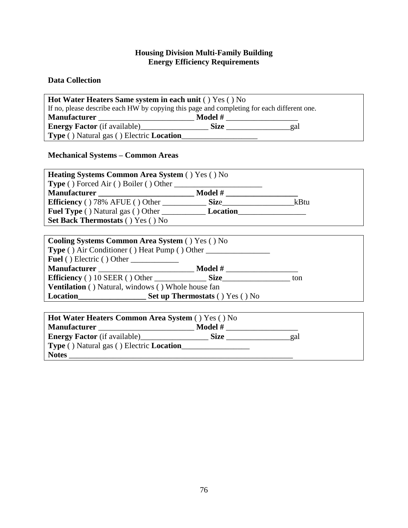# **Data Collection**

| <b>Hot Water Heaters Same system in each unit () Yes () No</b>                             |             |     |  |
|--------------------------------------------------------------------------------------------|-------------|-----|--|
| If no, please describe each HW by copying this page and completing for each different one. |             |     |  |
| <b>Manufacturer</b>                                                                        | Model #     |     |  |
| <b>Energy Factor</b> (if available)                                                        | <b>Size</b> | gal |  |
| <b>Type</b> () Natural gas () Electric <b>Location</b>                                     |             |     |  |

# **Mechanical Systems – Common Areas**

| <b>Heating Systems Common Area System () Yes () No</b> |                  |      |
|--------------------------------------------------------|------------------|------|
|                                                        |                  |      |
|                                                        | <b>Model</b> $#$ |      |
|                                                        |                  | kBtu |
|                                                        |                  |      |
| <b>Set Back Thermostats () Yes () No</b>               |                  |      |
|                                                        |                  |      |
| <b>Cooling Systems Common Area System () Yes () No</b> |                  |      |
| <b>Type</b> () Air Conditioner () Heat Pump () Other   |                  |      |

| <b>Fuel</b> () Electric () Other                          |                                        |     |
|-----------------------------------------------------------|----------------------------------------|-----|
| <b>Manufacturer</b>                                       | Model #                                |     |
|                                                           | <b>Size</b>                            | ton |
| <b>Ventilation</b> () Natural, windows () Whole house fan |                                        |     |
| Location                                                  | <b>Set up Thermostats () Yes () No</b> |     |

| Hot Water Heaters Common Area System () Yes () No      |             |     |  |
|--------------------------------------------------------|-------------|-----|--|
| <b>Manufacturer</b> Manufacturer                       | Model #     |     |  |
| <b>Energy Factor</b> (if available)                    | <b>Size</b> | gal |  |
| <b>Type ()</b> Natural gas () Electric <b>Location</b> |             |     |  |
| <b>Notes</b>                                           |             |     |  |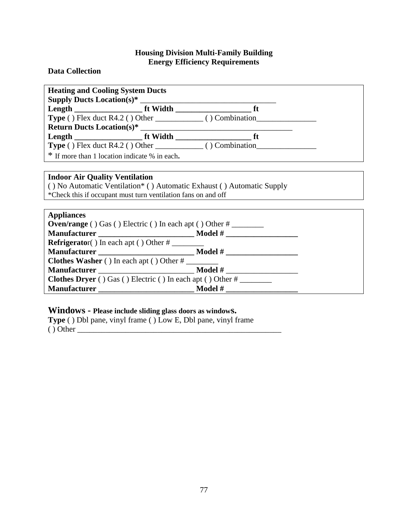#### **Data Collection**

| <b>Heating and Cooling System Ducts</b><br><b>Supply Ducts Location(s)<sup>*</sup></b> |  |  |
|----------------------------------------------------------------------------------------|--|--|
|                                                                                        |  |  |
|                                                                                        |  |  |
|                                                                                        |  |  |
|                                                                                        |  |  |
| <b>Type</b> () Flex duct R4.2 () Other $\qquad \qquad$ () Combination                  |  |  |
| * If more than 1 location indicate % in each.                                          |  |  |

# **Indoor Air Quality Ventilation**

( ) No Automatic Ventilation\* ( ) Automatic Exhaust ( ) Automatic Supply \*Check this if occupant must turn ventilation fans on and off

| <b>Appliances</b>                                                    |  |
|----------------------------------------------------------------------|--|
| <b>Oven/range</b> () Gas () Electric () In each apt () Other $\#$    |  |
|                                                                      |  |
| <b>Refrigerator</b> () In each apt () Other $\#$                     |  |
|                                                                      |  |
| <b>Clothes Washer</b> () In each apt () Other $\#$                   |  |
|                                                                      |  |
| <b>Clothes Dryer</b> () Gas () Electric () In each apt () Other $\#$ |  |
|                                                                      |  |

# **Windows - Please include sliding glass doors as windows.**

**Type** ( ) Dbl pane, vinyl frame ( ) Low E, Dbl pane, vinyl frame  $()$  Other  $\rule{1em}{0.15mm}$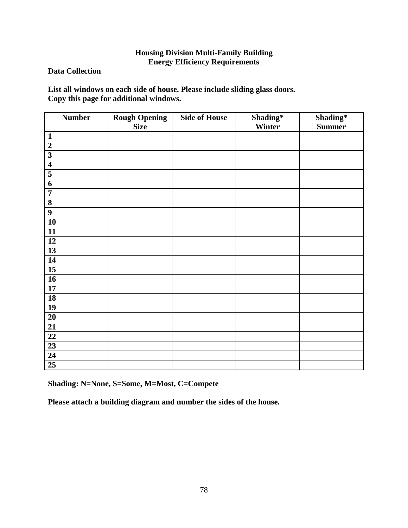### **Data Collection**

**List all windows on each side of house. Please include sliding glass doors. Copy this page for additional windows.**

| <b>Number</b>           | <b>Rough Opening</b> | <b>Side of House</b> | Shading* | Shading*      |
|-------------------------|----------------------|----------------------|----------|---------------|
|                         | <b>Size</b>          |                      | Winter   | <b>Summer</b> |
| $\mathbf{1}$            |                      |                      |          |               |
| $\boldsymbol{2}$        |                      |                      |          |               |
| $\overline{\mathbf{3}}$ |                      |                      |          |               |
| $\overline{\mathbf{4}}$ |                      |                      |          |               |
| $\overline{\mathbf{5}}$ |                      |                      |          |               |
| 6                       |                      |                      |          |               |
| $\overline{7}$          |                      |                      |          |               |
| $\overline{\mathbf{8}}$ |                      |                      |          |               |
| $\boldsymbol{9}$        |                      |                      |          |               |
| 10                      |                      |                      |          |               |
| 11                      |                      |                      |          |               |
| 12                      |                      |                      |          |               |
| $\overline{13}$         |                      |                      |          |               |
| $\overline{14}$         |                      |                      |          |               |
| $\overline{15}$         |                      |                      |          |               |
| $\overline{16}$         |                      |                      |          |               |
| 17                      |                      |                      |          |               |
| $\overline{18}$         |                      |                      |          |               |
| 19                      |                      |                      |          |               |
| $\overline{20}$         |                      |                      |          |               |
| $\overline{21}$         |                      |                      |          |               |
| $\overline{22}$         |                      |                      |          |               |
| $\overline{23}$         |                      |                      |          |               |
| $\overline{24}$         |                      |                      |          |               |
| 25                      |                      |                      |          |               |

**Shading: N=None, S=Some, M=Most, C=Compete**

**Please attach a building diagram and number the sides of the house.**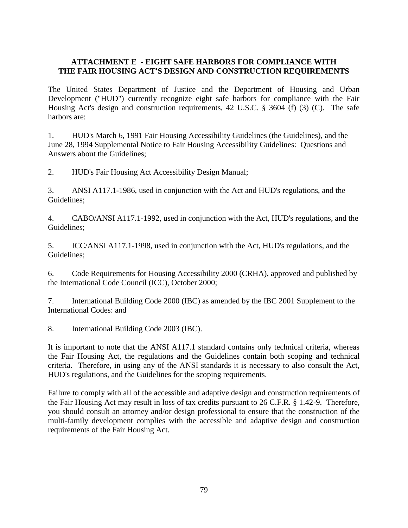### **ATTACHMENT E - EIGHT SAFE HARBORS FOR COMPLIANCE WITH THE FAIR HOUSING ACT'S DESIGN AND CONSTRUCTION REQUIREMENTS**

The United States Department of Justice and the Department of Housing and Urban Development ("HUD") currently recognize eight safe harbors for compliance with the Fair Housing Act's design and construction requirements, 42 U.S.C. § 3604 (f) (3) (C). The safe harbors are:

1. HUD's March 6, 1991 Fair Housing Accessibility Guidelines (the Guidelines), and the June 28, 1994 Supplemental Notice to Fair Housing Accessibility Guidelines: Questions and Answers about the Guidelines;

2. HUD's Fair Housing Act Accessibility Design Manual;

3. ANSI A117.1-1986, used in conjunction with the Act and HUD's regulations, and the Guidelines;

4. CABO/ANSI A117.1-1992, used in conjunction with the Act, HUD's regulations, and the Guidelines;

5. ICC/ANSI A117.1-1998, used in conjunction with the Act, HUD's regulations, and the Guidelines;

6. Code Requirements for Housing Accessibility 2000 (CRHA), approved and published by the International Code Council (ICC), October 2000;

7. International Building Code 2000 (IBC) as amended by the IBC 2001 Supplement to the International Codes: and

8. International Building Code 2003 (IBC).

It is important to note that the ANSI A117.1 standard contains only technical criteria, whereas the Fair Housing Act, the regulations and the Guidelines contain both scoping and technical criteria. Therefore, in using any of the ANSI standards it is necessary to also consult the Act, HUD's regulations, and the Guidelines for the scoping requirements.

Failure to comply with all of the accessible and adaptive design and construction requirements of the Fair Housing Act may result in loss of tax credits pursuant to 26 C.F.R. § 1.42-9. Therefore, you should consult an attorney and/or design professional to ensure that the construction of the multi-family development complies with the accessible and adaptive design and construction requirements of the Fair Housing Act.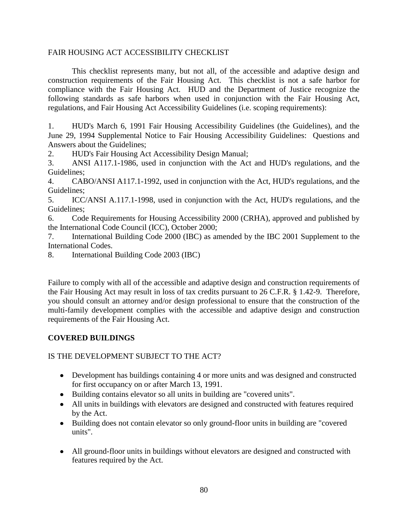#### FAIR HOUSING ACT ACCESSIBILITY CHECKLIST

This checklist represents many, but not all, of the accessible and adaptive design and construction requirements of the Fair Housing Act. This checklist is not a safe harbor for compliance with the Fair Housing Act. HUD and the Department of Justice recognize the following standards as safe harbors when used in conjunction with the Fair Housing Act, regulations, and Fair Housing Act Accessibility Guidelines (i.e. scoping requirements):

1. HUD's March 6, 1991 Fair Housing Accessibility Guidelines (the Guidelines), and the June 29, 1994 Supplemental Notice to Fair Housing Accessibility Guidelines: Questions and Answers about the Guidelines;

2. HUD's Fair Housing Act Accessibility Design Manual;

3. ANSI A117.1-1986, used in conjunction with the Act and HUD's regulations, and the Guidelines;

4. CABO/ANSI A117.1-1992, used in conjunction with the Act, HUD's regulations, and the Guidelines;

5. ICC/ANSI A.117.1-1998, used in conjunction with the Act, HUD's regulations, and the Guidelines;

6. Code Requirements for Housing Accessibility 2000 (CRHA), approved and published by the International Code Council (ICC), October 2000;

7. International Building Code 2000 (IBC) as amended by the IBC 2001 Supplement to the International Codes.

8. International Building Code 2003 (IBC)

Failure to comply with all of the accessible and adaptive design and construction requirements of the Fair Housing Act may result in loss of tax credits pursuant to 26 C.F.R. § 1.42-9. Therefore, you should consult an attorney and/or design professional to ensure that the construction of the multi-family development complies with the accessible and adaptive design and construction requirements of the Fair Housing Act.

### **COVERED BUILDINGS**

### IS THE DEVELOPMENT SUBJECT TO THE ACT?

- Development has buildings containing 4 or more units and was designed and constructed for first occupancy on or after March 13, 1991.
- Building contains elevator so all units in building are "covered units".
- All units in buildings with elevators are designed and constructed with features required by the Act.
- Building does not contain elevator so only ground-floor units in building are "covered units".
- All ground-floor units in buildings without elevators are designed and constructed with features required by the Act.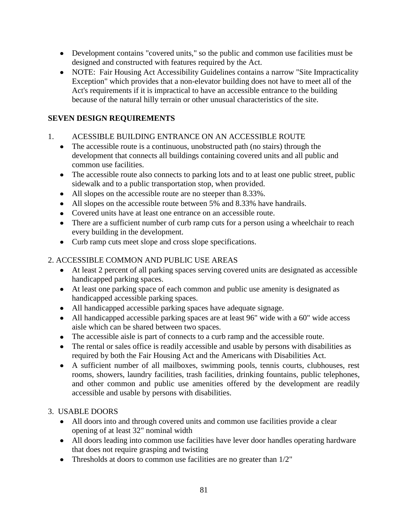- Development contains "covered units," so the public and common use facilities must be designed and constructed with features required by the Act.
- NOTE: Fair Housing Act Accessibility Guidelines contains a narrow "Site Impracticality Exception" which provides that a non-elevator building does not have to meet all of the Act's requirements if it is impractical to have an accessible entrance to the building because of the natural hilly terrain or other unusual characteristics of the site.

# **SEVEN DESIGN REQUIREMENTS**

# 1. ACESSIBLE BUILDING ENTRANCE ON AN ACCESSIBLE ROUTE

- The accessible route is a continuous, unobstructed path (no stairs) through the development that connects all buildings containing covered units and all public and common use facilities.
- The accessible route also connects to parking lots and to at least one public street, public sidewalk and to a public transportation stop, when provided.
- All slopes on the accessible route are no steeper than 8.33%.
- All slopes on the accessible route between 5% and 8.33% have handrails.
- Covered units have at least one entrance on an accessible route.
- There are a sufficient number of curb ramp cuts for a person using a wheelchair to reach every building in the development.
- Curb ramp cuts meet slope and cross slope specifications.

# 2. ACCESSIBLE COMMON AND PUBLIC USE AREAS

- At least 2 percent of all parking spaces serving covered units are designated as accessible handicapped parking spaces.
- At least one parking space of each common and public use amenity is designated as handicapped accessible parking spaces.
- All handicapped accessible parking spaces have adequate signage.
- All handicapped accessible parking spaces are at least 96" wide with a 60" wide access aisle which can be shared between two spaces.
- The accessible aisle is part of connects to a curb ramp and the accessible route.
- The rental or sales office is readily accessible and usable by persons with disabilities as required by both the Fair Housing Act and the Americans with Disabilities Act.
- A sufficient number of all mailboxes, swimming pools, tennis courts, clubhouses, rest rooms, showers, laundry facilities, trash facilities, drinking fountains, public telephones, and other common and public use amenities offered by the development are readily accessible and usable by persons with disabilities.

### 3. USABLE DOORS

- All doors into and through covered units and common use facilities provide a clear opening of at least 32" nominal width
- All doors leading into common use facilities have lever door handles operating hardware that does not require grasping and twisting
- Thresholds at doors to common use facilities are no greater than  $1/2$ "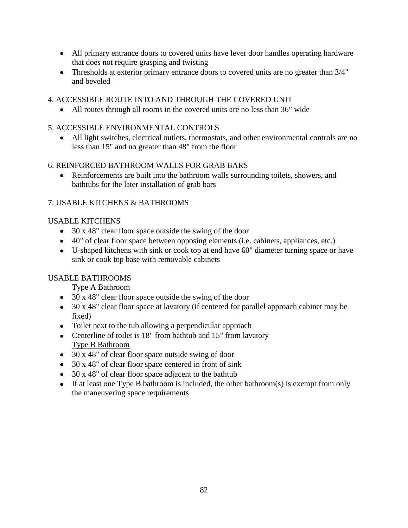- All primary entrance doors to covered units have lever door handles operating hardware that does not require grasping and twisting
- Thresholds at exterior primary entrance doors to covered units are no greater than  $3/4"$ and beveled

# 4. ACCESSIBLE ROUTE INTO AND THROUGH THE COVERED UNIT

All routes through all rooms in the covered units are no less than 36" wide

# 5. ACCESSIBLE ENVIRONMENTAL CONTROLS

All light switches, electrical outlets, thermostats, and other environmental controls are no less than 15" and no greater than 48" from the floor

# 6. REINFORCED BATHROOM WALLS FOR GRAB BARS

Reinforcements are built into the bathroom walls surrounding toilets, showers, and bathtubs for the later installation of grab bars

# 7. USABLE KITCHENS & BATHROOMS

# USABLE KITCHENS

- 30 x 48" clear floor space outside the swing of the door
- 40" of clear floor space between opposing elements (i.e. cabinets, appliances, etc.)
- U-shaped kitchens with sink or cook top at end have 60" diameter turning space or have sink or cook top base with removable cabinets

# USABLE BATHROOMS

Type A Bathroom

- 30 x 48" clear floor space outside the swing of the door
- 30 x 48" clear floor space at lavatory (if centered for parallel approach cabinet may be fixed)
- Toilet next to the tub allowing a perpendicular approach
- Centerline of toilet is 18" from bathtub and 15" from lavatory Type B Bathroom
- 30 x 48" of clear floor space outside swing of door
- 30 x 48" of clear floor space centered in front of sink
- 30 x 48" of clear floor space adjacent to the bathtub
- If at least one Type B bathroom is included, the other bathroom(s) is exempt from only the maneuvering space requirements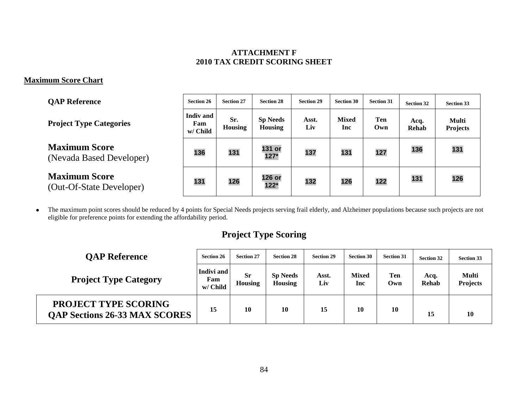### **ATTACHMENT F 2010 TAX CREDIT SCORING SHEET**

# **Maximum Score Chart**

| <b>OAP Reference</b>                             | <b>Section 26</b>            | <b>Section 27</b>     | <b>Section 28</b>                 | <b>Section 29</b> | <b>Section 30</b>   | <b>Section 31</b> | <b>Section 32</b> | <b>Section 33</b>        |
|--------------------------------------------------|------------------------------|-----------------------|-----------------------------------|-------------------|---------------------|-------------------|-------------------|--------------------------|
| <b>Project Type Categories</b>                   | Indiv and<br>Fam<br>w/ Child | Sr.<br><b>Housing</b> | <b>Sp Needs</b><br><b>Housing</b> | Asst.<br>Liv      | <b>Mixed</b><br>Inc | Ten<br>Own        | Acq.<br>Rehab     | Multi<br><b>Projects</b> |
| <b>Maximum Score</b><br>(Nevada Based Developer) | 136                          | 131                   | 131 or<br>$127*$                  | 137               | 131                 | 127               | 136               | 131                      |
| <b>Maximum Score</b><br>(Out-Of-State Developer) | 131                          | 126                   | 126 or<br>$122*$                  | 132               | 126                 | 122               | 131               | 126                      |

The maximum point scores should be reduced by 4 points for Special Needs projects serving frail elderly, and Alzheimer populations because such projects are not  $\bullet$ eligible for preference points for extending the affordability period.

# **Project Type Scoring**

| <b>QAP Reference</b>                                                | <b>Section 26</b>             | <b>Section 27</b>    | <b>Section 28</b>                 | <b>Section 29</b> | <b>Section 30</b>   | <b>Section 31</b> | <b>Section 32</b>    | <b>Section 33</b>        |
|---------------------------------------------------------------------|-------------------------------|----------------------|-----------------------------------|-------------------|---------------------|-------------------|----------------------|--------------------------|
| <b>Project Type Category</b>                                        | Indivi and<br>Fam<br>w/ Child | <b>Sr</b><br>Housing | <b>Sp Needs</b><br><b>Housing</b> | Asst.<br>Liv      | <b>Mixed</b><br>Inc | Ten<br>Own        | Acq.<br><b>Rehab</b> | Multi<br><b>Projects</b> |
| <b>PROJECT TYPE SCORING</b><br><b>QAP Sections 26-33 MAX SCORES</b> | 15                            | 10                   | 10                                | 15                | 10                  | 10                | 15                   | 10                       |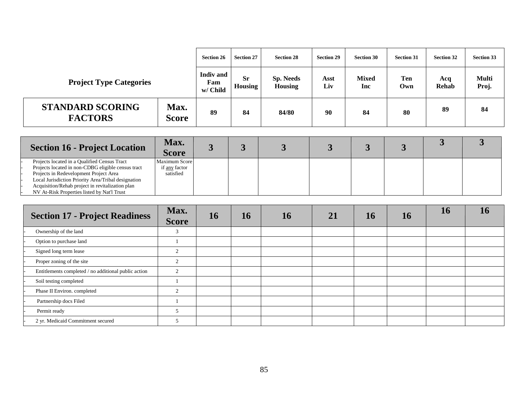|                                           |                      | <b>Section 26</b>                   | <b>Section 27</b>    | <b>Section 28</b>                  | <b>Section 29</b> | <b>Section 30</b>   | <b>Section 31</b> | <b>Section 32</b> | <b>Section 33</b>     |
|-------------------------------------------|----------------------|-------------------------------------|----------------------|------------------------------------|-------------------|---------------------|-------------------|-------------------|-----------------------|
| <b>Project Type Categories</b>            |                      | <b>Indiv</b> and<br>Fam<br>w/ Child | <b>Sr</b><br>Housing | <b>Sp. Needs</b><br><b>Housing</b> | Asst<br>Liv       | <b>Mixed</b><br>Inc | Ten<br>Own        | Acq<br>Rehab      | <b>Multi</b><br>Proj. |
| <b>STANDARD SCORING</b><br><b>FACTORS</b> | Max.<br><b>Score</b> | 89                                  | 84                   | 84/80                              | 90                | 84                  | 80                | 89                | 84                    |

| <b>Section 16 - Project Location</b>                                                                                                                                                                                                                                                                   | Max.<br><b>Score</b>                        |  |  |  |  |
|--------------------------------------------------------------------------------------------------------------------------------------------------------------------------------------------------------------------------------------------------------------------------------------------------------|---------------------------------------------|--|--|--|--|
| Projects located in a Qualified Census Tract<br>Projects located in non-CDBG eligible census tract<br>Projects in Redevelopment Project Area<br>Local Jurisdiction Priority Area/Tribal designation<br>Acquisition/Rehab project in revitalization plan<br>NV At-Risk Properties listed by Nat'l Trust | Maximum Score<br>if any factor<br>satisfied |  |  |  |  |

| <b>Section 17 - Project Readiness</b>                | Max.<br><b>Score</b> | 16 | 16 | 16 | 21 | 16 | 16 | <b>16</b> | 16 |
|------------------------------------------------------|----------------------|----|----|----|----|----|----|-----------|----|
| Ownership of the land                                | $\sim$               |    |    |    |    |    |    |           |    |
| Option to purchase land                              |                      |    |    |    |    |    |    |           |    |
| Signed long term lease                               |                      |    |    |    |    |    |    |           |    |
| Proper zoning of the site                            | $\sim$               |    |    |    |    |    |    |           |    |
| Entitlements completed / no additional public action | $\sim$               |    |    |    |    |    |    |           |    |
| Soil testing completed                               |                      |    |    |    |    |    |    |           |    |
| Phase II Environ. completed                          | $\sim$               |    |    |    |    |    |    |           |    |
| Partnership docs Filed                               |                      |    |    |    |    |    |    |           |    |
| Permit ready                                         |                      |    |    |    |    |    |    |           |    |
| 2 yr. Medicaid Commitment secured                    |                      |    |    |    |    |    |    |           |    |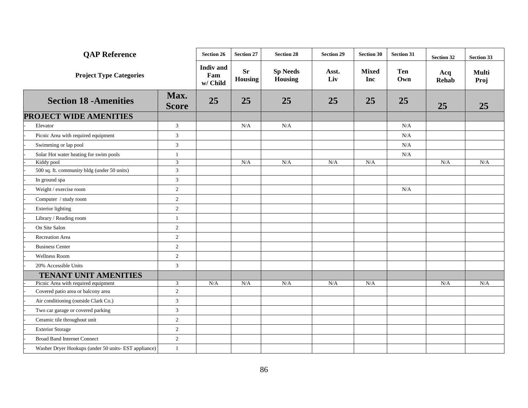| <b>QAP Reference</b>                                 |                      | <b>Section 26</b>                   | <b>Section 27</b>    | <b>Section 28</b>          | <b>Section 29</b> | <b>Section 30</b>   | <b>Section 31</b> | <b>Section 32</b> | Section 33    |
|------------------------------------------------------|----------------------|-------------------------------------|----------------------|----------------------------|-------------------|---------------------|-------------------|-------------------|---------------|
| <b>Project Type Categories</b>                       |                      | <b>Indiv</b> and<br>Fam<br>w/ Child | <b>Sr</b><br>Housing | <b>Sp Needs</b><br>Housing | Asst.<br>Liv      | <b>Mixed</b><br>Inc | <b>Ten</b><br>Own | Acq<br>Rehab      | Multi<br>Proj |
| <b>Section 18 - Amenities</b>                        | Max.<br><b>Score</b> | 25                                  | 25                   | 25                         | 25                | 25                  | 25                | 25                | 25            |
| PROJECT WIDE AMENITIES                               |                      |                                     |                      |                            |                   |                     |                   |                   |               |
| Elevator                                             | 3                    |                                     | N/A                  | N/A                        |                   |                     | N/A               |                   |               |
| Picnic Area with required equipment                  | $\mathfrak{Z}$       |                                     |                      |                            |                   |                     | $\rm N/A$         |                   |               |
| Swimming or lap pool                                 | $\overline{3}$       |                                     |                      |                            |                   |                     | N/A               |                   |               |
| Solar Hot water heating for swim pools               | $\mathbf{1}$         |                                     |                      |                            |                   |                     | $\rm N/A$         |                   |               |
| Kiddy pool                                           | 3                    |                                     | N/A                  | N/A                        | N/A               | N/A                 |                   | N/A               | N/A           |
| 500 sq. ft. community bldg (under 50 units)          | $\overline{3}$       |                                     |                      |                            |                   |                     |                   |                   |               |
| In ground spa                                        | $\mathfrak{Z}$       |                                     |                      |                            |                   |                     |                   |                   |               |
| Weight / exercise room                               | $\sqrt{2}$           |                                     |                      |                            |                   |                     | $\rm N/A$         |                   |               |
| Computer / study room                                | $\sqrt{2}$           |                                     |                      |                            |                   |                     |                   |                   |               |
| <b>Exterior lighting</b>                             | $\overline{2}$       |                                     |                      |                            |                   |                     |                   |                   |               |
| Library / Reading room                               | $\mathbf{1}$         |                                     |                      |                            |                   |                     |                   |                   |               |
| On Site Salon                                        | $\sqrt{2}$           |                                     |                      |                            |                   |                     |                   |                   |               |
| <b>Recreation Area</b>                               | $\overline{2}$       |                                     |                      |                            |                   |                     |                   |                   |               |
| <b>Business Center</b>                               | $\sqrt{2}$           |                                     |                      |                            |                   |                     |                   |                   |               |
| Wellness Room                                        | $\sqrt{2}$           |                                     |                      |                            |                   |                     |                   |                   |               |
| 20% Accessible Units                                 | $\mathfrak{Z}$       |                                     |                      |                            |                   |                     |                   |                   |               |
| <b>TENANT UNIT AMENITIES</b>                         |                      |                                     |                      |                            |                   |                     |                   |                   |               |
| Picnic Area with required equipment                  | 3                    | N/A                                 | N/A                  | N/A                        | N/A               | N/A                 |                   | N/A               | N/A           |
| Covered patio area or balcony area                   | $\overline{2}$       |                                     |                      |                            |                   |                     |                   |                   |               |
| Air conditioning (outside Clark Co.)                 | $\overline{3}$       |                                     |                      |                            |                   |                     |                   |                   |               |
| Two car garage or covered parking                    | $\overline{3}$       |                                     |                      |                            |                   |                     |                   |                   |               |
| Ceramic tile throughout unit                         | $\sqrt{2}$           |                                     |                      |                            |                   |                     |                   |                   |               |
| <b>Exterior Storage</b>                              | $\overline{2}$       |                                     |                      |                            |                   |                     |                   |                   |               |
| <b>Broad Band Internet Connect</b>                   | $\sqrt{2}$           |                                     |                      |                            |                   |                     |                   |                   |               |
| Washer Dryer Hookups (under 50 units- EST appliance) | $\mathbf{1}$         |                                     |                      |                            |                   |                     |                   |                   |               |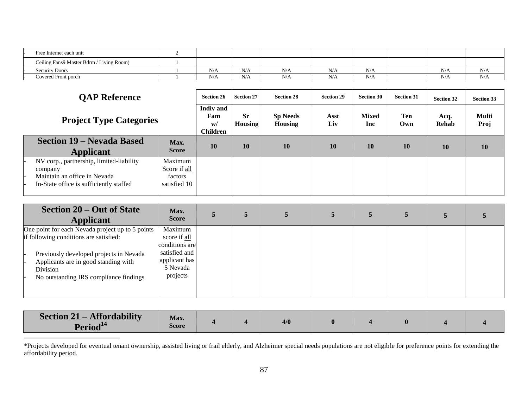| Free Internet each unit                  |     |     |     |     |                     |     |     |
|------------------------------------------|-----|-----|-----|-----|---------------------|-----|-----|
| Ceiling Fans9 Master Bdrm / Living Room) |     |     |     |     |                     |     |     |
| <b>Security Doors</b>                    | N/A | N/A | N/  | N/A | $\mathbf{X}$<br>N/L | N/A | N/A |
| Covered Front porch                      | N/A | N/A | N/A | N/A | N/A                 | N/A | N/A |

| <b>QAP Reference</b>                                                                                                           |                                                    | <b>Section 26</b>                         | <b>Section 27</b>    | <b>Section 28</b>          | <b>Section 29</b> | <b>Section 30</b>          | <b>Section 31</b> | <b>Section 32</b> | Section 33    |
|--------------------------------------------------------------------------------------------------------------------------------|----------------------------------------------------|-------------------------------------------|----------------------|----------------------------|-------------------|----------------------------|-------------------|-------------------|---------------|
| <b>Project Type Categories</b>                                                                                                 |                                                    | <b>Indiv</b> and<br>Fam<br>W/<br>Children | <b>Sr</b><br>Housing | <b>Sp Needs</b><br>Housing | Asst<br>Liv       | <b>Mixed</b><br><b>Inc</b> | Ten<br>Own        | Acq.<br>Rehab     | Multi<br>Proj |
| <b>Section 19 – Nevada Based</b><br>Applicant                                                                                  | Max.<br><b>Score</b>                               | <b>10</b>                                 | <b>10</b>            | 10                         | <b>10</b>         | 10                         | <b>10</b>         | 10                | <b>10</b>     |
| NV corp., partnership, limited-liability<br>company<br>Maintain an office in Nevada<br>In-State office is sufficiently staffed | Maximum<br>Score if all<br>factors<br>satisfied 10 |                                           |                      |                            |                   |                            |                   |                   |               |

| Section 20 – Out of State<br><b>Applicant</b>                                                                                                                                                                                       | Max.<br><b>Score</b>                                                                                |  |  |  |  |
|-------------------------------------------------------------------------------------------------------------------------------------------------------------------------------------------------------------------------------------|-----------------------------------------------------------------------------------------------------|--|--|--|--|
| One point for each Nevada project up to 5 points<br>if following conditions are satisfied:<br>Previously developed projects in Nevada<br>Applicants are in good standing with<br>Division<br>No outstanding IRS compliance findings | Maximum<br>score if all<br>conditions are<br>satisfied and<br>applicant has<br>5 Nevada<br>projects |  |  |  |  |

| <b>Section 21 – Affordability</b> | Max.<br>Score |  | 4/0 |  |  |  |
|-----------------------------------|---------------|--|-----|--|--|--|
| Period <sup>14</sup>              |               |  |     |  |  |  |

\*Projects developed for eventual tenant ownership, assisted living or frail elderly, and Alzheimer special needs populations are not eligible for preference points for extending the affordability period.

 $\overline{a}$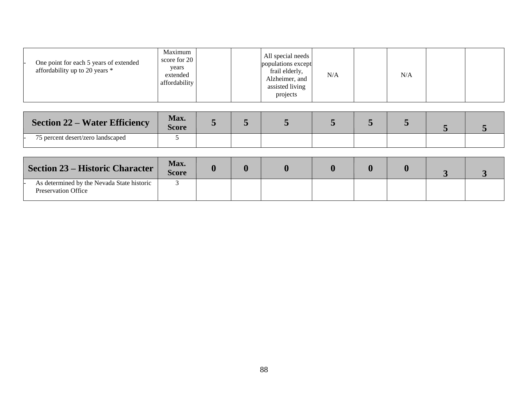| Maximum<br>score for 20<br>One point for each 5 years of extended<br>years<br>affordability up to 20 years *<br>extended<br>affordability | All special needs<br>populations except<br>frail elderly,<br>N/A<br>Alzheimer, and<br>assisted living<br>projects | N/A |
|-------------------------------------------------------------------------------------------------------------------------------------------|-------------------------------------------------------------------------------------------------------------------|-----|
|-------------------------------------------------------------------------------------------------------------------------------------------|-------------------------------------------------------------------------------------------------------------------|-----|

| <b>Section 22 – Water Efficiency</b> | Max.<br>Score |  |  |  |  |
|--------------------------------------|---------------|--|--|--|--|
| 75 percent desert/zero landscaped    |               |  |  |  |  |

| <b>Section 23 – Historic Character</b>                                   | Max.<br><b>Score</b> |  |  |  |  |
|--------------------------------------------------------------------------|----------------------|--|--|--|--|
| As determined by the Nevada State historic<br><b>Preservation Office</b> |                      |  |  |  |  |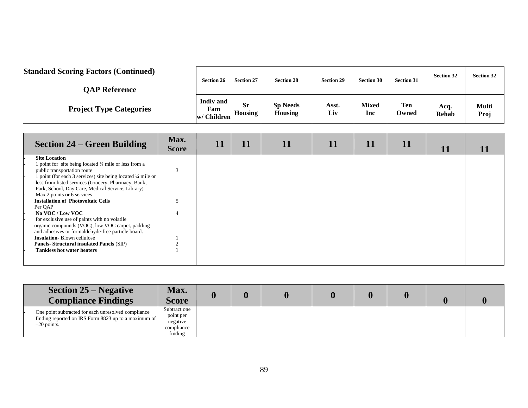### **Standard Scoring Factors (Continued)**

| <b>OAP Reference</b>           | <b>Section 26</b>                      | <b>Section 27</b>           | <b>Section 28</b>          | <b>Section 29</b> | <b>Section 30</b>          | <b>Section 31</b> | <b>Section 32</b> | <b>Section 32</b> |
|--------------------------------|----------------------------------------|-----------------------------|----------------------------|-------------------|----------------------------|-------------------|-------------------|-------------------|
| <b>Project Type Categories</b> | <b>Indiv</b> and<br>Fam<br>w/ Children | <b>Sr</b><br><b>Housing</b> | <b>Sp Needs</b><br>Housing | Asst.<br>Liv      | <b>Mixed</b><br><b>Inc</b> | Ten<br>Owned      | Acq.<br>Rehab     | Multi<br>Proj     |

 $\mathbf{I}$ 

 $\mathbf{I}$ 

 $\mathbf{I}$ 

| <b>Section 24 – Green Building</b>                                                                                  | Max.<br><b>Score</b> | <u> 11</u> | 11 | . . | 11 | 11 | 11 | 11 |  |
|---------------------------------------------------------------------------------------------------------------------|----------------------|------------|----|-----|----|----|----|----|--|
| <b>Site Location</b>                                                                                                |                      |            |    |     |    |    |    |    |  |
| 1 point for site being located 1/4 mile or less from a                                                              |                      |            |    |     |    |    |    |    |  |
| public transportation route                                                                                         |                      |            |    |     |    |    |    |    |  |
| 1 point (for each 3 services) site being located 1/4 mile or<br>less from listed services (Grocery, Pharmacy, Bank, |                      |            |    |     |    |    |    |    |  |
| Park, School, Day Care, Medical Service, Library)                                                                   |                      |            |    |     |    |    |    |    |  |
| Max 2 points or 6 services                                                                                          |                      |            |    |     |    |    |    |    |  |
| <b>Installation of Photovoltaic Cells</b>                                                                           |                      |            |    |     |    |    |    |    |  |
| Per QAP                                                                                                             |                      |            |    |     |    |    |    |    |  |
| No VOC/Low VOC                                                                                                      |                      |            |    |     |    |    |    |    |  |
| for exclusive use of paints with no volatile                                                                        |                      |            |    |     |    |    |    |    |  |
| organic compounds (VOC), low VOC carpet, padding                                                                    |                      |            |    |     |    |    |    |    |  |
| and adhesives or formaldehyde-free particle board.                                                                  |                      |            |    |     |    |    |    |    |  |
| <b>Insulation-Blown cellulose</b>                                                                                   |                      |            |    |     |    |    |    |    |  |
| <b>Panels-Structural insulated Panels (SIP)</b>                                                                     |                      |            |    |     |    |    |    |    |  |
| <b>Tankless hot water heaters</b>                                                                                   |                      |            |    |     |    |    |    |    |  |
|                                                                                                                     |                      |            |    |     |    |    |    |    |  |
|                                                                                                                     |                      |            |    |     |    |    |    |    |  |

|               | <b>Section 25 – Negative</b><br><b>Compliance Findings</b>                                                  | <b>Max.</b><br><b>Score</b>                                    |  |  |  |  |
|---------------|-------------------------------------------------------------------------------------------------------------|----------------------------------------------------------------|--|--|--|--|
| $-20$ points. | One point subtracted for each unresolved compliance<br>finding reported on IRS Form 8823 up to a maximum of | Subtract one<br>point per<br>negative<br>compliance<br>finding |  |  |  |  |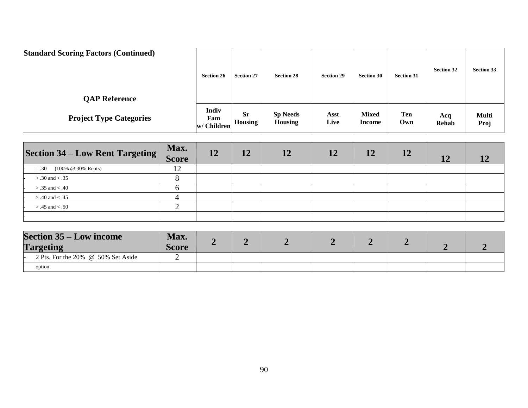| <b>Standard Scoring Factors (Continued)</b><br><b>QAP Reference</b> | <b>Section 26</b>                  | <b>Section 27</b>           | <b>Section 28</b>          | <b>Section 29</b> | <b>Section 30</b>      | <b>Section 31</b> | <b>Section 32</b> | <b>Section 33</b>    |
|---------------------------------------------------------------------|------------------------------------|-----------------------------|----------------------------|-------------------|------------------------|-------------------|-------------------|----------------------|
| <b>Project Type Categories</b>                                      | <b>Indiv</b><br>Fam<br>w/ Children | <b>Sr</b><br><b>Housing</b> | <b>Sp Needs</b><br>Housing | Asst<br>Live      | <b>Mixed</b><br>Income | Ten<br>Own        | Acq<br>Rehab      | <b>Multi</b><br>Proj |

| <b>Section 34 – Low Rent Targeting</b> | Max.<br><b>Score</b>          | 12 | 12 | 12 | 12 | 12 | 12 | 12 |  |
|----------------------------------------|-------------------------------|----|----|----|----|----|----|----|--|
| $= .30$ (100% @ 30% Rents)             | $1^{\circ}$<br>$\overline{1}$ |    |    |    |    |    |    |    |  |
| $> .30$ and $< .35$                    |                               |    |    |    |    |    |    |    |  |
| $> .35$ and $< .40$                    |                               |    |    |    |    |    |    |    |  |
| $> .40$ and $< .45$                    |                               |    |    |    |    |    |    |    |  |
| $> .45$ and $< .50$                    |                               |    |    |    |    |    |    |    |  |
|                                        |                               |    |    |    |    |    |    |    |  |

| <b>Section 35 – Low income</b><br><b>Targeting</b> | Max.<br>Score | ∽ |  |  |  |
|----------------------------------------------------|---------------|---|--|--|--|
| 2 Pts. For the $20\%$ @ 50% Set Aside              |               |   |  |  |  |
| option                                             |               |   |  |  |  |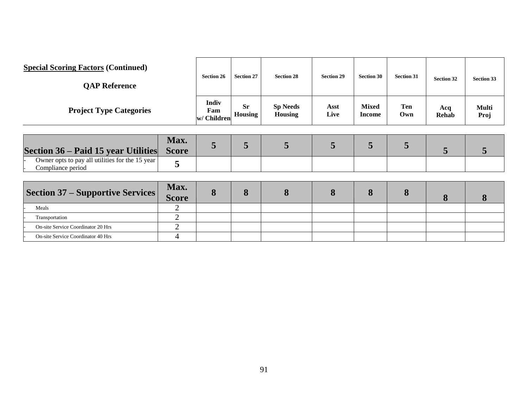| <b>Special Scoring Factors (Continued)</b><br><b>QAP Reference</b>   |                      | <b>Section 26</b>           | <b>Section 27</b>           | <b>Section 28</b>                 | <b>Section 29</b> | <b>Section 30</b>             | <b>Section 31</b> | <b>Section 32</b>   | <b>Section 33</b> |
|----------------------------------------------------------------------|----------------------|-----------------------------|-----------------------------|-----------------------------------|-------------------|-------------------------------|-------------------|---------------------|-------------------|
| <b>Project Type Categories</b>                                       |                      | Indiv<br>Fam<br>w/ Children | <b>Sr</b><br><b>Housing</b> | <b>Sp Needs</b><br><b>Housing</b> | Asst<br>Live      | <b>Mixed</b><br><b>Income</b> | <b>Ten</b><br>Own | Acq<br><b>Rehab</b> | Multi<br>Proj     |
| Section 36 – Paid 15 year Utilities                                  | Max.<br><b>Score</b> | 5                           | 5                           | 5                                 | 5                 | 5                             | 5                 | 5                   | 5                 |
| Owner opts to pay all utilities for the 15 year<br>Compliance period | 5                    |                             |                             |                                   |                   |                               |                   |                     |                   |
| <b>Section 37 – Supportive Services</b>                              | Max.<br><b>Score</b> | 8                           | 8                           | 8                                 | 8                 | 8                             | 8                 | 8                   | 8                 |
| Meals                                                                | $\overline{2}$       |                             |                             |                                   |                   |                               |                   |                     |                   |
| Transportation                                                       | $\overline{2}$       |                             |                             |                                   |                   |                               |                   |                     |                   |
| On-site Service Coordinator 20 Hrs                                   | $\overline{2}$       |                             |                             |                                   |                   |                               |                   |                     |                   |
| On-site Service Coordinator 40 Hrs                                   | 4                    |                             |                             |                                   |                   |                               |                   |                     |                   |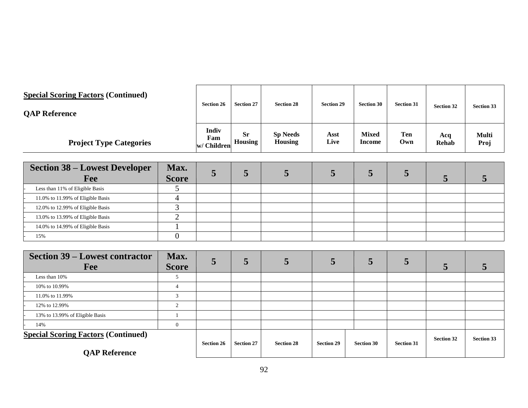| <b>Special Scoring Factors (Continued)</b><br><b>OAP Reference</b> | <b>Section 26</b>           | <b>Section 27</b>    | <b>Section 28</b>                 | <b>Section 29</b> | <b>Section 30</b>      | <b>Section 31</b> | <b>Section 32</b> | <b>Section 33</b> |
|--------------------------------------------------------------------|-----------------------------|----------------------|-----------------------------------|-------------------|------------------------|-------------------|-------------------|-------------------|
| <b>Project Type Categories</b>                                     | Indiv<br>Fam<br>w/ Children | <b>Sr</b><br>Housing | <b>Sp Needs</b><br><b>Housing</b> | Asst<br>Live      | <b>Mixed</b><br>Income | <b>Ten</b><br>Own | Acq<br>Rehab      | Multi<br>Proj     |

| <b>Section 38 – Lowest Developer</b><br>Fee | Max.<br><b>Score</b> |  |  |  |  |
|---------------------------------------------|----------------------|--|--|--|--|
| Less than 11% of Eligible Basis             |                      |  |  |  |  |
| 11.0% to 11.99% of Eligible Basis           |                      |  |  |  |  |
| 12.0% to 12.99% of Eligible Basis           |                      |  |  |  |  |
| 13.0% to 13.99% of Eligible Basis           |                      |  |  |  |  |
| 14.0% to 14.99% of Eligible Basis           |                      |  |  |  |  |
| 15%                                         |                      |  |  |  |  |

| <b>Section 39 – Lowest contractor</b><br>Fee | Max.<br><b>Score</b> | Ĉ                 | 5                 | 5                 |                   | 5                 |                   |                   |                   |
|----------------------------------------------|----------------------|-------------------|-------------------|-------------------|-------------------|-------------------|-------------------|-------------------|-------------------|
| Less than 10%                                |                      |                   |                   |                   |                   |                   |                   |                   |                   |
| 10% to 10.99%                                |                      |                   |                   |                   |                   |                   |                   |                   |                   |
| 11.0% to 11.99%                              |                      |                   |                   |                   |                   |                   |                   |                   |                   |
| 12% to 12.99%                                |                      |                   |                   |                   |                   |                   |                   |                   |                   |
| 13% to 13.99% of Eligible Basis              |                      |                   |                   |                   |                   |                   |                   |                   |                   |
| 14%                                          | $\theta$             |                   |                   |                   |                   |                   |                   |                   |                   |
| <b>Special Scoring Factors (Continued)</b>   |                      | <b>Section 26</b> | <b>Section 27</b> | <b>Section 28</b> | <b>Section 29</b> | <b>Section 30</b> | <b>Section 31</b> | <b>Section 32</b> | <b>Section 33</b> |
| <b>QAP Reference</b>                         |                      |                   |                   |                   |                   |                   |                   |                   |                   |